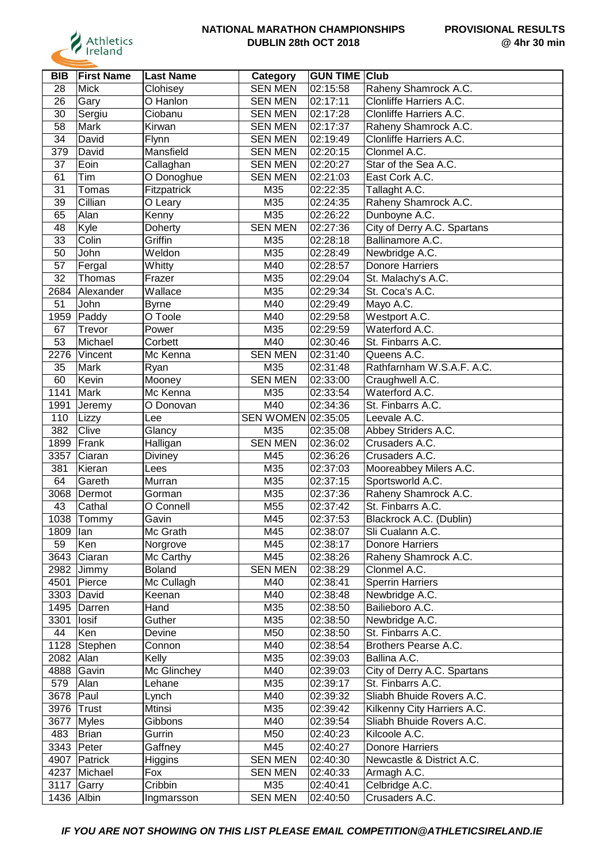

| BIB             | <b>First Name</b> | <b>Last Name</b> | Category           | <b>GUN TIME Club</b> |                             |
|-----------------|-------------------|------------------|--------------------|----------------------|-----------------------------|
| 28              | <b>Mick</b>       | Clohisey         | <b>SEN MEN</b>     | 02:15:58             | Raheny Shamrock A.C.        |
| 26              | Gary              | O Hanlon         | <b>SEN MEN</b>     | 02:17:11             | Clonliffe Harriers A.C.     |
| 30              | Sergiu            | Ciobanu          | <b>SEN MEN</b>     | 02:17:28             | Clonliffe Harriers A.C.     |
| 58              | Mark              | Kirwan           | <b>SEN MEN</b>     | 02:17:37             | Raheny Shamrock A.C.        |
| 34              | David             | Flynn            | <b>SEN MEN</b>     | 02:19:49             | Clonliffe Harriers A.C.     |
| 379             | David             | Mansfield        | <b>SEN MEN</b>     | 02:20:15             | Clonmel A.C.                |
| 37              | Eoin              | Callaghan        | <b>SEN MEN</b>     | 02:20:27             | Star of the Sea A.C.        |
| 61              | Tim               | O Donoghue       | <b>SEN MEN</b>     | 02:21:03             | East Cork A.C.              |
| 31              | Tomas             | Fitzpatrick      | M35                | 02:22:35             | Tallaght A.C.               |
| 39              | Cillian           | O Leary          | M35                | 02:24:35             | Raheny Shamrock A.C.        |
| 65              | Alan              | Kenny            | M35                | 02:26:22             | Dunboyne A.C.               |
| 48              | Kyle              | Doherty          | <b>SEN MEN</b>     | 02:27:36             | City of Derry A.C. Spartans |
| 33              | Colin             | Griffin          | M35                | 02:28:18             | Ballinamore A.C.            |
| 50              | John              | Weldon           | M35                | 02:28:49             | Newbridge A.C.              |
| $\overline{57}$ | Fergal            | Whitty           | M40                | 02:28:57             | <b>Donore Harriers</b>      |
| 32              | Thomas            | Frazer           | M35                | 02:29:04             | St. Malachy's A.C.          |
| 2684            | Alexander         | Wallace          | M35                | 02:29:34             | St. Coca's A.C.             |
| 51              | John              | <b>Byrne</b>     | M40                | 02:29:49             | Mayo A.C.                   |
| 1959            | Paddy             | O Toole          | M40                | 02:29:58             | Westport A.C.               |
| 67              | Trevor            | Power            | M35                | 02:29:59             | Waterford A.C.              |
| 53              | Michael           | Corbett          | M40                | 02:30:46             | St. Finbarrs A.C.           |
| 2276            |                   | Mc Kenna         | <b>SEN MEN</b>     | 02:31:40             | Queens A.C.                 |
|                 | Vincent           |                  |                    |                      |                             |
| 35              | Mark              | Ryan             | M35                | 02:31:48             | Rathfarnham W.S.A.F. A.C.   |
| 60              | Kevin             | Mooney           | <b>SEN MEN</b>     | 02:33:00             | Craughwell A.C.             |
| 1141            | Mark              | Mc Kenna         | M35                | 02:33:54             | Waterford A.C.              |
| 1991            | Jeremy            | O Donovan        | M40                | 02:34:36             | St. Finbarrs A.C.           |
| 110             | Lizzy             | Lee              | SEN WOMEN 02:35:05 |                      | Leevale A.C.                |
| 382             | Clive             | Glancy           | M35                | 02:35:08             | Abbey Striders A.C.         |
| 1899            | Frank             | Halligan         | <b>SEN MEN</b>     | 02:36:02             | Crusaders A.C.              |
| 3357            | Ciaran            | <b>Diviney</b>   | M45                | 02:36:26             | Crusaders A.C.              |
| 381             | Kieran            | Lees             | M35                | 02:37:03             | Mooreabbey Milers A.C.      |
| 64              | Gareth            | Murran           | M35                | 02:37:15             | Sportsworld A.C.            |
|                 | 3068 Dermot       | Gorman           | M35                | 02:37:36             | Raheny Shamrock A.C.        |
| 43              | Cathal            | O Connell        | M55                | 02:37:42             | St. Finbarrs A.C.           |
|                 | 1038 Tommy        | Gavin            | M45                | 02:37:53             | Blackrock A.C. (Dublin)     |
| 1809   lan      |                   | Mc Grath         | M45                | 02:38:07             | Sli Cualann A.C.            |
| 59              | Ken               | Norgrove         | M45                | 02:38:17             | <b>Donore Harriers</b>      |
|                 | 3643 Ciaran       | Mc Carthy        | M45                | 02:38:26             | Raheny Shamrock A.C.        |
|                 | 2982 Jimmy        | <b>Boland</b>    | <b>SEN MEN</b>     | 02:38:29             | Clonmel A.C.                |
|                 | 4501 Pierce       | Mc Cullagh       | M40                | 02:38:41             | <b>Sperrin Harriers</b>     |
|                 | 3303 David        | Keenan           | M40                | 02:38:48             | Newbridge A.C.              |
|                 | 1495 Darren       | Hand             | M35                | 02:38:50             | Bailieboro A.C.             |
| 3301            | losif             | Guther           | M35                | 02:38:50             | Newbridge A.C.              |
| 44              | Ken               | Devine           | M50                | 02:38:50             | St. Finbarrs A.C.           |
|                 | 1128 Stephen      | Connon           | M40                | 02:38:54             | Brothers Pearse A.C.        |
| 2082 Alan       |                   | Kelly            | M35                | 02:39:03             | Ballina A.C.                |
|                 | 4888 Gavin        | Mc Glinchey      | M40                | 02:39:03             | City of Derry A.C. Spartans |
| 579             | Alan              | Lehane           | M35                | 02:39:17             | St. Finbarrs A.C.           |
| 3678 Paul       |                   | Lynch            | M40                | 02:39:32             | Sliabh Bhuide Rovers A.C.   |
| 3976 Trust      |                   | <b>Mtinsi</b>    | M35                | 02:39:42             | Kilkenny City Harriers A.C. |
| 3677            | Myles             | Gibbons          | M40                | 02:39:54             | Sliabh Bhuide Rovers A.C.   |
| 483             | Brian             | Gurrin           | M50                | 02:40:23             | Kilcoole A.C.               |
|                 | 3343 Peter        | Gaffney          | M45                | 02:40:27             | <b>Donore Harriers</b>      |
|                 | 4907 Patrick      | Higgins          | <b>SEN MEN</b>     | 02:40:30             | Newcastle & District A.C.   |
|                 | 4237 Michael      | Fox              | <b>SEN MEN</b>     | 02:40:33             | Armagh A.C.                 |
|                 | 3117 Garry        | Cribbin          | M35                | 02:40:41             | Celbridge A.C.              |
| 1436 Albin      |                   | Ingmarsson       | <b>SEN MEN</b>     | 02:40:50             | Crusaders A.C.              |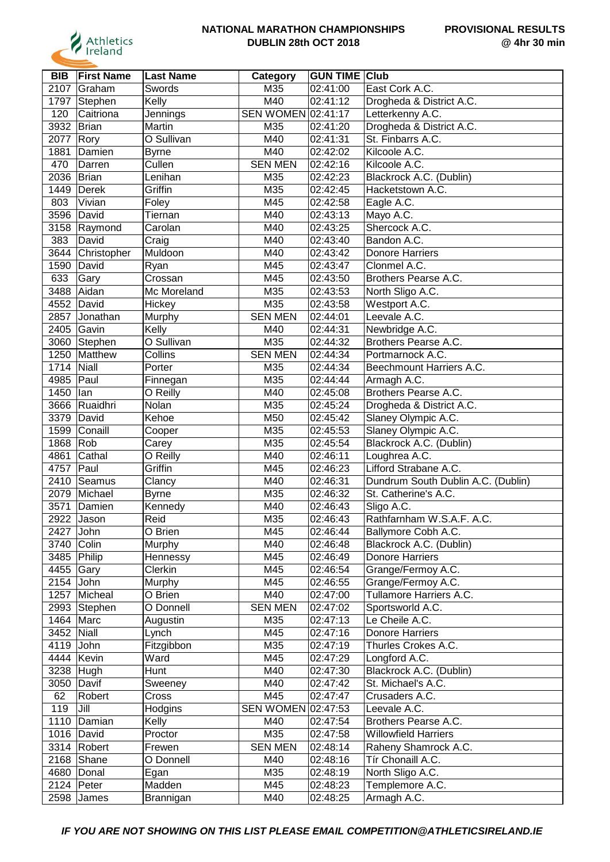

| <b>BIB</b>  | <b>First Name</b> | <b>Last Name</b> | Category                  | <b>GUN TIME Club</b>   |                                    |
|-------------|-------------------|------------------|---------------------------|------------------------|------------------------------------|
| 2107        | Graham            | Swords           | M35                       | 02:41:00               | East Cork A.C.                     |
| 1797        | Stephen           | Kelly            | M40                       | 02:41:12               | Drogheda & District A.C.           |
| 120         | Caitriona         | Jennings         | <b>SEN WOMEN 02:41:17</b> |                        | Letterkenny A.C.                   |
| 3932        | Brian             | Martin           | M35                       | 02:41:20               | Drogheda & District A.C.           |
| 2077        | Rory              | O Sullivan       | M40                       | 02:41:31               | St. Finbarrs A.C.                  |
| 1881        | Damien            | Byrne            | M40                       | 02:42:02               | Kilcoole A.C.                      |
| 470         | Darren            | Cullen           | <b>SEN MEN</b>            | 02:42:16               | Kilcoole A.C.                      |
| 2036        | Brian             | Lenihan          | M35                       | 02:42:23               | Blackrock A.C. (Dublin)            |
| 1449        | Derek             | Griffin          | M35                       | $\overline{0}$ 2:42:45 | Hacketstown A.C.                   |
| 803         | Vivian            | Foley            | M45                       | 02:42:58               | Eagle A.C.                         |
| 3596        | David             | Tiernan          | M40                       | 02:43:13               | Mayo A.C.                          |
| 3158        | Raymond           | Carolan          | M40                       | 02:43:25               | Shercock A.C.                      |
| 383         | David             | Craig            | M40                       | 02:43:40               | Bandon A.C.                        |
| 3644        | Christopher       | Muldoon          | M40                       | 02:43:42               | <b>Donore Harriers</b>             |
| 1590        | David             | Ryan             | M45                       | 02:43:47               | Clonmel A.C.                       |
| 633         | Gary              | Crossan          | M45                       | 02:43:50               | Brothers Pearse A.C.               |
| 3488        | Aidan             | Mc Moreland      | M35                       | 02:43:53               | North Sligo A.C.                   |
| 4552        | David             | Hickey           | M35                       | 02:43:58               | Westport A.C.                      |
| 2857        | Jonathan          | Murphy           | <b>SEN MEN</b>            | 02:44:01               | Leevale A.C.                       |
| 2405        | Gavin             | Kelly            | M40                       | 02:44:31               | Newbridge A.C.                     |
| 3060        | Stephen           | O Sullivan       | M35                       | 02:44:32               | Brothers Pearse A.C.               |
| 1250        | Matthew           | Collins          | <b>SEN MEN</b>            | 02:44:34               | Portmarnock A.C.                   |
| 1714        | Niall             | Porter           | M35                       | 02:44:34               | Beechmount Harriers A.C.           |
| 4985        | Paul              | Finnegan         | M35                       | 02:44:44               | Armagh A.C.                        |
| 1450        | lan               | O Reilly         | M40                       | 02:45:08               | Brothers Pearse A.C.               |
| 3666        | Ruaidhri          | Nolan            | M35                       | 02:45:24               | Drogheda & District A.C.           |
| 3379        | David             | Kehoe            | M50                       | 02:45:42               | Slaney Olympic A.C.                |
| 1599        | Conaill           | Cooper           | M35                       | 02:45:53               | Slaney Olympic A.C.                |
| 1868        | Rob               | Carey            | M35                       | 02:45:54               | Blackrock A.C. (Dublin)            |
| 4861        | Cathal            | O Reilly         | M40                       | 02:46:11               | Loughrea A.C.                      |
| 4757        | Paul              | Griffin          | M45                       | 02:46:23               | Lifford Strabane A.C.              |
| 2410        | Seamus            | Clancy           | M40                       | 02:46:31               | Dundrum South Dublin A.C. (Dublin) |
| 2079        | Michael           | <b>Byrne</b>     | M35                       | 02:46:32               | St. Catherine's A.C.               |
| 3571        | Damien            | Kennedy          | M40                       | 02:46:43               | Sligo A.C.                         |
| 2922        | Jason             | Reid             | M35                       | 02:46:43               | Rathfarnham W.S.A.F. A.C.          |
| 2427 John   |                   | O Brien          | M45                       | 02:46:44               | Ballymore Cobh A.C.                |
| 3740 Colin  |                   | Murphy           | M40                       | 02:46:48               | Blackrock A.C. (Dublin)            |
|             | 3485 Philip       | Hennessy         | M45                       | 02:46:49               | <b>Donore Harriers</b>             |
| 4455 Gary   |                   | Clerkin          | M45                       | 02:46:54               | Grange/Fermoy A.C.                 |
| $2154$ John |                   | Murphy           | M45                       | 02:46:55               | Grange/Fermoy A.C.                 |
| 1257        | Micheal           | O Brien          | M40                       | 02:47:00               | Tullamore Harriers A.C.            |
|             | 2993 Stephen      | O Donnell        | <b>SEN MEN</b>            | 02:47:02               | Sportsworld A.C.                   |
| 1464 Marc   |                   | Augustin         | M35                       | 02:47:13               | Le Cheile A.C.                     |
| 3452        | Niall             | Lynch            | M45                       | 02:47:16               | <b>Donore Harriers</b>             |
| 4119        | John              | Fitzgibbon       | M35                       | 02:47:19               | Thurles Crokes A.C.                |
| 4444        | Kevin             | Ward             | M45                       | 02:47:29               | Longford A.C.                      |
| 3238        | Hugh              | Hunt             | M40                       | 02:47:30               | Blackrock A.C. (Dublin)            |
| 3050        | Davif             | Sweeney          | M40                       | 02:47:42               | St. Michael's A.C.                 |
| 62          | Robert            | Cross            | M45                       | 02:47:47               | Crusaders A.C.                     |
| 119         | Jill              | Hodgins          | SEN WOMEN 02:47:53        |                        | Leevale A.C.                       |
| 1110        | Damian            | Kelly            | M40                       | 02:47:54               | Brothers Pearse A.C.               |
|             | 1016 David        | Proctor          | M35                       | 02:47:58               | <b>Willowfield Harriers</b>        |
|             | 3314 Robert       | Frewen           | <b>SEN MEN</b>            | 02:48:14               | Raheny Shamrock A.C.               |
| 2168        | Shane             | O Donnell        | M40                       | 02:48:16               | Tír Chonaill A.C.                  |
|             | 4680 Donal        | Egan             | M35                       | 02:48:19               | North Sligo A.C.                   |
|             | 2124 Peter        | Madden           | M45                       | 02:48:23               | Templemore A.C.                    |
|             | 2598 James        | Brannigan        | M40                       | 02:48:25               | Armagh A.C.                        |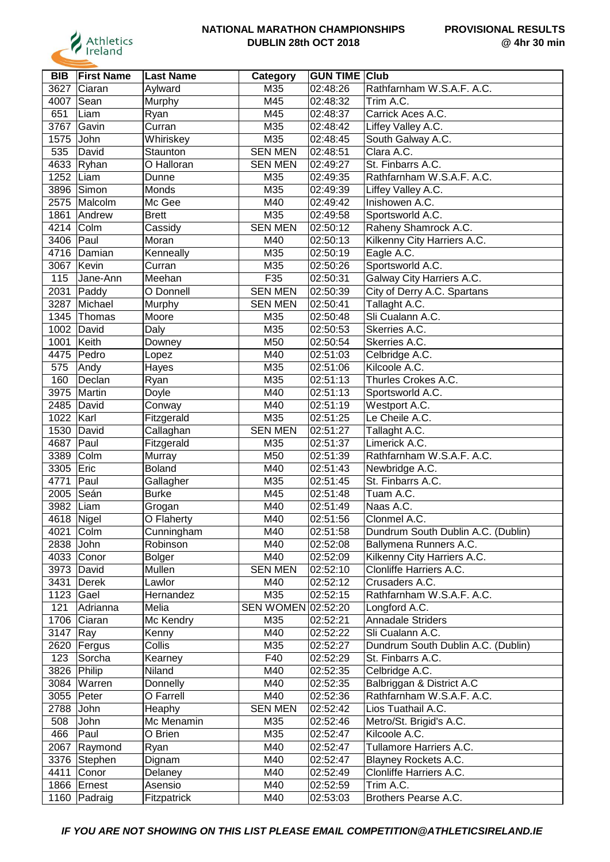

| <b>BIB</b> | <b>First Name</b> | <b>Last Name</b>   | Category           | <b>GUN TIME</b>        | <b>Club</b>                        |
|------------|-------------------|--------------------|--------------------|------------------------|------------------------------------|
| 3627       | Ciaran            | Aylward            | M35                | 02:48:26               | Rathfarnham W.S.A.F. A.C.          |
| 4007       | Sean              | Murphy             | M45                | 02:48:32               | Trim A.C.                          |
| 651        | Liam              | Ryan               | M45                | 02:48:37               | Carrick Aces A.C.                  |
| 3767       | Gavin             | Curran             | M35                | 02:48:42               | Liffey Valley A.C.                 |
| 1575       | John              | Whiriskey          | M35                | 02:48:45               | South Galway A.C.                  |
| 535        | David             | Staunton           | <b>SEN MEN</b>     | 02:48:51               | Clara A.C.                         |
| 4633       | $\vert$ Ryhan     | O Halloran         | <b>SEN MEN</b>     | 02:49:27               | St. Finbarrs A.C.                  |
| 1252       | Liam              | Dunne              | M35                | 02:49:35               | Rathfarnham W.S.A.F. A.C.          |
| 3896       | Simon             | Monds              | M35                | 02:49:39               | Liffey Valley A.C.                 |
| 2575       | Malcolm           | Mc Gee             | M40                | 02:49:42               | Inishowen A.C.                     |
| 1861       | Andrew            | <b>Brett</b>       | M35                | 02:49:58               | Sportsworld A.C.                   |
| 4214       | Colm              | Cassidy            | <b>SEN MEN</b>     | 02:50:12               | Raheny Shamrock A.C.               |
| 3406       | Paul              | Moran              | M40                | 02:50:13               | Kilkenny City Harriers A.C.        |
| 4716       | Damian            | Kenneally          | M35                | 02:50:19               | Eagle A.C.                         |
| 3067       | Kevin             | Curran             | M35                | 02:50:26               | Sportsworld A.C.                   |
| 115        | Jane-Ann          | Meehan             | F35                | 02:50:31               | Galway City Harriers A.C.          |
| 2031       | Paddy             | O Donnell          | <b>SEN MEN</b>     | 02:50:39               | City of Derry A.C. Spartans        |
| 3287       | Michael           | Murphy             | <b>SEN MEN</b>     | 02:50:41               | Tallaght A.C.                      |
| 1345       | Thomas            | Moore              | M35                | 02:50:48               | Sli Cualann A.C.                   |
| 1002       | David             | Daly               | M35                | 02:50:53               | Skerries A.C.                      |
| 1001       | Keith             | Downey             | M50                | 02:50:54               | Skerries A.C.                      |
| 4475       | Pedro             | Lopez              | M40                | 02:51:03               | Celbridge A.C.                     |
| 575        | Andy              | Hayes              | M35                | 02:51:06               | Kilcoole A.C.                      |
| 160        | Declan            | Ryan               | M35                | 02:51:13               | Thurles Crokes A.C.                |
| 3975       | Martin            | Doyle              | M40                | 02:51:13               | Sportsworld A.C.                   |
| 2485       | David             | Conway             | M40                | 02:51:19               | Westport A.C.                      |
| 1022       | Karl              | Fitzgerald         | M35                | 02:51:25               | Le Cheile A.C.                     |
| 1530       | David             | Callaghan          | <b>SEN MEN</b>     | 02:51:27               | Tallaght A.C.                      |
| 4687       | Paul              | Fitzgerald         | M35                | 02:51:37               | Limerick A.C.                      |
| 3389       | Colm              | Murray             | M50                | 02:51:39               | Rathfarnham W.S.A.F. A.C.          |
| 3305       | Eric              | <b>Boland</b>      | M40                | 02:51:43               | Newbridge A.C.                     |
| 4771       | Paul              | Gallagher          | M35                | 02:51:45               | St. Finbarrs A.C.                  |
| 2005       | Seán              | <b>Burke</b>       | M45                | 02:51:48               | Tuam A.C.                          |
| 3982       | Liam              | Grogan             | M40                | 02:51:49               | Naas A.C.                          |
| 4618 Nigel |                   | O Flaherty         | M40                | 02:51:56               | Clonmel A.C.                       |
| 4021 Colm  |                   | Cunningham         | M40                | 02:51:58               | Dundrum South Dublin A.C. (Dublin) |
| 2838 John  |                   | Robinson           | M40                | 02:52:08               | Ballymena Runners A.C.             |
|            | 4033 Conor        |                    | M40                | 02:52:09               | Kilkenny City Harriers A.C.        |
| 3973       |                   | Bolger<br>Mullen   | <b>SEN MEN</b>     | 02:52:10               | Clonliffe Harriers A.C.            |
| 3431       | David             | Lawlor             | M40                | 02:52:12               | Crusaders A.C.                     |
|            | Derek             |                    | M35                |                        | Rathfarnham W.S.A.F. A.C.          |
| 1123       | Gael              | Hernandez<br>Melia | SEN WOMEN 02:52:20 | 02:52:15               |                                    |
| 121        | Adrianna          |                    |                    |                        | Longford A.C.<br>Annadale Striders |
|            | 1706 Ciaran       | Mc Kendry          | M35                | $\overline{0}$ 2:52:21 |                                    |
| 3147       | $\vert$ Ray       | Kenny              | M40                | 02:52:22               | Sli Cualann A.C.                   |
|            | 2620   Fergus     | Collis             | M35                | 02:52:27               | Dundrum South Dublin A.C. (Dublin) |
| 123        | Sorcha            | Kearney            | F40                | 02:52:29               | St. Finbarrs A.C.                  |
| 3826       | Philip            | Niland             | M40                | 02:52:35               | Celbridge A.C.                     |
| 3084       | Warren            | Donnelly           | M40                | 02:52:35               | Balbriggan & District A.C          |
|            | 3055 Peter        | O Farrell          | M40                | 02:52:36               | Rathfarnham W.S.A.F. A.C.          |
| 2788       | John              | Heaphy             | <b>SEN MEN</b>     | 02:52:42               | Lios Tuathail A.C.                 |
| 508        | John              | Mc Menamin         | M35                | 02:52:46               | Metro/St. Brigid's A.C.            |
| 466        | Paul              | O Brien            | M35                | 02:52:47               | Kilcoole A.C.                      |
| 2067       | Raymond           | Ryan               | M40                | 02:52:47               | Tullamore Harriers A.C.            |
|            | 3376 Stephen      | Dignam             | M40                | 02:52:47               | Blayney Rockets A.C.               |
| 4411       | Conor             | Delaney            | M40                | 02:52:49               | Clonliffe Harriers A.C.            |
|            | 1866 Ernest       | Asensio            | M40                | 02:52:59               | Trim A.C.                          |
|            | 1160 Padraig      | Fitzpatrick        | M40                | 02:53:03               | Brothers Pearse A.C.               |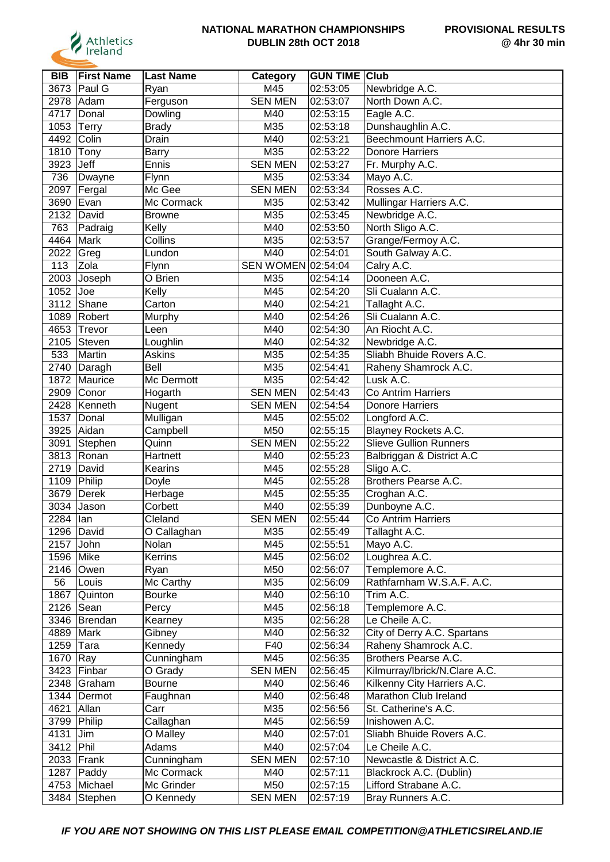

| <b>BIB</b> | <b>First Name</b> | <b>Last Name</b> | Category         | <b>GUN TIME Club</b> |                                             |
|------------|-------------------|------------------|------------------|----------------------|---------------------------------------------|
| 3673       | Paul G            | Ryan             | M45              | 02:53:05             | Newbridge A.C.                              |
| 2978       | Adam              | Ferguson         | <b>SEN MEN</b>   | 02:53:07             | North Down A.C.                             |
| 4717       | Donal             | Dowling          | M40              | 02:53:15             | Eagle A.C.                                  |
| 1053       | Terry             | <b>Brady</b>     | M35              | 02:53:18             | Dunshaughlin A.C.                           |
| 4492       | Colin             | Drain            | M40              | 02:53:21             | Beechmount Harriers A.C.                    |
| 1810       | Tony              | <b>Barry</b>     | M35              | 02:53:22             | <b>Donore Harriers</b>                      |
| 3923       | Jeff              | Ennis            | <b>SEN MEN</b>   | 02:53:27             | Fr. Murphy A.C.                             |
| 736        | Dwayne            | Flynn            | M35              | 02:53:34             | Mayo A.C.                                   |
| 2097       | Fergal            | Mc Gee           | <b>SEN MEN</b>   | 02:53:34             | Rosses A.C.                                 |
| 3690       | Evan              | Mc Cormack       | M35              | 02:53:42             | Mullingar Harriers A.C.                     |
| 2132       | David             | <b>Browne</b>    | M35              | 02:53:45             | Newbridge A.C.                              |
| 763        | Padraig           | Kelly            | M40              | 02:53:50             | North Sligo A.C.                            |
| 4464       | Mark              | Collins          | M35              | 02:53:57             | Grange/Fermoy A.C.                          |
| 2022       | Greg              | Lundon           | M40              | 02:54:01             | South Galway A.C.                           |
| 113        | Zola              | Flynn            | <b>SEN WOMEN</b> | 02:54:04             | Calry A.C.                                  |
| 2003       | Joseph            | O Brien          | M35              | 02:54:14             | Dooneen A.C.                                |
| 1052       | Joe               | Kelly            | M45              | 02:54:20             | Sli Cualann A.C.                            |
| 3112       | Shane             | Carton           | M40              | 02:54:21             | Tallaght A.C.                               |
| 1089       | Robert            | Murphy           | M40              | 02:54:26             | Sli Cualann A.C.                            |
| 4653       | Trevor            | Leen             | M40              | 02:54:30             | An Riocht A.C.                              |
|            |                   |                  |                  | 02:54:32             |                                             |
| 2105       | Steven            | Loughlin         | M40              |                      | Newbridge A.C.<br>Sliabh Bhuide Rovers A.C. |
| 533        | Martin            | <b>Askins</b>    | M35              | 02:54:35             |                                             |
| 2740       | Daragh            | Bell             | M35              | 02:54:41             | Raheny Shamrock A.C.                        |
| 1872       | Maurice           | Mc Dermott       | M35              | 02:54:42             | Lusk A.C.                                   |
| 2909       | Conor             | Hogarth          | <b>SEN MEN</b>   | 02:54:43             | Co Antrim Harriers                          |
| 2428       | Kenneth           | Nugent           | <b>SEN MEN</b>   | 02:54:54             | <b>Donore Harriers</b>                      |
| 1537       | Donal             | Mulligan         | M45              | 02:55:02             | Longford A.C.                               |
| 3925       | Aidan             | Campbell         | M50              | 02:55:15             | Blayney Rockets A.C.                        |
| 3091       | Stephen           | Quinn            | <b>SEN MEN</b>   | 02:55:22             | <b>Slieve Gullion Runners</b>               |
| 3813       | Ronan             | Hartnett         | M40              | 02:55:23             | Balbriggan & District A.C                   |
| 2719       | David             | Kearins          | M45              | 02:55:28             | Sligo A.C.                                  |
| 1109       | Philip            | Doyle            | M45              | 02:55:28             | Brothers Pearse A.C.                        |
| 3679       | Derek             | Herbage          | M45              | 02:55:35             | Croghan A.C.                                |
| 3034       | Jason             | Corbett          | M40              | 02:55:39             | Dunboyne A.C.                               |
| 2284       | lan               | Cleland          | <b>SEN MEN</b>   | 02:55:44             | Co Antrim Harriers                          |
|            | 1296 David        | O Callaghan      | M35              | 02:55:49             | Tallaght A.C.                               |
| 2157       | John              | Nolan            | M45              | 02:55:51             | Mayo A.C.                                   |
| 1596 Mike  |                   | Kerrins          | M45              | 02:56:02             | Loughrea A.C.                               |
| 2146       | Owen              | Ryan             | M50              | 02:56:07             | Templemore A.C.                             |
| 56         | Louis             | Mc Carthy        | M35              | 02:56:09             | Rathfarnham W.S.A.F. A.C.                   |
| 1867       | Quinton           | <b>Bourke</b>    | M40              | 02:56:10             | Trim A.C.                                   |
| 2126       | Sean              | Percy            | M45              | 02:56:18             | Templemore A.C.                             |
|            | 3346 Brendan      | Kearney          | M35              | 02:56:28             | Le Cheile A.C.                              |
| 4889       | Mark              | Gibney           | M40              | 02:56:32             | City of Derry A.C. Spartans                 |
| 1259       | Tara              | Kennedy          | F40              | 02:56:34             | Raheny Shamrock A.C.                        |
| 1670       | $\vert$ Ray       | Cunningham       | M45              | 02:56:35             | Brothers Pearse A.C.                        |
| 3423       | Finbar            | O Grady          | <b>SEN MEN</b>   | 02:56:45             | Kilmurray/Ibrick/N.Clare A.C.               |
| 2348       | Graham            | <b>Bourne</b>    | M40              | 02:56:46             | Kilkenny City Harriers A.C.                 |
| 1344       | Dermot            | Faughnan         | M40              | 02:56:48             | Marathon Club Ireland                       |
| 4621       | Allan             | Carr             | M35              | 02:56:56             | St. Catherine's A.C.                        |
| 3799       | Philip            | Callaghan        | M45              | 02:56:59             | Inishowen A.C.                              |
| 4131       | Jim               | O Malley         | M40              | 02:57:01             | Sliabh Bhuide Rovers A.C.                   |
| 3412 Phil  |                   | Adams            | M40              | 02:57:04             | Le Cheile A.C.                              |
|            | 2033 Frank        | Cunningham       | <b>SEN MEN</b>   | 02:57:10             | Newcastle & District A.C.                   |
| 1287       | Paddy             | Mc Cormack       | M40              | 02:57:11             | Blackrock A.C. (Dublin)                     |
|            | 4753 Michael      | Mc Grinder       | M50              | 02:57:15             | Lifford Strabane A.C.                       |
|            | 3484 Stephen      | O Kennedy        | <b>SEN MEN</b>   | 02:57:19             | Bray Runners A.C.                           |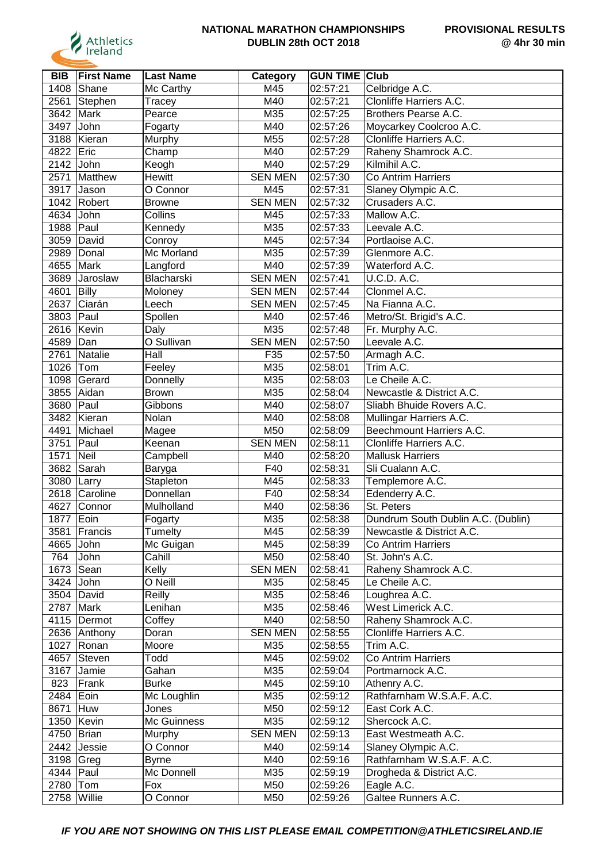

| <b>BIB</b>   | <b>First Name</b> | <b>Last Name</b>  | Category       | <b>GUN TIME Club</b> |                                    |
|--------------|-------------------|-------------------|----------------|----------------------|------------------------------------|
| 1408         | Shane             | Mc Carthy         | M45            | 02:57:21             | Celbridge A.C.                     |
| 2561         | Stephen           | Tracey            | M40            | 02:57:21             | <b>Clonliffe Harriers A.C.</b>     |
| 3642         | Mark              | Pearce            | M35            | 02:57:25             | Brothers Pearse A.C.               |
| 3497         | John              | Fogarty           | M40            | 02:57:26             | Moycarkey Coolcroo A.C.            |
| 3188         | Kieran            | Murphy            | M55            | 02:57:28             | Clonliffe Harriers A.C.            |
| 4822         | Eric              | Champ             | M40            | 02:57:29             | Raheny Shamrock A.C.               |
| 2142         | John              | Keogh             | M40            | 02:57:29             | Kilmihil A.C.                      |
| 2571         | Matthew           | Hewitt            | <b>SEN MEN</b> | 02:57:30             | <b>Co Antrim Harriers</b>          |
| 3917         | Jason             | O Connor          | M45            | 02:57:31             | Slaney Olympic A.C.                |
|              |                   |                   | <b>SEN MEN</b> |                      |                                    |
| 1042         | Robert            | <b>Browne</b>     |                | 02:57:32             | Crusaders A.C.                     |
| 4634         | John              | Collins           | M45            | 02:57:33             | Mallow A.C.                        |
| 1988         | Paul              | Kennedy           | M35            | 02:57:33             | Leevale A.C.                       |
| 3059         | David             | Conroy            | M45            | 02:57:34             | Portlaoise A.C.                    |
| 2989         | Donal             | Mc Morland        | M35            | 02:57:39             | Glenmore A.C.                      |
| 4655         | Mark              | Langford          | M40            | 02:57:39             | Waterford A.C.                     |
| 3689         | Jaroslaw          | <b>Blacharski</b> | <b>SEN MEN</b> | 02:57:41             | <b>U.C.D. A.C.</b>                 |
| 4601         | Billy             | Moloney           | <b>SEN MEN</b> | 02:57:44             | Clonmel A.C.                       |
| 2637         | Ciarán            | Leech             | <b>SEN MEN</b> | 02:57:45             | Na Fianna A.C.                     |
| 3803         | Paul              | Spollen           | M40            | 02:57:46             | Metro/St. Brigid's A.C.            |
| 2616         | Kevin             | Daly              | M35            | 02:57:48             | Fr. Murphy A.C.                    |
| 4589         | Dan               | O Sullivan        | <b>SEN MEN</b> | 02:57:50             | Leevale A.C.                       |
| 2761         | Natalie           | Hall              | F35            | 02:57:50             | Armagh A.C.                        |
| 1026         | Tom               | Feeley            | M35            | 02:58:01             | Trim A.C.                          |
| 1098         | Gerard            | Donnelly          | M35            | 02:58:03             | Le Cheile A.C.                     |
| 3855         | Aidan             | <b>Brown</b>      | M35            | 02:58:04             | Newcastle & District A.C.          |
| 3680         | Paul              | Gibbons           | M40            | 02:58:07             | Sliabh Bhuide Rovers A.C.          |
| 3482         | Kieran            | Nolan             | M40            | 02:58:08             | Mullingar Harriers A.C.            |
| 4491         | Michael           | Magee             | M50            | 02:58:09             | Beechmount Harriers A.C.           |
| 3751         | Paul              | Keenan            | <b>SEN MEN</b> | 02:58:11             | Clonliffe Harriers A.C.            |
| 1571         | Neil              |                   | M40            | 02:58:20             | <b>Mallusk Harriers</b>            |
|              |                   | Campbell          |                |                      |                                    |
| 3682         | Sarah             | Baryga            | F40            | 02:58:31             | Sli Cualann A.C.                   |
| 3080         | Larry             | Stapleton         | M45            | 02:58:33             | Templemore A.C.                    |
| 2618         | Caroline          | Donnellan         | F40            | 02:58:34             | Edenderry A.C.                     |
| 4627         | Connor            | Mulholland        | M40            | 02:58:36             | St. Peters                         |
| 1877         | Eoin              | Fogarty           | M35            | 02:58:38             | Dundrum South Dublin A.C. (Dublin) |
| 3581         | Francis           | Tumelty           | M45            | 02:58:39             | Newcastle & District A.C.          |
| 4665 John    |                   | Mc Guigan         | M45            | 02:58:39             | Co Antrim Harriers                 |
| 764          | John              | Cahill            | M50            | 02:58:40             | St. John's A.C.                    |
| 1673         | Sean              | Kelly             | <b>SEN MEN</b> | 02:58:41             | Raheny Shamrock A.C.               |
| 3424 John    |                   | O Neill           | M35            | 02:58:45             | Le Cheile A.C.                     |
|              | 3504 David        | Reilly            | M35            | 02:58:46             | Loughrea A.C.                      |
| 2787         | Mark              | Lenihan           | M35            | 02:58:46             | West Limerick A.C.                 |
|              | 4115   Dermot     | Coffey            | M40            | 02:58:50             | Raheny Shamrock A.C.               |
|              | 2636 Anthony      | Doran             | <b>SEN MEN</b> | 02:58:55             | Clonliffe Harriers A.C.            |
| 1027         | Ronan             | Moore             | M35            | 02:58:55             | Trim A.C.                          |
| 4657         | Steven            | Todd              | M45            | 02:59:02             | Co Antrim Harriers                 |
| 3167         | Jamie             | Gahan             | M35            | 02:59:04             | Portmarnock A.C.                   |
| 823          | Frank             | Burke             | M45            | 02:59:10             | Athenry A.C.                       |
| 2484         | Eoin              | Mc Loughlin       | M35            | 02:59:12             | Rathfarnham W.S.A.F. A.C.          |
| 8671         | Huw               | Jones             | M50            | 02:59:12             | East Cork A.C.                     |
|              | 1350 Kevin        | Mc Guinness       | M35            | 02:59:12             | Shercock A.C.                      |
| 4750   Brian |                   | Murphy            | <b>SEN MEN</b> | 02:59:13             | East Westmeath A.C.                |
|              | 2442 Jessie       | O Connor          | M40            | 02:59:14             | Slaney Olympic A.C.                |
| 3198 Greg    |                   | <b>Byrne</b>      | M40            | 02:59:16             | Rathfarnham W.S.A.F. A.C.          |
| 4344 Paul    |                   | Mc Donnell        | M35            | 02:59:19             | Drogheda & District A.C.           |
| 2780 Tom     |                   | Fox               | M50            | 02:59:26             | Eagle A.C.                         |
|              |                   |                   |                |                      |                                    |
| 2758 Willie  |                   | O Connor          | M50            | 02:59:26             | Galtee Runners A.C.                |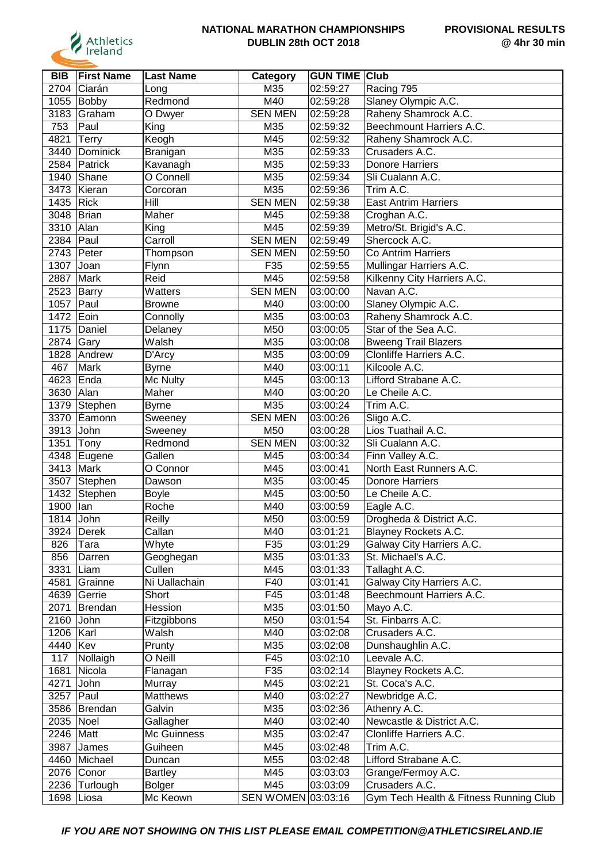

| <b>BIB</b> | <b>First Name</b> | <b>Last Name</b> | Category           | <b>GUN TIME</b> | <b>Club</b>                            |
|------------|-------------------|------------------|--------------------|-----------------|----------------------------------------|
| 2704       | Ciarán            | Long             | M35                | 02:59:27        | Racing 795                             |
| 1055       | Bobby             | Redmond          | M40                | 02:59:28        | Slaney Olympic A.C.                    |
| 3183       | Graham            | O Dwyer          | <b>SEN MEN</b>     | 02:59:28        | Raheny Shamrock A.C.                   |
| 753        | Paul              | King             | M35                | 02:59:32        | Beechmount Harriers A.C.               |
| 4821       | Terry             | Keogh            | M45                | 02:59:32        | Raheny Shamrock A.C.                   |
| 3440       | Dominick          | Branigan         | M35                | 02:59:33        | Crusaders A.C.                         |
| 2584       | Patrick           | Kavanagh         | M35                | 02:59:33        | <b>Donore Harriers</b>                 |
| 1940       | Shane             | O Connell        | M35                | 02:59:34        | Sli Cualann A.C.                       |
| 3473       | Kieran            | Corcoran         | M35                | 02:59:36        | Trim A.C.                              |
| 1435       | Rick              | Hill             | <b>SEN MEN</b>     | 02:59:38        | <b>East Antrim Harriers</b>            |
| 3048       | Brian             | Maher            | M45                | 02:59:38        | Croghan A.C.                           |
| 3310       | Alan              | King             | M45                | 02:59:39        | Metro/St. Brigid's A.C.                |
| 2384       | Paul              | Carroll          | <b>SEN MEN</b>     | 02:59:49        | Shercock A.C.                          |
| 2743       | Peter             | Thompson         | <b>SEN MEN</b>     | 02:59:50        | Co Antrim Harriers                     |
| 1307       | Joan              | Flynn            | F35                | 02:59:55        | Mullingar Harriers A.C.                |
| 2887       | Mark              | Reid             | M45                | 02:59:58        | Kilkenny City Harriers A.C.            |
| 2523       | Barry             | Watters          | <b>SEN MEN</b>     | 03:00:00        | Navan A.C.                             |
| 1057       | Paul              | <b>Browne</b>    | M40                | 03:00:00        | Slaney Olympic A.C.                    |
| 1472       | Eoin              | Connolly         | M35                | 03:00:03        | Raheny Shamrock A.C.                   |
| 1175       | Daniel            | Delaney          | M50                | 03:00:05        | Star of the Sea A.C.                   |
| 2874       | Gary              | Walsh            | M35                | 03:00:08        | <b>Bweeng Trail Blazers</b>            |
| 1828       | Andrew            | D'Arcy           | M35                | 03:00:09        | Clonliffe Harriers A.C.                |
| 467        | Mark              | <b>Byrne</b>     | M40                | 03:00:11        | Kilcoole A.C.                          |
| 4623       | Enda              | Mc Nulty         | M45                | 03:00:13        | Lifford Strabane A.C.                  |
| 3630       | Alan              | Maher            | M40                | 03:00:20        | Le Cheile A.C.                         |
| 1379       | Stephen           | <b>Byrne</b>     | M35                | 03:00:24        | Trim A.C.                              |
| 3370       | Eamonn            | Sweeney          | <b>SEN MEN</b>     | 03:00:26        | Sligo A.C.                             |
| 3913       | John              | Sweeney          | M50                | 03:00:28        | Lios Tuathail A.C.                     |
| 1351       | Tony              | Redmond          | <b>SEN MEN</b>     | 03:00:32        | Sli Cualann A.C.                       |
| 4348       | Eugene            | Gallen           | M45                | 03:00:34        | Finn Valley A.C.                       |
| 3413       | Mark              | O Connor         | M45                | 03:00:41        | North East Runners A.C.                |
| 3507       | Stephen           | Dawson           | M35                | 03:00:45        | <b>Donore Harriers</b>                 |
| 1432       | Stephen           | Boyle            | M45                | 03:00:50        | Le Cheile A.C.                         |
| 1900       | lan               | Roche            | M40                | 03:00:59        | Eagle A.C.                             |
| 1814       | John              | Reilly           | M50                | 03:00:59        | Drogheda & District A.C.               |
|            | 3924 Derek        | Callan           | M40                | 03:01:21        | Blayney Rockets A.C.                   |
| 826        | Tara              | Whyte            | F35                | 03:01:29        | Galway City Harriers A.C.              |
| 856        | Darren            | Geoghegan        | M35                | 03:01:33        | St. Michael's A.C.                     |
| 3331       | Liam              | Cullen           | M45                | 03:01:33        | Tallaght A.C.                          |
| 4581       | Grainne           | Ni Uallachain    | F40                | 03:01:41        | Galway City Harriers A.C.              |
| 4639       | Gerrie            | Short            | F45                | 03:01:48        | Beechmount Harriers A.C.               |
| 2071       | Brendan           | Hession          | M35                | 03:01:50        | Mayo A.C.                              |
| 2160 John  |                   | Fitzgibbons      | M50                | 03:01:54        | St. Finbarrs A.C.                      |
| 1206       | Karl              | Walsh            | M40                | 03:02:08        | Crusaders A.C.                         |
| 4440       | Kev               | Prunty           | M35                | 03:02:08        | Dunshaughlin A.C.                      |
| 117        | Nollaigh          | O Neill          | F45                | 03:02:10        | Leevale A.C.                           |
| 1681       | Nicola            | Flanagan         | F35                | 03:02:14        | Blayney Rockets A.C.                   |
| 4271       | John              | Murray           | M45                | 03:02:21        | St. Coca's A.C.                        |
| 3257       | Paul              | Matthews         | M40                | 03:02:27        | Newbridge A.C.                         |
|            | 3586 Brendan      | Galvin           | M35                | 03:02:36        | Athenry A.C.                           |
| 2035 Noel  |                   | Gallagher        | M40                | 03:02:40        | Newcastle & District A.C.              |
| 2246 Matt  |                   | Mc Guinness      | M35                | 03:02:47        | Clonliffe Harriers A.C.                |
| 3987       | James             | Guiheen          | M45                | 03:02:48        | Trim A.C.                              |
|            | 4460 Michael      | Duncan           | M55                | 03:02:48        | Lifford Strabane A.C.                  |
|            | 2076 Conor        | Bartley          | M45                | 03:03:03        | Grange/Fermoy A.C.                     |
|            | 2236 Turlough     | <b>Bolger</b>    | M45                | 03:03:09        | Crusaders A.C.                         |
| 1698       | Liosa             | Mc Keown         | SEN WOMEN 03:03:16 |                 | Gym Tech Health & Fitness Running Club |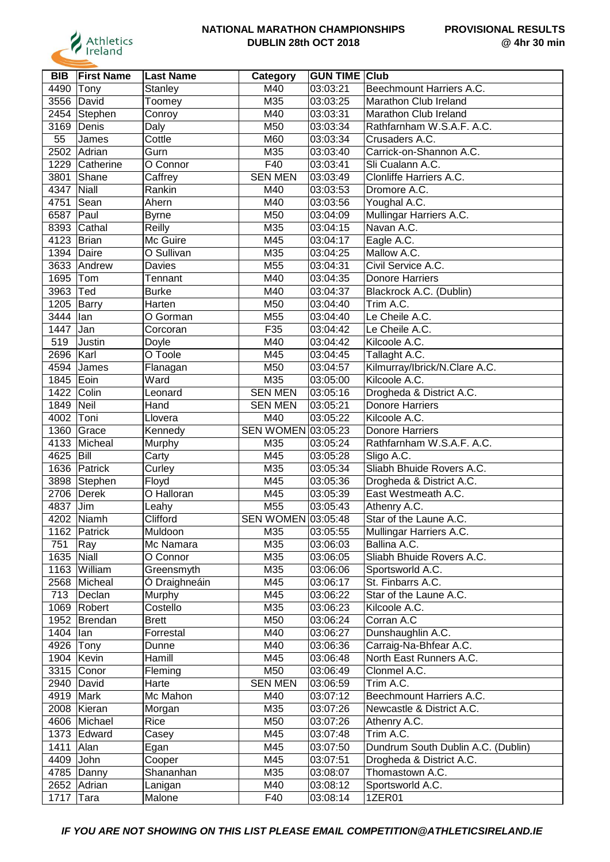

| <b>BIB</b> | <b>First Name</b> | <b>Last Name</b> | Category           | <b>GUN TIME Club</b> |                                    |
|------------|-------------------|------------------|--------------------|----------------------|------------------------------------|
| 4490       | Tony              | <b>Stanley</b>   | M40                | 03:03:21             | Beechmount Harriers A.C.           |
| 3556       | David             | Toomey           | M35                | 03:03:25             | Marathon Club Ireland              |
| 2454       | Stephen           | Conroy           | M40                | 03:03:31             | Marathon Club Ireland              |
| 3169       | Denis             | Daly             | M50                | 03:03:34             | Rathfarnham W.S.A.F. A.C.          |
| 55         | James             | Cottle           | M60                | 03:03:34             | Crusaders A.C.                     |
| 2502       | Adrian            | Gurn             | M35                | 03:03:40             | Carrick-on-Shannon A.C.            |
| 1229       | Catherine         | O Connor         | F40                | 03:03:41             | Sli Cualann A.C.                   |
| 3801       | Shane             | Caffrey          | <b>SEN MEN</b>     | 03:03:49             | Clonliffe Harriers A.C.            |
| 4347       | Niall             | Rankin           | M40                | 03:03:53             | Dromore A.C.                       |
| 4751       | Sean              | Ahern            | M40                | 03:03:56             | Youghal A.C.                       |
|            |                   |                  |                    | 03:04:09             |                                    |
| 6587       | Paul              | Byrne            | M50                |                      | Mullingar Harriers A.C.            |
| 8393       | Cathal            | Reilly           | M35                | 03:04:15             | Navan A.C.                         |
| 4123       | Brian             | Mc Guire         | M45                | 03:04:17             | Eagle A.C.                         |
| 1394       | Daire             | O Sullivan       | M35                | 03:04:25             | Mallow A.C.                        |
| 3633       | Andrew            | Davies           | M55                | 03:04:31             | Civil Service A.C.                 |
| 1695       | Tom               | Tennant          | M40                | 03:04:35             | <b>Donore Harriers</b>             |
| 3963       | Ted               | <b>Burke</b>     | M40                | 03:04:37             | Blackrock A.C. (Dublin)            |
| 1205       | Barry             | Harten           | M50                | 03:04:40             | Trim A.C.                          |
| 3444       | lan               | O Gorman         | M55                | 03:04:40             | Le Cheile A.C.                     |
| 1447       | Jan               | Corcoran         | F35                | 03:04:42             | Le Cheile A.C.                     |
| 519        | Justin            | Doyle            | M40                | 03:04:42             | Kilcoole A.C.                      |
| 2696       | Karl              | O Toole          | M45                | 03:04:45             | Tallaght A.C.                      |
| 4594       | James             | Flanagan         | M50                | 03:04:57             | Kilmurray/Ibrick/N.Clare A.C.      |
| 1845       | Eoin              | Ward             | M35                | 03:05:00             | Kilcoole A.C.                      |
| 1422       | Colin             | Leonard          | <b>SEN MEN</b>     | 03:05:16             | Drogheda & District A.C.           |
| 1849       | Neil              | Hand             | <b>SEN MEN</b>     | 03:05:21             | <b>Donore Harriers</b>             |
| 4002       | Toni              | Llovera          | M40                | 03:05:22             | Kilcoole A.C.                      |
| 1360       | Grace             | Kennedy          | SEN WOMEN 03:05:23 |                      | Donore Harriers                    |
| 4133       | Micheal           | Murphy           | M35                | 03:05:24             | Rathfarnham W.S.A.F. A.C.          |
| 4625       | Bill              | Carty            | M45                | 03:05:28             | Sligo A.C.                         |
| 1636       | Patrick           | Curley           | M35                | 03:05:34             | Sliabh Bhuide Rovers A.C.          |
| 3898       | Stephen           | Floyd            | M45                | 03:05:36             | Drogheda & District A.C.           |
| 2706       | Derek             | O Halloran       | M45                | 03:05:39             | East Westmeath A.C.                |
| 4837       | Jim               | Leahy            | M55                | 03:05:43             | Athenry A.C.                       |
|            | 4202 Niamh        | Clifford         | SEN WOMEN 03:05:48 |                      | Star of the Laune A.C.             |
|            | 1162 Patrick      | Muldoon          | M35                | 03:05:55             | Mullingar Harriers A.C.            |
| 751        | Ray               | Mc Namara        | M35                | 03:06:03             | Ballina A.C.                       |
| 1635       | Niall             | O Connor         | M35                | 03:06:05             | Sliabh Bhuide Rovers A.C.          |
| 1163       | William           | Greensmyth       | M35                | 03:06:06             | Sportsworld A.C.                   |
| 2568       | Micheal           | O Draighneáin    | M45                | 03:06:17             | St. Finbarrs A.C.                  |
| 713        | Declan            | Murphy           | M45                | 03:06:22             | Star of the Laune A.C.             |
|            | 1069 Robert       | Costello         | M35                | 03:06:23             | Kilcoole A.C.                      |
|            | 1952 Brendan      | <b>Brett</b>     | M50                | 03:06:24             | Corran A.C                         |
| 1404   lan |                   | Forrestal        | M40                | 03:06:27             | Dunshaughlin A.C.                  |
| 4926 Tony  |                   | Dunne            | M40                | 03:06:36             | Carraig-Na-Bhfear A.C.             |
|            | 1904 Kevin        | Hamill           | M45                | 03:06:48             | North East Runners A.C.            |
|            |                   | Fleming          | M50                |                      | Clonmel A.C.                       |
|            | 3315 Conor        |                  |                    | 03:06:49             |                                    |
|            | 2940 David        | Harte            | <b>SEN MEN</b>     | 03:06:59             | Trim A.C.                          |
| 4919 Mark  |                   | Mc Mahon         | M40                | 03:07:12             | Beechmount Harriers A.C.           |
|            | 2008 Kieran       | Morgan           | M35                | 03:07:26             | Newcastle & District A.C.          |
|            | 4606 Michael      | Rice             | M50                | 03:07:26             | Athenry A.C.                       |
|            | 1373 Edward       | Casey            | M45                | 03:07:48             | Trim A.C.                          |
| 1411       | Alan              | Egan             | M45                | 03:07:50             | Dundrum South Dublin A.C. (Dublin) |
| 4409       | John              | Cooper           | M45                | 03:07:51             | Drogheda & District A.C.           |
|            | 4785 Danny        | Shananhan        | M35                | 03:08:07             | Thomastown A.C.                    |
|            | 2652 Adrian       | Lanigan          | M40                | 03:08:12             | Sportsworld A.C.                   |
| 1717       | Tara              | Malone           | F40                | 03:08:14             | 1ZER01                             |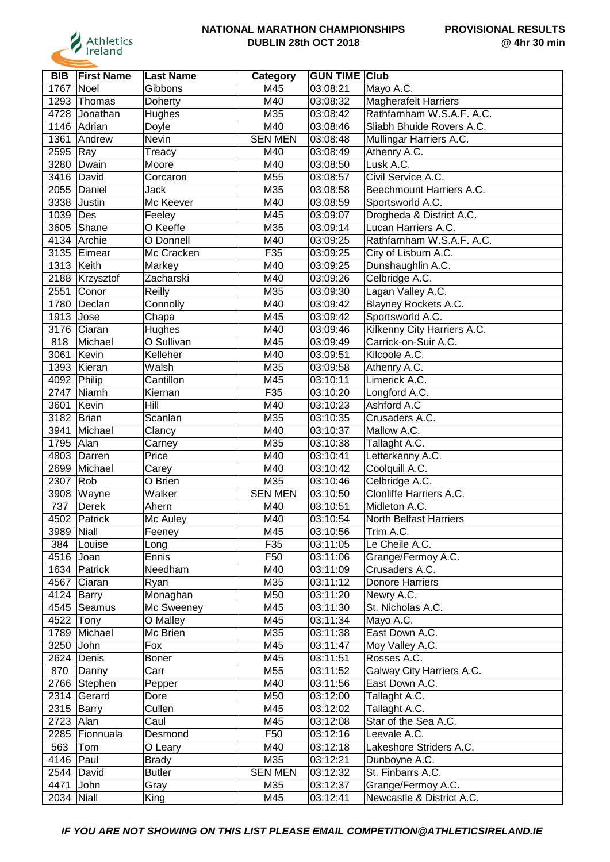

| <b>BIB</b>         | <b>First Name</b> | <b>Last Name</b> | Category        | <b>GUN TIME Club</b> |                                      |
|--------------------|-------------------|------------------|-----------------|----------------------|--------------------------------------|
| 1767               | Noel              | Gibbons          | M45             | 03:08:21             | Mayo A.C.                            |
| 1293               | Thomas            | Doherty          | M40             | 03:08:32             | <b>Magherafelt Harriers</b>          |
| 4728               | Jonathan          | Hughes           | M35             | 03:08:42             | Rathfarnham W.S.A.F. A.C.            |
|                    | 1146 Adrian       | Doyle            | M40             | 03:08:46             | Sliabh Bhuide Rovers A.C.            |
| 1361               | Andrew            | Nevin            | <b>SEN MEN</b>  | 03:08:48             | Mullingar Harriers A.C.              |
| 2595               | $\vert$ Ray       | Treacy           | M40             | 03:08:49             | Athenry A.C.                         |
| 3280               | Dwain             | Moore            | M40             | 03:08:50             | Lusk A.C.                            |
|                    | 3416 David        | Corcaron         | M55             | 03:08:57             | Civil Service A.C.                   |
| 2055               | Daniel            | Jack             | M <sub>35</sub> | 03:08:58             | Beechmount Harriers A.C.             |
| 3338               | Justin            | Mc Keever        | M40             | 03:08:59             | Sportsworld A.C.                     |
| 1039               | $\vert$ Des       | Feeley           | M45             | 03:09:07             | Drogheda & District A.C.             |
| 3605               | Shane             | O Keeffe         | M35             | 03:09:14             | Lucan Harriers A.C.                  |
| 4134               | Archie            | O Donnell        | M40             | 03:09:25             | Rathfarnham W.S.A.F. A.C.            |
| 3135               | Eimear            | Mc Cracken       | F35             | 03:09:25             | City of Lisburn A.C.                 |
| 1313               | Keith             | Markey           | M40             | 03:09:25             | Dunshaughlin A.C.                    |
| 2188               | Krzysztof         | Zacharski        | M40             | 03:09:26             | Celbridge A.C.                       |
| 2551               | Conor             | Reilly           | M35             | 03:09:30             | Lagan Valley A.C.                    |
| 1780               | Declan            | Connolly         | M40             | 03:09:42             | Blayney Rockets A.C.                 |
| 1913               | Jose              | Chapa            | M45             | 03:09:42             | Sportsworld A.C.                     |
| 3176               | Ciaran            | Hughes           | M40             | 03:09:46             | Kilkenny City Harriers A.C.          |
| 818                | Michael           | O Sullivan       | M45             | 03:09:49             | Carrick-on-Suir A.C.                 |
| 3061               | Kevin             | Kelleher         | M40             | 03:09:51             | Kilcoole A.C.                        |
| 1393               | Kieran            | Walsh            | M35             | 03:09:58             | Athenry A.C.                         |
| 4092               | Philip            | Cantillon        | M45             | 03:10:11             | Limerick A.C.                        |
| 2747               | Niamh             | Kiernan          | F35             | 03:10:20             | Longford A.C.                        |
| 3601               | Kevin             | Hill             | M40             | 03:10:23             | Ashford A.C                          |
| 3182               | Brian             | Scanlan          | M35             | 03:10:35             | Crusaders A.C.                       |
| 3941               | Michael           | Clancy           | M40             | 03:10:37             | Mallow A.C.                          |
| 1795               | Alan              | Carney           | M35             | 03:10:38             | Tallaght A.C.                        |
| 4803               | Darren            | Price            | M40             | 03:10:41             | Letterkenny A.C.                     |
| 2699               | Michael           | Carey            | M40             | 03:10:42             | Coolquill A.C.                       |
| 2307               | Rob               | O Brien          | M35             | 03:10:46             | Celbridge A.C.                       |
| 3908               | Wayne             | Walker           | <b>SEN MEN</b>  | 03:10:50             | Clonliffe Harriers A.C.              |
| 737                | Derek             | Ahern            | M40             | 03:10:51             | Midleton A.C.                        |
|                    | 4502 Patrick      | Mc Auley         | M40             | 03:10:54             | <b>North Belfast Harriers</b>        |
| 3989 Niall         |                   |                  | M45             | 03:10:56             |                                      |
| 384                |                   | Feeney<br>Long   | F35             | 03:11:05             | Trim A.C.<br>Le Cheile A.C.          |
| 4516 Joan          | Louise            | Ennis            | F50             | 03:11:06             |                                      |
|                    | 1634 Patrick      |                  | M40             | 03:11:09             | Grange/Fermoy A.C.<br>Crusaders A.C. |
|                    |                   | Needham          |                 | 03:11:12             |                                      |
|                    | 4567 Ciaran       | Ryan             | M35             |                      | <b>Donore Harriers</b>               |
| 4124 Barry         |                   | Monaghan         | M50<br>M45      | 03:11:20             | Newry A.C.                           |
| 4522 Tony          | 4545   Seamus     | Mc Sweeney       | M45             | 03:11:30<br>03:11:34 | St. Nicholas A.C.                    |
|                    |                   | O Malley         |                 |                      | Mayo A.C.                            |
|                    | 1789 Michael      | Mc Brien         | M35             | 03:11:38             | East Down A.C.                       |
| 3250 John          |                   | Fox              | M45             | 03:11:47             | Moy Valley A.C.                      |
|                    | 2624 Denis        | Boner            | M45             | 03:11:51             | Rosses A.C.                          |
| 870                | Danny             | Carr             | M55             | 03:11:52             | Galway City Harriers A.C.            |
|                    | 2766 Stephen      | Pepper           | M40             | 03:11:56             | East Down A.C.                       |
|                    | 2314 Gerard       | Dore             | M50             | 03:12:00             | Tallaght A.C.                        |
| 2315 $\vert$ Barry |                   | Cullen           | M45             | 03:12:02             | Tallaght A.C.                        |
| 2723 Alan          |                   | Caul             | M45             | 03:12:08             | Star of the Sea A.C.                 |
|                    | 2285 Fionnuala    | Desmond          | F50             | 03:12:16             | Leevale A.C.                         |
| 563                | Tom               | O Leary          | M40             | 03:12:18             | Lakeshore Striders A.C.              |
| 4146 Paul          |                   | <b>Brady</b>     | M35             | 03:12:21             | Dunboyne A.C.                        |
|                    | 2544 David        | <b>Butler</b>    | <b>SEN MEN</b>  | 03:12:32             | St. Finbarrs A.C.                    |
| 4471               | John              | Gray             | M35             | 03:12:37             | Grange/Fermoy A.C.                   |
| 2034 Niall         |                   | King             | M45             | 03:12:41             | Newcastle & District A.C.            |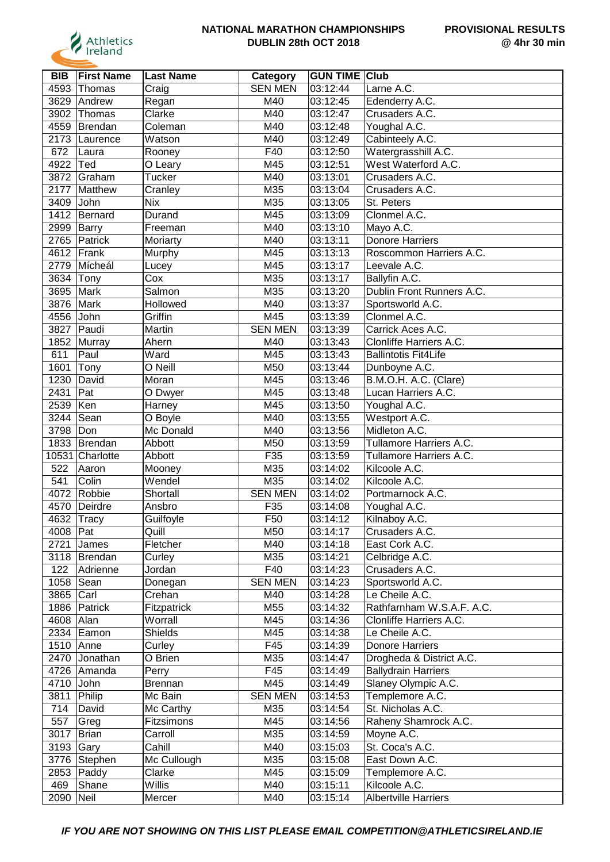

| <b>BIB</b> | <b>First Name</b> | <b>Last Name</b> | Category       | <b>GUN TIME Club</b> |                             |
|------------|-------------------|------------------|----------------|----------------------|-----------------------------|
| 4593       | Thomas            | Craig            | <b>SEN MEN</b> | 03:12:44             | Larne A.C.                  |
| 3629       | Andrew            | Regan            | M40            | 03:12:45             | Edenderry A.C.              |
| 3902       | Thomas            | Clarke           | M40            | 03:12:47             | Crusaders A.C.              |
| 4559       | Brendan           | Coleman          | M40            | 03:12:48             | Youghal A.C.                |
|            | 2173 Laurence     | Watson           | M40            | 03:12:49             | Cabinteely A.C.             |
| 672        | Laura             | Rooney           | F40            | 03:12:50             | Watergrasshill A.C.         |
| 4922       | Ted               | O Leary          | M45            | 03:12:51             | West Waterford A.C.         |
| 3872       | Graham            | <b>Tucker</b>    | M40            | 03:13:01             | Crusaders A.C.              |
| 2177       | Matthew           | Cranley          | M35            | 03:13:04             | Crusaders A.C.              |
| 3409       | John              | <b>Nix</b>       | M35            | 03:13:05             | St. Peters                  |
| 1412       | Bernard           | Durand           | M45            | 03:13:09             | Clonmel A.C.                |
| 2999       | Barry             | Freeman          | M40            | 03:13:10             | Mayo A.C.                   |
| 2765       | Patrick           | Moriarty         | M40            | 03:13:11             | <b>Donore Harriers</b>      |
| 4612       | Frank             | Murphy           | M45            | 03:13:13             | Roscommon Harriers A.C.     |
| 2779       | Mícheál           | Lucey            | M45            | 03:13:17             | Leevale A.C.                |
| 3634       | Tony              | Cox              | M35            | 03:13:17             | Ballyfin A.C.               |
| 3695       | Mark              | Salmon           | M35            | 03:13:20             | Dublin Front Runners A.C.   |
| 3876       | Mark              | Hollowed         | M40            | 03:13:37             | Sportsworld A.C.            |
| 4556       | John              | Griffin          | M45            | 03:13:39             | Clonmel A.C.                |
| 3827       | Paudi             | Martin           | <b>SEN MEN</b> | 03:13:39             | Carrick Aces A.C.           |
| 1852       | Murray            | Ahern            | M40            | 03:13:43             | Clonliffe Harriers A.C.     |
| 611        | Paul              | Ward             | M45            | 03:13:43             | <b>Ballintotis Fit4Life</b> |
| 1601       | Tony              | O Neill          | M50            | 03:13:44             | Dunboyne A.C.               |
| 1230       | David             | Moran            | M45            | 03:13:46             | B.M.O.H. A.C. (Clare)       |
| 2431       | Pat               | O Dwyer          | M45            | 03:13:48             | Lucan Harriers A.C.         |
| 2539       | Ken               | Harney           | M45            | 03:13:50             | Youghal A.C.                |
| 3244       | Sean              | O Boyle          | M40            | 03:13:55             | Westport A.C.               |
| 3798       | Don               | Mc Donald        | M40            | 03:13:56             | Midleton A.C.               |
| 1833       | Brendan           | Abbott           | M50            | 03:13:59             | Tullamore Harriers A.C.     |
| 10531      | Charlotte         | Abbott           | F35            | 03:13:59             | Tullamore Harriers A.C.     |
| 522        | Aaron             | Mooney           | M35            | 03:14:02             | Kilcoole A.C.               |
| 541        | Colin             | Wendel           | M35            | 03:14:02             | Kilcoole A.C.               |
| 4072       | Robbie            | Shortall         | <b>SEN MEN</b> | 03:14:02             | Portmarnock A.C.            |
| 4570       | Deirdre           | Ansbro           | F35            | 03:14:08             | Youghal A.C.                |
| 4632       | <b>Tracy</b>      | Guilfoyle        | F50            | 03:14:12             | Kilnaboy A.C.               |
| 4008   Pat |                   | Quill            | M50            | 03:14:17             | Crusaders A.C.              |
| 2721       | James             | Fletcher         | M40            | 03:14:18             | East Cork A.C.              |
|            | 3118 Brendan      | Curley           | M35            | 03:14:21             | Celbridge A.C.              |
| 122        | Adrienne          | Jordan           | F40            | 03:14:23             | Crusaders A.C.              |
|            | 1058   Sean       | Donegan          | <b>SEN MEN</b> | 03:14:23             | Sportsworld A.C.            |
| 3865       | Carl              | Crehan           | M40            | 03:14:28             | Le Cheile A.C.              |
| 1886       | Patrick           | Fitzpatrick      | M55            | 03:14:32             | Rathfarnham W.S.A.F. A.C.   |
| 4608       | Alan              | Worrall          | M45            | 03:14:36             | Clonliffe Harriers A.C.     |
|            | 2334 Eamon        | <b>Shields</b>   | M45            | 03:14:38             | Le Cheile A.C.              |
| 1510       | Anne              | Curley           | F45            | 03:14:39             | <b>Donore Harriers</b>      |
|            | 2470 Jonathan     | O Brien          | M35            | 03:14:47             | Drogheda & District A.C.    |
| 4726       | Amanda            | Perry            | F45            | 03:14:49             | <b>Ballydrain Harriers</b>  |
| 4710 John  |                   | Brennan          | M45            | 03:14:49             | Slaney Olympic A.C.         |
| 3811       | Philip            | Mc Bain          | <b>SEN MEN</b> | 03:14:53             | Templemore A.C.             |
| 714        | David             | Mc Carthy        | M35            | 03:14:54             | St. Nicholas A.C.           |
| 557        | Greg              | Fitzsimons       | M45            | 03:14:56             | Raheny Shamrock A.C.        |
| 3017       | <b>Brian</b>      | Carroll          | M35            | 03:14:59             | Moyne A.C.                  |
| 3193 Gary  |                   | Cahill           | M40            | 03:15:03             | St. Coca's A.C.             |
|            | 3776 Stephen      | Mc Cullough      | M35            | 03:15:08             | East Down A.C.              |
|            | 2853   Paddy      | Clarke           | M45            | 03:15:09             | Templemore A.C.             |
| 469        | Shane             | Willis           | M40            | 03:15:11             | Kilcoole A.C.               |
| 2090       | Neil              | Mercer           | M40            | 03:15:14             | <b>Albertville Harriers</b> |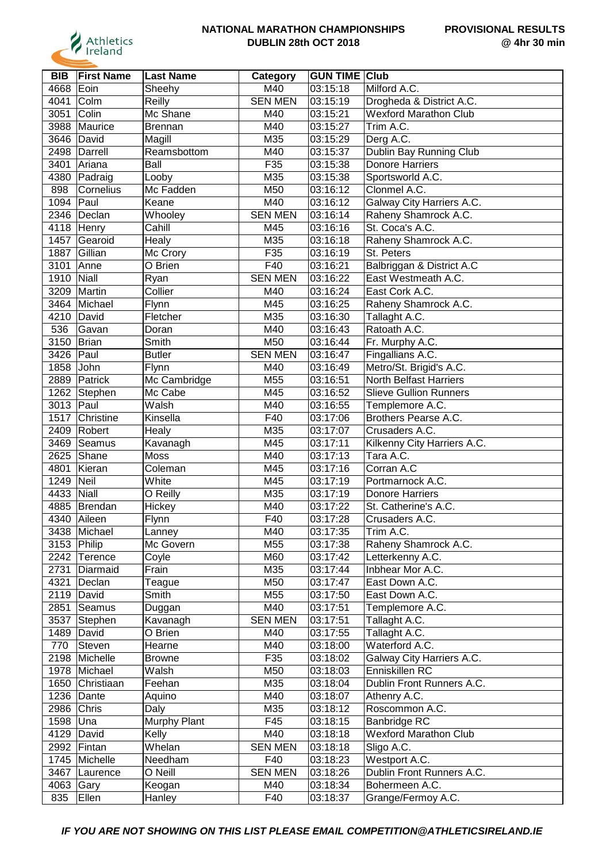

| <b>BIB</b> | <b>First Name</b>          | <b>Last Name</b> | Category       | <b>GUN TIME Club</b> |                                         |
|------------|----------------------------|------------------|----------------|----------------------|-----------------------------------------|
| 4668       | Eoin                       | Sheehy           | M40            | 03:15:18             | Milford A.C.                            |
| 4041       | Colm                       | Reilly           | <b>SEN MEN</b> | 03:15:19             | Drogheda & District A.C.                |
| 3051       | Colin                      | Mc Shane         | M40            | 03:15:21             | <b>Wexford Marathon Club</b>            |
| 3988       | Maurice                    | Brennan          | M40            | 03:15:27             | Trim A.C.                               |
| 3646       | David                      | Magill           | M35            | 03:15:29             | Derg A.C.                               |
|            | 2498 Darrell               | Reamsbottom      | M40            | 03:15:37             | Dublin Bay Running Club                 |
| 3401       | Ariana                     | Ball             | F35            | 03:15:38             | <b>Donore Harriers</b>                  |
| 4380       | $\sqrt{\mathsf{P}}$ adraig | Looby            | M35            | 03:15:38             | Sportsworld A.C.                        |
| 898        | Cornelius                  | Mc Fadden        | M50            | 03:16:12             | Clonmel A.C.                            |
| 1094       | Paul                       | Keane            | M40            | 03:16:12             | Galway City Harriers A.C.               |
|            | 2346   Declan              |                  | <b>SEN MEN</b> |                      |                                         |
|            |                            | Whooley          |                | 03:16:14             | Raheny Shamrock A.C.<br>St. Coca's A.C. |
|            | 4118 Henry                 | Cahill           | M45            | 03:16:16             |                                         |
| 1457       | Gearoid                    | Healy            | M35            | 03:16:18             | Raheny Shamrock A.C.                    |
| 1887       | Gillian                    | Mc Crory         | F35            | 03:16:19             | St. Peters                              |
| 3101       | Anne                       | O Brien          | F40            | 03:16:21             | Balbriggan & District A.C               |
| 1910       | Niall                      | Ryan             | <b>SEN MEN</b> | 03:16:22             | East Westmeath A.C.                     |
| 3209       | Martin                     | Collier          | M40            | 03:16:24             | East Cork A.C.                          |
| 3464       | Michael                    | Flynn            | M45            | 03:16:25             | Raheny Shamrock A.C.                    |
| 4210       | David                      | Fletcher         | M35            | 03:16:30             | Tallaght A.C.                           |
| 536        | Gavan                      | Doran            | M40            | 03:16:43             | Ratoath A.C.                            |
| 3150       | Brian                      | Smith            | M50            | 03:16:44             | Fr. Murphy A.C.                         |
| 3426       | $ $ Paul                   | <b>Butler</b>    | <b>SEN MEN</b> | 03:16:47             | Fingallians A.C.                        |
| 1858       | John                       | Flynn            | M40            | 03:16:49             | Metro/St. Brigid's A.C.                 |
| 2889       | Patrick                    | Mc Cambridge     | M55            | 03:16:51             | <b>North Belfast Harriers</b>           |
| 1262       | Stephen                    | Mc Cabe          | M45            | 03:16:52             | <b>Slieve Gullion Runners</b>           |
| 3013       | Paul                       | Walsh            | M40            | 03:16:55             | Templemore A.C.                         |
| 1517       | Christine                  | Kinsella         | F40            | 03:17:06             | Brothers Pearse A.C.                    |
| 2409       | Robert                     | Healy            | M35            | 03:17:07             | Crusaders A.C.                          |
| 3469       | Seamus                     | Kavanagh         | M45            | 03:17:11             | Kilkenny City Harriers A.C.             |
| 2625       | Shane                      | Moss             | M40            | 03:17:13             | Tara A.C.                               |
| 4801       | Kieran                     | Coleman          | M45            | 03:17:16             | Corran A.C                              |
| 1249       | Neil                       | White            | M45            | 03:17:19             | Portmarnock A.C.                        |
| 4433       | Niall                      | O Reilly         | M35            | 03:17:19             | <b>Donore Harriers</b>                  |
| 4885       | Brendan                    | Hickey           | M40            | 03:17:22             | St. Catherine's A.C.                    |
| 4340       | Aileen                     | Flynn            | F40            | 03:17:28             | Crusaders A.C.                          |
|            | 3438 Michael               | Lanney           | M40            | 03:17:35             | Trim A.C.                               |
|            | 3153 Philip                | Mc Govern        | M55            | 03:17:38             | Raheny Shamrock A.C.                    |
|            | 2242 Terence               | Coyle            | M60            | 03:17:42             | Letterkenny A.C.                        |
| 2731       | Diarmaid                   | Frain            | M35            | 03:17:44             | Inbhear Mor A.C.                        |
| 4321       | Declan                     | Teague           | M50            | 03:17:47             | East Down A.C.                          |
| 2119       | David                      | Smith            | M55            | 03:17:50             | East Down A.C.                          |
| 2851       | Seamus                     | Duggan           | M40            | 03:17:51             | Templemore A.C.                         |
| 3537       | Stephen                    | Kavanagh         | <b>SEN MEN</b> | 03:17:51             | Tallaght A.C.                           |
| 1489       | David                      | O Brien          | M40            | 03:17:55             | Tallaght A.C.                           |
| 770        | Steven                     | Hearne           | M40            | 03:18:00             | Waterford A.C.                          |
| 2198       | Michelle                   | <b>Browne</b>    | F35            | 03:18:02             | Galway City Harriers A.C.               |
|            | 1978 Michael               | Walsh            | M50            | 03:18:03             | Enniskillen RC                          |
|            | 1650 Christiaan            | Feehan           | M35            | 03:18:04             | Dublin Front Runners A.C.               |
| 1236       | Dante                      | Aquino           | M40            | 03:18:07             | Athenry A.C.                            |
| 2986       | Chris                      | Daly             | M35            | 03:18:12             | Roscommon A.C.                          |
| 1598       | Una                        | Murphy Plant     | F45            | 03:18:15             | Banbridge RC                            |
| 4129       | David                      | Kelly            | M40            | 03:18:18             | <b>Wexford Marathon Club</b>            |
| 2992       | Fintan                     | Whelan           | <b>SEN MEN</b> | 03:18:18             | Sligo A.C.                              |
| 1745       | Michelle                   | Needham          | F40            | 03:18:23             | Westport A.C.                           |
| 3467       | Laurence                   | O Neill          | <b>SEN MEN</b> | 03:18:26             | Dublin Front Runners A.C.               |
| 4063       | Gary                       | Keogan           | M40            | 03:18:34             | Bohermeen A.C.                          |
| 835        | Ellen                      | Hanley           | F40            | 03:18:37             | Grange/Fermoy A.C.                      |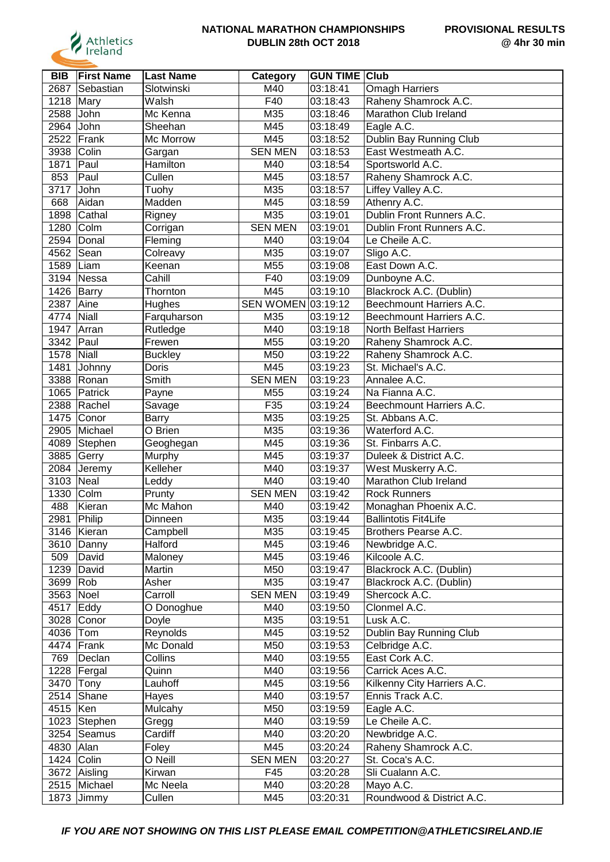

| <b>BIB</b> | <b>First Name</b> | <b>Last Name</b>   | Category           | <b>GUN TIME Club</b> |                               |
|------------|-------------------|--------------------|--------------------|----------------------|-------------------------------|
| 2687       | Sebastian         | Slotwinski         | M40                | 03:18:41             | <b>Omagh Harriers</b>         |
| 1218       | Mary              | Walsh              | F40                | 03:18:43             | Raheny Shamrock A.C.          |
| 2588       | John              | Mc Kenna           | M35                | 03:18:46             | Marathon Club Ireland         |
| 2964       | John              | Sheehan            | M45                | 03:18:49             | Eagle A.C.                    |
| 2522       | Frank             | Mc Morrow          | M45                | 03:18:52             | Dublin Bay Running Club       |
| 3938       | Colin             | Gargan             | <b>SEN MEN</b>     | 03:18:53             | East Westmeath A.C.           |
| 1871       | Paul              | Hamilton           | M40                | 03:18:54             | Sportsworld A.C.              |
| 853        | Paul              | Cullen             | M45                | 03:18:57             | Raheny Shamrock A.C.          |
| 3717       | John              | Tuohy              | M35                | 03:18:57             | Liffey Valley A.C.            |
| 668        | Aidan             | Madden             | M45                | 03:18:59             | Athenry A.C.                  |
| 1898       | Cathal            | Rigney             | M35                | 03:19:01             | Dublin Front Runners A.C.     |
| 1280       | Colm              | Corrigan           | <b>SEN MEN</b>     | 03:19:01             | Dublin Front Runners A.C.     |
| 2594       | Donal             | Fleming            | M40                | 03:19:04             | Le Cheile A.C.                |
| 4562       | Sean              | Colreavy           | M35                | 03:19:07             | Sligo A.C.                    |
| 1589       | Liam              | Keenan             | M55                | 03:19:08             | East Down A.C.                |
| 3194       | Nessa             | Cahill             | F40                | 03:19:09             | Dunboyne A.C.                 |
| 1426       | Barry             | Thornton           | M45                | 03:19:10             | Blackrock A.C. (Dublin)       |
| 2387       | Aine              | Hughes             | SEN WOMEN 03:19:12 |                      | Beechmount Harriers A.C.      |
| 4774       | Niall             | Farquharson        | M35                | 03:19:12             | Beechmount Harriers A.C.      |
| 1947       | Arran             |                    | M40                | 03:19:18             | <b>North Belfast Harriers</b> |
| 3342       |                   | Rutledge<br>Frewen | M55                |                      | Raheny Shamrock A.C.          |
|            | Paul              |                    |                    | 03:19:20             |                               |
| 1578       | Niall             | <b>Buckley</b>     | M50                | 03:19:22             | Raheny Shamrock A.C.          |
| 1481       | Johnny            | Doris              | M45                | 03:19:23             | St. Michael's A.C.            |
| 3388       | Ronan             | Smith              | <b>SEN MEN</b>     | 03:19:23             | Annalee A.C.                  |
| 1065       | Patrick           | Payne              | M55                | 03:19:24             | Na Fianna A.C.                |
| 2388       | Rachel            | Savage             | F35                | 03:19:24             | Beechmount Harriers A.C.      |
| 1475       | Conor             | <b>Barry</b>       | M35                | 03:19:25             | St. Abbans A.C.               |
| 2905       | Michael           | O Brien            | M35                | 03:19:36             | Waterford A.C.                |
| 4089       | Stephen           | Geoghegan          | M45                | 03:19:36             | St. Finbarrs A.C.             |
| 3885       | Gerry             | Murphy             | M45                | 03:19:37             | Duleek & District A.C.        |
| 2084       | Jeremy            | Kelleher           | M40                | 03:19:37             | West Muskerry A.C.            |
| 3103       | Neal              | Leddy              | M40                | 03:19:40             | Marathon Club Ireland         |
| 1330       | Colm              | Prunty             | <b>SEN MEN</b>     | 03:19:42             | <b>Rock Runners</b>           |
| 488        | Kieran            | Mc Mahon           | M40                | 03:19:42             | Monaghan Phoenix A.C.         |
| 2981       | Philip            | Dinneen            | M35                | 03:19:44             | <b>Ballintotis Fit4Life</b>   |
|            | 3146 Kieran       | Campbell           | M35                | 03:19:45             | Brothers Pearse A.C.          |
| 3610       | Danny             | <b>Halford</b>     | M45                | 03:19:46             | Newbridge A.C.                |
| 509        | David             | Maloney            | M45                | 03:19:46             | Kilcoole A.C.                 |
| 1239       | David             | Martin             | M50                | 03:19:47             | Blackrock A.C. (Dublin)       |
| 3699       | Rob               | Asher              | M35                | 03:19:47             | Blackrock A.C. (Dublin)       |
| 3563       | Noel              | Carroll            | <b>SEN MEN</b>     | 03:19:49             | Shercock A.C.                 |
| 4517       | Eddy              | O Donoghue         | M40                | 03:19:50             | Clonmel A.C.                  |
| 3028       | Conor             | Doyle              | M35                | 03:19:51             | Lusk A.C.                     |
| 4036       | Tom               | Reynolds           | M45                | 03:19:52             | Dublin Bay Running Club       |
|            | 4474 Frank        | Mc Donald          | M50                | 03:19:53             | Celbridge A.C.                |
| 769        | Declan            | Collins            | M40                | 03:19:55             | East Cork A.C.                |
| 1228       | Fergal            | Quinn              | M40                | 03:19:56             | Carrick Aces A.C.             |
| 3470       | Tony              | Lauhoff            | M45                | 03:19:56             | Kilkenny City Harriers A.C.   |
|            | $2514$ Shane      | Hayes              | M40                | 03:19:57             | Ennis Track A.C.              |
| 4515   Ken |                   | Mulcahy            | M50                | 03:19:59             | Eagle A.C.                    |
|            | 1023 Stephen      | Gregg              | M40                | 03:19:59             | Le Cheile A.C.                |
|            | 3254 Seamus       | Cardiff            | M40                | 03:20:20             | Newbridge A.C.                |
| 4830       | Alan              | Foley              | M45                | 03:20:24             | Raheny Shamrock A.C.          |
|            | 1424 Colin        | O Neill            | <b>SEN MEN</b>     | 03:20:27             | St. Coca's A.C.               |
|            | 3672 Aisling      | Kirwan             | F45                | 03:20:28             | Sli Cualann A.C.              |
|            | 2515 Michael      | Mc Neela           | M40                | 03:20:28             | Mayo A.C.                     |
|            | 1873 Jimmy        | Cullen             | M45                | 03:20:31             | Roundwood & District A.C.     |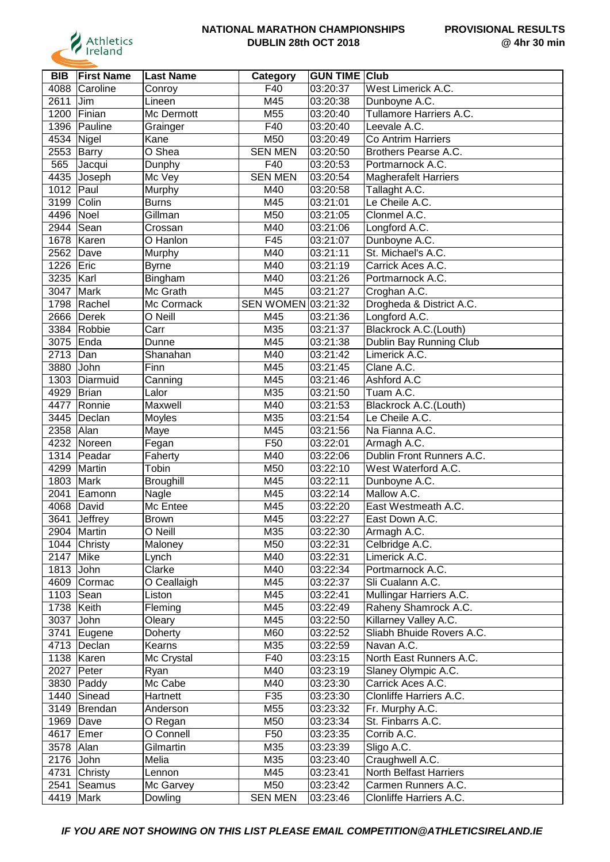

| <b>BIB</b> | <b>First Name</b>         | <b>Last Name</b>      | Category           | <b>GUN TIME Club</b>  |                             |
|------------|---------------------------|-----------------------|--------------------|-----------------------|-----------------------------|
| 4088       | Caroline                  | Conroy                | F40                | 03:20:37              | West Limerick A.C.          |
| 2611       | Jim                       | Lineen                | M45                | 03:20:38              | Dunboyne A.C.               |
| 1200       | Finian                    | Mc Dermott            | M55                | 03:20:40              | Tullamore Harriers A.C.     |
| 1396       | Pauline                   | Grainger              | F40                | 03:20:40              | Leevale A.C.                |
| 4534       | Nigel                     | Kane                  | M50                | 03:20:49              | <b>Co Antrim Harriers</b>   |
| 2553       | <b>Barry</b>              | O Shea                | <b>SEN MEN</b>     | 03:20:50              | Brothers Pearse A.C.        |
| 565        | Jacqui                    | Dunphy                | F40                | 03:20:53              | Portmarnock A.C.            |
| 4435       | Joseph                    | Mc Vey                | <b>SEN MEN</b>     | 03:20:54              | <b>Magherafelt Harriers</b> |
| 1012       | Paul                      | Murphy                | M40                | 03:20:58              | Tallaght A.C.               |
| 3199       | Colin                     | <b>Burns</b>          | M45                | 03:21:01              | Le Cheile A.C.              |
| 4496       | Noel                      | Gillman               | M50                | 03:21:05              | Clonmel A.C.                |
| 2944       | Sean                      | Crossan               | M40                | 03:21:06              | Longford A.C.               |
| 1678       | Karen                     | O Hanlon              | F45                | 03:21:07              | Dunboyne A.C.               |
| 2562       | Dave                      | Murphy                | M40                | 03:21:11              | St. Michael's A.C.          |
| 1226       | Eric                      | <b>Byrne</b>          | M40                | 03:21:19              | Carrick Aces A.C.           |
| 3235       | Karl                      | Bingham               | M40                | 03:21:26              | Portmarnock A.C.            |
| 3047       | Mark                      | Mc Grath              | M45                | 03:21:27              | Croghan A.C.                |
| 1798       | Rachel                    | Mc Cormack            | SEN WOMEN 03:21:32 |                       | Drogheda & District A.C.    |
| 2666       | Derek                     | O Neill               | M45                | 03:21:36              | Longford A.C.               |
|            | 3384 Robbie               | Carr                  | M35                | 03:21:37              | Blackrock A.C.(Louth)       |
| 3075       | Enda                      | Dunne                 | M45                | 03:21:38              | Dublin Bay Running Club     |
| 2713       | Dan                       | Shanahan              | M40                | 03:21:42              | Limerick A.C.               |
| 3880       | John                      | Finn                  | M45                | 03:21:45              | Clane A.C.                  |
| 1303       | Diarmuid                  | Canning               | M45                | 03:21:46              | Ashford A.C                 |
| 4929       | Brian                     | Lalor                 | M35                | 03:21:50              | Tuam A.C.                   |
| 4477       | Ronnie                    | Maxwell               | M40                | 03:21:53              | Blackrock A.C.(Louth)       |
| 3445       | Declan                    | Moyles                | M35                | 03:21:54              | Le Cheile A.C.              |
| 2358       | Alan                      | Maye                  | M45                | 03:21:56              | Na Fianna A.C.              |
| 4232       | Noreen                    | Fegan                 | F50                | 03:22:01              | Armagh A.C.                 |
| 1314       | Peadar                    | Faherty               | M40                | 03:22:06              | Dublin Front Runners A.C.   |
| 4299       | Martin                    | Tobin                 | M50                | 03:22:10              | West Waterford A.C.         |
| 1803       | Mark                      | Broughill             | M45                | 03:22:11              | Dunboyne A.C.               |
| 2041       | Eamonn                    | Nagle                 | M45                | 03:22:14              | Mallow A.C.                 |
| 4068       | David                     | Mc Entee              | M45                | 03:22:20              | East Westmeath A.C.         |
| 3641       | Jeffrey                   | <b>Brown</b>          | M45                | 03:22:27              | East Down A.C.              |
|            | 2904 Martin               | O Neill               | M35                | 03:22:30              | Armagh A.C.                 |
|            | $\overline{1044}$ Christy | Maloney               | M50                | 03:22:31              | Celbridge A.C.              |
| 2147       | Mike                      | Lynch                 | M40                | 03:22:31              | Limerick A.C.               |
| 1813 John  |                           | Clarke                | M40                | 03:22:34              | Portmarnock A.C.            |
|            | 4609 Cormac               |                       | M45                | $\overline{0}3:22:37$ | Sli Cualann A.C.            |
| 1103 Sean  |                           | O Ceallaigh<br>Liston | M45                | 03:22:41              | Mullingar Harriers A.C.     |
| 1738       | Keith                     |                       | M45                | 03:22:49              | Raheny Shamrock A.C.        |
|            |                           | Fleming               | M45                |                       |                             |
| 3037       | John                      | Oleary                |                    | 03:22:50              | Killarney Valley A.C.       |
| 3741       | Eugene                    | Doherty               | M60                | 03:22:52              | Sliabh Bhuide Rovers A.C.   |
|            | 4713 Declan               | Kearns                | M35                | 03:22:59              | Navan A.C.                  |
|            | 1138   Karen              | Mc Crystal            | F40                | 03:23:15              | North East Runners A.C.     |
| 2027       | Peter                     | Ryan                  | M40                | 03:23:19              | Slaney Olympic A.C.         |
| 3830       | Paddy                     | Mc Cabe               | M40                | 03:23:30              | Carrick Aces A.C.           |
| 1440       | Sinead                    | Hartnett              | F35                | 03:23:30              | Clonliffe Harriers A.C.     |
|            | 3149 Brendan              | Anderson              | M55                | 03:23:32              | Fr. Murphy A.C.             |
| 1969 Dave  |                           | O Regan               | M50                | 03:23:34              | St. Finbarrs A.C.           |
| 4617       | Emer                      | O Connell             | F50                | 03:23:35              | Corrib A.C.                 |
| 3578       | Alan                      | Gilmartin             | M35                | 03:23:39              | Sligo A.C.                  |
| 2176 John  |                           | Melia                 | M35                | 03:23:40              | Craughwell A.C.             |
| 4731       | Christy                   | Lennon                | M45                | 03:23:41              | North Belfast Harriers      |
| 2541       | Seamus                    | Mc Garvey             | M50                | 03:23:42              | Carmen Runners A.C.         |
| 4419       | Mark                      | Dowling               | <b>SEN MEN</b>     | 03:23:46              | Clonliffe Harriers A.C.     |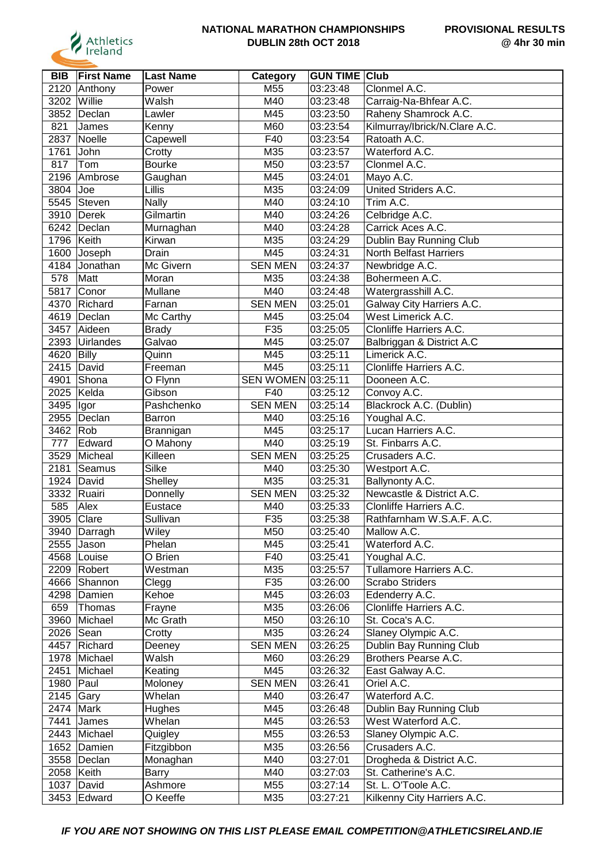

| <b>BIB</b> | <b>First Name</b> | <b>Last Name</b>    | <b>Category</b>    | <b>GUN TIME Club</b>  |                               |
|------------|-------------------|---------------------|--------------------|-----------------------|-------------------------------|
| 2120       | Anthony           | Power               | M55                | 03:23:48              | Clonmel A.C.                  |
| 3202       | Willie            | Walsh               | M40                | 03:23:48              | Carraig-Na-Bhfear A.C.        |
| 3852       | Declan            | Lawler              | M45                | 03:23:50              | Raheny Shamrock A.C.          |
| 821        | James             | Kenny               | M60                | 03:23:54              | Kilmurray/Ibrick/N.Clare A.C. |
| 2837       | Noelle            | Capewell            | F40                | 03:23:54              | Ratoath A.C.                  |
| 1761       | John              | Crotty              | M35                | 03:23:57              | Waterford A.C.                |
| 817        | Tom               | <b>Bourke</b>       | M50                | 03:23:57              | Clonmel A.C.                  |
| 2196       | Ambrose           | Gaughan             | M45                | 03:24:01              | Mayo A.C.                     |
| 3804       | Joe               | Lillis              | M35                | 03:24:09              | United Striders A.C.          |
|            | 5545 Steven       | <b>Nally</b>        | M40                | 03:24:10              | Trim A.C.                     |
|            | 3910 Derek        | Gilmartin           | M40                | 03:24:26              | Celbridge A.C.                |
|            | 6242 Declan       |                     | M40                | 03:24:28              | Carrick Aces A.C.             |
| 1796       | Keith             | Murnaghan<br>Kirwan | M35                | 03:24:29              | Dublin Bay Running Club       |
|            |                   |                     |                    |                       | North Belfast Harriers        |
| 1600       | Joseph            | Drain               | M45                | 03:24:31              |                               |
| 4184       | Jonathan          | Mc Givern           | <b>SEN MEN</b>     | 03:24:37              | Newbridge A.C.                |
| 578        | Matt              | Moran               | M35                | 03:24:38              | Bohermeen A.C.                |
| 5817       | Conor             | Mullane             | M40                | 03:24:48              | Watergrasshill A.C.           |
| 4370       | Richard           | Farnan              | <b>SEN MEN</b>     | 03:25:01              | Galway City Harriers A.C.     |
| 4619       | Declan            | Mc Carthy           | M45                | 03:25:04              | West Limerick A.C.            |
| 3457       | Aideen            | <b>Brady</b>        | F35                | 03:25:05              | Clonliffe Harriers A.C.       |
| 2393       | Uirlandes         | Galvao              | M45                | 03:25:07              | Balbriggan & District A.C     |
| 4620       | Billy             | Quinn               | M45                | 03:25:11              | Limerick A.C.                 |
| 2415       | David             | Freeman             | M45                | 03:25:11              | Clonliffe Harriers A.C.       |
| 4901       | Shona             | O Flynn             | SEN WOMEN 03:25:11 |                       | Dooneen A.C.                  |
| 2025       | Kelda             | Gibson              | F40                | 03:25:12              | Convoy A.C.                   |
| 3495       | <b>Igor</b>       | Pashchenko          | <b>SEN MEN</b>     | 03:25:14              | Blackrock A.C. (Dublin)       |
| 2955       | Declan            | Barron              | M40                | 03:25:16              | Youghal A.C.                  |
| 3462 Rob   |                   | Brannigan           | M45                | 03:25:17              | Lucan Harriers A.C.           |
| 777        | Edward            | O Mahony            | M40                | 03:25:19              | St. Finbarrs A.C.             |
| 3529       | Micheal           | Killeen             | <b>SEN MEN</b>     | 03:25:25              | Crusaders A.C.                |
| 2181       | Seamus            | Silke               | M40                | 03:25:30              | Westport A.C.                 |
| 1924       | David             | Shelley             | M35                | 03:25:31              | Ballynonty A.C.               |
| 3332       | Ruairi            | Donnelly            | <b>SEN MEN</b>     | 03:25:32              | Newcastle & District A.C.     |
| 585        | Alex              | Eustace             | M40                | 03:25:33              | Clonliffe Harriers A.C.       |
| 3905       | Clare             | Sullivan            | F35                | 03:25:38              | Rathfarnham W.S.A.F. A.C.     |
|            | 3940   Darragh    | Wiley               | M50                | 03:25:40              | Mallow A.C.                   |
|            | 2555 Jason        | Phelan              | M45                | 03:25:41              | Waterford A.C.                |
|            | 4568   Louise     | O Brien             | F40                | 03:25:41              | Youghal A.C.                  |
|            | 2209 Robert       | Westman             | M35                | 03:25:57              | Tullamore Harriers A.C.       |
|            | 4666 Shannon      | Clegg               | F35                | 03:26:00              | <b>Scrabo Striders</b>        |
| 4298       | Damien            | Kehoe               | M45                | 03:26:03              | Edenderry A.C.                |
| 659        | Thomas            | Frayne              | M35                | 03:26:06              | Clonliffe Harriers A.C.       |
| 3960       | Michael           | Mc Grath            | M50                | 03:26:10              | St. Coca's A.C.               |
| 2026 Sean  |                   | Crotty              | M35                | 03:26:24              | Slaney Olympic A.C.           |
| 4457       | Richard           | Deeney              | <b>SEN MEN</b>     | $\overline{0}3:26:25$ | Dublin Bay Running Club       |
|            | 1978 Michael      | Walsh               | M60                | 03:26:29              | Brothers Pearse A.C.          |
| 2451       | Michael           | Keating             | M45                | 03:26:32              | East Galway A.C.              |
| 1980       | Paul              | Moloney             | <b>SEN MEN</b>     | 03:26:41              | Oriel A.C.                    |
|            |                   |                     |                    |                       |                               |
| 2145       | Gary              | Whelan              | M40                | 03:26:47              | Waterford A.C.                |
| 2474       | Mark              | Hughes              | M45                | 03:26:48              | Dublin Bay Running Club       |
| 7441       | James             | Whelan              | M45                | 03:26:53              | West Waterford A.C.           |
|            | 2443 Michael      | Quigley             | M55                | 03:26:53              | Slaney Olympic A.C.           |
|            | 1652 Damien       | Fitzgibbon          | M35                | 03:26:56              | Crusaders A.C.                |
|            | 3558   Declan     | Monaghan            | M40                | 03:27:01              | Drogheda & District A.C.      |
| 2058 Keith |                   | <b>Barry</b>        | M40                | 03:27:03              | St. Catherine's A.C.          |
| 1037       | David             | Ashmore             | M55                | 03:27:14              | St. L. O'Toole A.C.           |
|            | 3453 Edward       | O Keeffe            | M35                | 03:27:21              | Kilkenny City Harriers A.C.   |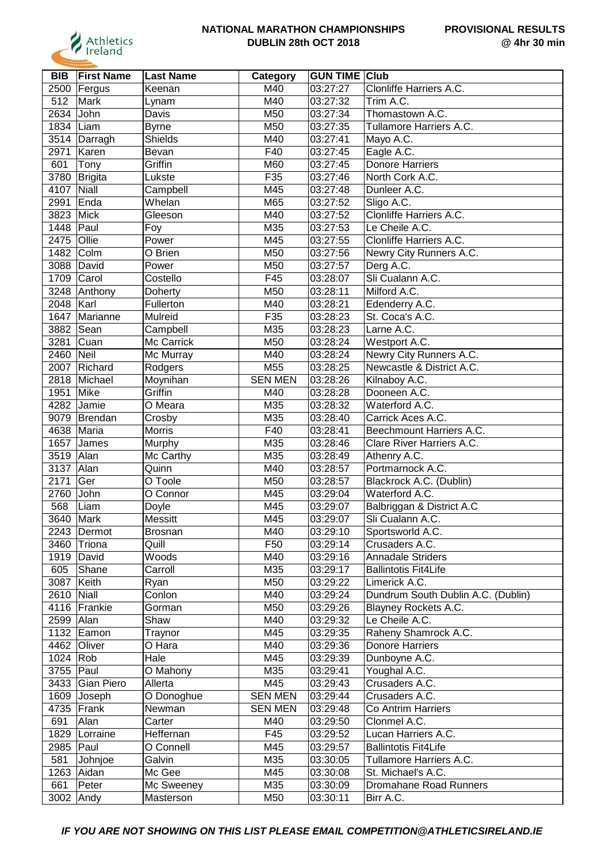

| <b>BIB</b> | <b>First Name</b> | <b>Last Name</b> | Category        | <b>GUN TIME Club</b> |                                        |
|------------|-------------------|------------------|-----------------|----------------------|----------------------------------------|
| 2500       | Fergus            | Keenan           | M40             | 03:27:27             | Clonliffe Harriers A.C.                |
| 512        | Mark              | Lynam            | M40             | 03:27:32             | Trim A.C.                              |
| 2634       | John              | Davis            | M50             | 03:27:34             | Thomastown A.C.                        |
| 1834       | Liam              | <b>Byrne</b>     | M50             | 03:27:35             | Tullamore Harriers A.C.                |
| 3514       | Darragh           | <b>Shields</b>   | M40             | 03:27:41             | Mayo A.C.                              |
| 2971       | Karen             | Bevan            | F40             | 03:27:45             | Eagle A.C.                             |
| 601        | Tony              | Griffin          | M60             | 03:27:45             | <b>Donore Harriers</b>                 |
| 3780       | Brigita           | Lukste           | F35             | 03:27:46             | North Cork A.C.                        |
| 4107       | <b>Niall</b>      | Campbell         | M45             | 03:27:48             | Dunleer A.C.                           |
| 2991       | Enda              | Whelan           | M65             | 03:27:52             | Sligo A.C.                             |
| 3823       | Mick              | Gleeson          | M40             | 03:27:52             | Clonliffe Harriers A.C.                |
| 1448       | Paul              | Foy              | M35             | 03:27:53             | Le Cheile A.C.                         |
| 2475       | Ollie             | Power            | M45             | 03:27:55             | Clonliffe Harriers A.C.                |
| 1482       | Colm              | O Brien          | M50             | 03:27:56             | Newry City Runners A.C.                |
| 3088       | David             | Power            | M50             | 03:27:57             | Derg A.C.                              |
| 1709       | Carol             | Costello         | F45             | 03:28:07             | Sli Cualann A.C.                       |
| 3248       | Anthony           | Doherty          | M50             | 03:28:11             | Milford A.C.                           |
| 2048       | Karl              | Fullerton        | M40             | 03:28:21             | Edenderry A.C.                         |
| 1647       | Marianne          | Mulreid          | F35             | 03:28:23             | St. Coca's A.C.                        |
| 3882       | Sean              | Campbell         | M35             | 03:28:23             | Larne A.C.                             |
| 3281       | Cuan              | Mc Carrick       | M50             | 03:28:24             | Westport A.C.                          |
| 2460       | Neil              | Mc Murray        | M40             | 03:28:24             | Newry City Runners A.C.                |
| 2007       | Richard           | Rodgers          | M55             | 03:28:25             | Newcastle & District A.C.              |
| 2818       | Michael           | Moynihan         | <b>SEN MEN</b>  | 03:28:26             | Kilnaboy A.C.                          |
| 1951       | Mike              | Griffin          | M40             | 03:28:28             | Dooneen A.C.                           |
| 4282       | Jamie             | O Meara          | M35             | 03:28:32             | Waterford A.C.                         |
| 9079       | Brendan           | Crosby           | M35             | 03:28:40             | Carrick Aces A.C.                      |
| 4638       | Maria             | Morris           | F40             | 03:28:41             | Beechmount Harriers A.C.               |
| 1657       | James             | Murphy           | M35             | 03:28:46             | Clare River Harriers A.C.              |
| 3519       | Alan              | Mc Carthy        | M35             | 03:28:49             | Athenry A.C.                           |
| 3137       | Alan              | Quinn            | M40             | 03:28:57             | Portmarnock A.C.                       |
| 2171       | Ger               | O Toole          | M50             | 03:28:57             | Blackrock A.C. (Dublin)                |
| 2760       | John              | O Connor         | M45             | 03:29:04             | Waterford A.C.                         |
| 568        | Liam              | Doyle            | M45             | 03:29:07             | Balbriggan & District A.C              |
| 3640       | Mark              | <b>Messitt</b>   | M45             | 03:29:07             | Sli Cualann A.C.                       |
|            | 2243 Dermot       | <b>Brosnan</b>   | M40             | 03:29:10             | Sportsworld A.C.                       |
| 3460       | Triona            | Quill            | F <sub>50</sub> | 03:29:14             | Crusaders A.C.                         |
| 1919       | David             | Woods            | M40             | 03:29:16             | <b>Annadale Striders</b>               |
| 605        | Shane             | Carroll          | M35             | 03:29:17             | <b>Ballintotis Fit4Life</b>            |
| 3087       | Keith             |                  | M50             | 03:29:22             | Limerick A.C.                          |
|            | Niall             | Ryan             | M40             | 03:29:24             | Dundrum South Dublin A.C. (Dublin)     |
| 2610       |                   | Conlon<br>Gorman | M50             |                      |                                        |
| 4116       | Frankie           | Shaw             |                 | 03:29:26             | Blayney Rockets A.C.<br>Le Cheile A.C. |
| 2599 Alan  |                   |                  | M40             | 03:29:32             |                                        |
|            | 1132 Eamon        | Traynor          | M45             | 03:29:35             | Raheny Shamrock A.C.                   |
| 4462       | Oliver            | O Hara           | M40             | 03:29:36             | <b>Donore Harriers</b>                 |
| 1024       | Rob               | Hale             | M45             | 03:29:39             | Dunboyne A.C.                          |
| 3755       | Paul              | O Mahony         | M35             | 03:29:41             | Youghal A.C.                           |
| 3433       | Gian Piero        | Allerta          | M45             | 03:29:43             | Crusaders A.C.                         |
| 1609       | Joseph            | O Donoghue       | <b>SEN MEN</b>  | 03:29:44             | Crusaders A.C.                         |
| 4735       | Frank             | Newman           | <b>SEN MEN</b>  | 03:29:48             | Co Antrim Harriers                     |
| 691        | Alan              | Carter           | M40             | 03:29:50             | Clonmel A.C.                           |
| 1829       | Lorraine          | Heffernan        | F45             | 03:29:52             | Lucan Harriers A.C.                    |
| 2985       | Paul              | O Connell        | M45             | 03:29:57             | <b>Ballintotis Fit4Life</b>            |
| 581        | Johnjoe           | Galvin           | M35             | 03:30:05             | Tullamore Harriers A.C.                |
| 1263       | Aidan             | Mc Gee           | M45             | 03:30:08             | St. Michael's A.C.                     |
| 661        | Peter             | Mc Sweeney       | M35             | 03:30:09             | Dromahane Road Runners                 |
| 3002       | Andy              | Masterson        | M50             | 03:30:11             | Birr A.C.                              |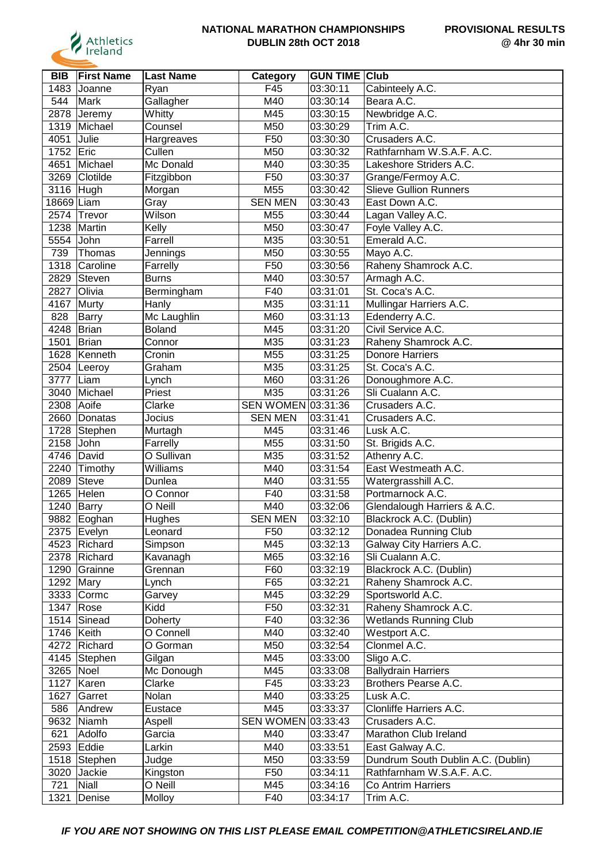

| BIB        | <b>First Name</b> | <b>Last Name</b> | <b>Category</b>    | <b>GUN TIME Club</b>  |                                    |
|------------|-------------------|------------------|--------------------|-----------------------|------------------------------------|
| 1483       | Joanne            | Ryan             | F45                | 03:30:11              | Cabinteely A.C.                    |
| 544        | Mark              | Gallagher        | M40                | 03:30:14              | Beara A.C.                         |
| 2878       | Jeremy            | Whitty           | M45                | 03:30:15              | Newbridge A.C.                     |
| 1319       | Michael           | Counsel          | M50                | 03:30:29              | $\overline{\text{Trim}}$ A.C.      |
| 4051       | Julie             | Hargreaves       | F50                | 03:30:30              | Crusaders A.C.                     |
| 1752       | Eric              | Cullen           | M50                | 03:30:32              | Rathfarnham W.S.A.F. A.C.          |
| 4651       | Michael           | Mc Donald        | M40                | 03:30:35              | Lakeshore Striders A.C.            |
| 3269       | Clotilde          | Fitzgibbon       | F50                | 03:30:37              | Grange/Fermoy A.C.                 |
| 3116 Hugh  |                   | Morgan           | M55                | 03:30:42              | <b>Slieve Gullion Runners</b>      |
| 18669 Liam |                   | Gray             | <b>SEN MEN</b>     | 03:30:43              | East Down A.C.                     |
|            | 2574 Trevor       | Wilson           | M55                | 03:30:44              | Lagan Valley A.C.                  |
| 1238       | Martin            | Kelly            | M50                | 03:30:47              | Foyle Valley A.C.                  |
| 5554       | John              | Farrell          | M35                | 03:30:51              | Emerald A.C.                       |
| 739        | Thomas            | Jennings         | M50                | 03:30:55              | Mayo A.C.                          |
| 1318       | Caroline          | Farrelly         | F50                | 03:30:56              | Raheny Shamrock A.C.               |
| 2829       | Steven            | <b>Burns</b>     | M40                | 03:30:57              | Armagh A.C.                        |
| 2827       | Olivia            | Bermingham       | F40                | 03:31:01              | St. Coca's A.C.                    |
| 4167       | Murty             | Hanly            | M35                | 03:31:11              | Mullingar Harriers A.C.            |
| 828        | <b>Barry</b>      | Mc Laughlin      | M60                | 03:31:13              | Edenderry A.C.                     |
| 4248       | <b>Brian</b>      | <b>Boland</b>    | M45                | 03:31:20              | Civil Service A.C.                 |
| 1501       | Brian             | Connor           | M35                | 03:31:23              | Raheny Shamrock A.C.               |
| 1628       |                   |                  |                    |                       | <b>Donore Harriers</b>             |
|            | Kenneth           | Cronin           | M55                | 03:31:25              |                                    |
| 2504       | Leeroy            | Graham           | M35                | 03:31:25              | St. Coca's A.C.                    |
| 3777       | Liam              | Lynch            | M60                | 03:31:26              | Donoughmore A.C.                   |
| 3040       | Michael           | Priest           | M35                | 03:31:26              | Sli Cualann A.C.                   |
| 2308       | Aoife             | Clarke           | SEN WOMEN 03:31:36 |                       | Crusaders A.C.                     |
| 2660       | Donatas           | Jocius           | <b>SEN MEN</b>     | 03:31:41              | Crusaders A.C.                     |
| 1728       | Stephen           | Murtagh          | M45                | 03:31:46              | Lusk A.C.                          |
| 2158       | John              | Farrelly         | M55                | 03:31:50              | St. Brigids A.C.                   |
| 4746       | David             | O Sullivan       | M35                | 03:31:52              | Athenry A.C.                       |
| 2240       | Timothy           | Williams         | M40                | 03:31:54              | East Westmeath A.C.                |
| 2089       | <b>Steve</b>      | Dunlea           | M40                | 03:31:55              | Watergrasshill A.C.                |
| 1265       | Helen             | O Connor         | F40                | 03:31:58              | Portmarnock A.C.                   |
| 1240       | Barry             | O Neill          | M40                | 03:32:06              | Glendalough Harriers & A.C.        |
| 9882       | Eoghan            | Hughes           | <b>SEN MEN</b>     | 03:32:10              | Blackrock A.C. (Dublin)            |
|            | 2375   Evelyn     | Leonard          | F50                | 03:32:12              | Donadea Running Club               |
|            | 4523 Richard      | Simpson          | M45                | 03:32:13              | Galway City Harriers A.C.          |
|            | 2378 Richard      | Kavanagh         | M65                | $\overline{0}3:32:16$ | Sli Cualann A.C.                   |
| 1290       | Grainne           | Grennan          | F60                | 03:32:19              | Blackrock A.C. (Dublin)            |
| 1292       | Mary              | Lynch            | F65                | 03:32:21              | Raheny Shamrock A.C.               |
| 3333       | Cormc             | Garvey           | M45                | 03:32:29              | Sportsworld A.C.                   |
| 1347       | Rose              | Kidd             | F <sub>50</sub>    | 03:32:31              | Raheny Shamrock A.C.               |
| 1514       | Sinead            | Doherty          | F40                | 03:32:36              | <b>Wetlands Running Club</b>       |
| 1746 Keith |                   | O Connell        | M40                | 03:32:40              | Westport A.C.                      |
|            | 4272 Richard      | O Gorman         | M50                | 03:32:54              | Clonmel A.C.                       |
|            | 4145 Stephen      | Gilgan           | M45                | 03:33:00              | Sligo A.C.                         |
| 3265       | Noel              | Mc Donough       | M45                | 03:33:08              | <b>Ballydrain Harriers</b>         |
| 1127       | Karen             | Clarke           | F45                | 03:33:23              | Brothers Pearse A.C.               |
| 1627       | Garret            | Nolan            | M40                | 03:33:25              | Lusk A.C.                          |
| 586        | Andrew            | Eustace          | M45                | 03:33:37              | Clonliffe Harriers A.C.            |
| 9632       | Niamh             | Aspell           | <b>SEN WOMEN</b>   | 03:33:43              | Crusaders A.C.                     |
| 621        | Adolfo            | Garcia           | M40                | 03:33:47              | Marathon Club Ireland              |
|            | 2593 Eddie        | Larkin           | M40                | 03:33:51              | East Galway A.C.                   |
|            | 1518 Stephen      | Judge            | M50                | 03:33:59              | Dundrum South Dublin A.C. (Dublin) |
|            | 3020 Jackie       | Kingston         | F <sub>50</sub>    | 03:34:11              | Rathfarnham W.S.A.F. A.C.          |
| 721        | <b>Niall</b>      | O Neill          | M45                | 03:34:16              | Co Antrim Harriers                 |
| 1321       | Denise            | Molloy           | F40                | 03:34:17              | Trim A.C.                          |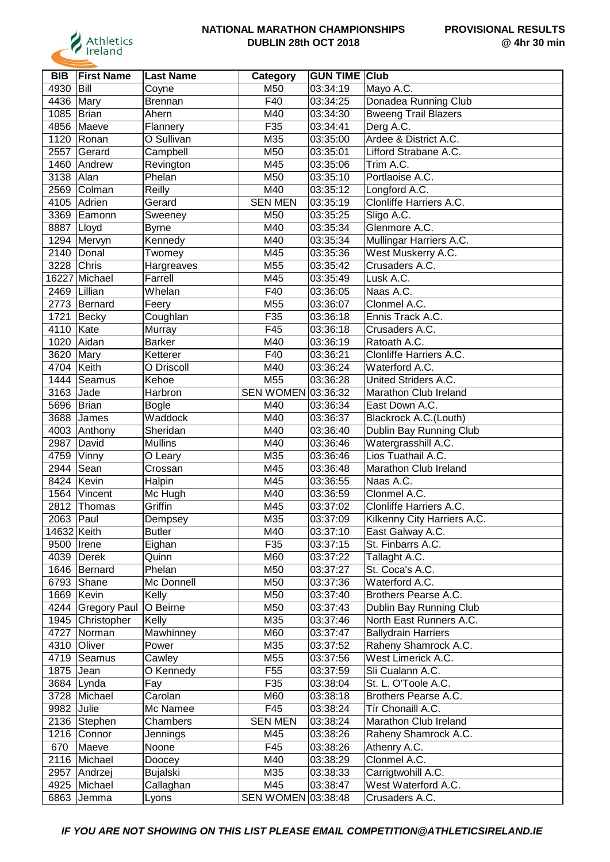

| <b>BIB</b>   | <b>First Name</b> | <b>Last Name</b> | <b>Category</b>    | <b>GUN TIME Club</b> |                                       |
|--------------|-------------------|------------------|--------------------|----------------------|---------------------------------------|
| 4930         | Bill              | Coyne            | M50                | 03:34:19             | Mayo A.C.                             |
| 4436         | Mary              | <b>Brennan</b>   | F40                | 03:34:25             | Donadea Running Club                  |
| 1085         | Brian             | Ahern            | M40                | 03:34:30             | <b>Bweeng Trail Blazers</b>           |
| 4856         | Maeve             | Flannery         | F35                | 03:34:41             | Derg A.C.                             |
| 1120         | Ronan             | O Sullivan       | M35                | 03:35:00             | Ardee & District A.C.                 |
| 2557         | Gerard            | Campbell         | M50                | 03:35:01             | Lifford Strabane A.C.                 |
|              | 1460 Andrew       | Revington        | M45                | 03:35:06             | Trim A.C.                             |
| 3138         | Alan              | Phelan           | M50                | 03:35:10             | Portlaoise A.C.                       |
|              | 2569 Colman       | Reilly           | M40                | 03:35:12             | Longford A.C.                         |
|              | 4105 Adrien       | Gerard           | <b>SEN MEN</b>     | 03:35:19             | Clonliffe Harriers A.C.               |
|              | 3369 Eamonn       | Sweeney          | M50                | 03:35:25             | Sligo A.C.                            |
| 8887   Lloyd |                   | <b>Byrne</b>     | M40                | 03:35:34             | Glenmore A.C.                         |
|              | 1294 Mervyn       | Kennedy          | M40                | 03:35:34             | Mullingar Harriers A.C.               |
|              | 2140 Donal        | Twomey           | M45                | 03:35:36             | West Muskerry A.C.                    |
| 3228         | Chris             | Hargreaves       | M55                | 03:35:42             | Crusaders A.C.                        |
|              | 16227 Michael     | Farrell          | M45                | 03:35:49             | Lusk A.C.                             |
| 2469         | Lillian           | Whelan           | F40                | 03:36:05             | Naas A.C.                             |
|              | 2773 Bernard      | Feery            | M55                | 03:36:07             | Clonmel A.C.                          |
| 1721         | Becky             | Coughlan         | F35                | 03:36:18             | Ennis Track A.C.                      |
| 4110         | Kate              | Murray           | F45                | 03:36:18             | Crusaders A.C.                        |
| 1020         | Aidan             | <b>Barker</b>    | M40                | 03:36:19             | Ratoath A.C.                          |
| 3620         | Mary              | Ketterer         | F40                | 03:36:21             | Clonliffe Harriers A.C.               |
| 4704         | Keith             | O Driscoll       | M40                | 03:36:24             | Waterford A.C.                        |
| 1444         | Seamus            | Kehoe            | M55                | 03:36:28             | United Striders A.C.                  |
| 3163         | Jade              | Harbron          | SEN WOMEN 03:36:32 |                      | Marathon Club Ireland                 |
| 5696         | Brian             | <b>Bogle</b>     | M40                | 03:36:34             | East Down A.C.                        |
| 3688         | James             | Waddock          | M40                | 03:36:37             | Blackrock A.C.(Louth)                 |
|              | 4003 Anthony      | Sheridan         | M40                | 03:36:40             | Dublin Bay Running Club               |
| 2987         | David             | <b>Mullins</b>   | M40                | 03:36:46             | Watergrasshill A.C.                   |
| 4759         | Vinny             | O Leary          | M35                | 03:36:46             | Lios Tuathail A.C.                    |
| 2944         | Sean              | Crossan          | M45                | 03:36:48             | Marathon Club Ireland                 |
| 8424         | Kevin             | Halpin           | M45                | 03:36:55             | Naas A.C.                             |
| 1564         | Vincent           | Mc Hugh          | M40                | 03:36:59             | Clonmel A.C.                          |
| 2812         | Thomas            | Griffin          | M45                | 03:37:02             | Clonliffe Harriers A.C.               |
| 2063         | Paul              |                  | M35                | 03:37:09             | Kilkenny City Harriers A.C.           |
| 14632 Keith  |                   | Dempsey          | M40                |                      |                                       |
| 9500   Irene |                   | Butler<br>Eighan | F35                | 03:37:10<br>03:37:15 | East Galway A.C.<br>St. Finbarrs A.C. |
|              | 4039   Derek      | Quinn            | M60                | 03:37:22             |                                       |
|              | 1646 Bernard      | Phelan           | M50                | 03:37:27             | Tallaght A.C.<br>St. Coca's A.C.      |
|              | 6793 Shane        | Mc Donnell       | M50                | 03:37:36             | Waterford A.C.                        |
| 1669         |                   | Kelly            | M50                | 03:37:40             | Brothers Pearse A.C.                  |
|              | Kevin             |                  |                    |                      |                                       |
|              | 4244 Gregory Paul | O Beirne         | M50                | 03:37:43             | Dublin Bay Running Club               |
|              | 1945 Christopher  | Kelly            | M35                | 03:37:46             | North East Runners A.C.               |
| 4727         | Norman            | Mawhinney        | M60                | 03:37:47             | <b>Ballydrain Harriers</b>            |
|              | 4310 Oliver       | Power            | M35                | 03:37:52             | Raheny Shamrock A.C.                  |
|              | 4719 Seamus       | Cawley           | M55                | 03:37:56             | West Limerick A.C.                    |
| 1875         | Jean              | O Kennedy        | F <sub>55</sub>    | 03:37:59             | Sli Cualann A.C.                      |
|              | 3684 Lynda        | Fay              | F35                | 03:38:04             | St. L. O'Toole A.C.                   |
| 3728         | Michael           | Carolan          | M60                | 03:38:18             | Brothers Pearse A.C.                  |
| 9982         | Julie             | Mc Namee         | F45                | 03:38:24             | Tír Chonaill A.C.                     |
|              | 2136 Stephen      | Chambers         | <b>SEN MEN</b>     | 03:38:24             | Marathon Club Ireland                 |
|              | 1216 Connor       | Jennings         | M45                | 03:38:26             | Raheny Shamrock A.C.                  |
| 670          | Maeve             | Noone            | F45                | 03:38:26             | Athenry A.C.                          |
|              | 2116 Michael      | Doocey           | M40                | 03:38:29             | Clonmel A.C.                          |
| 2957         | Andrzej           | <b>Bujalski</b>  | M35                | 03:38:33             | Carrigtwohill A.C.                    |
| 4925         | Michael           | Callaghan        | M45                | 03:38:47             | West Waterford A.C.                   |
| 6863         | Jemma             | Lyons            | SEN WOMEN 03:38:48 |                      | Crusaders A.C.                        |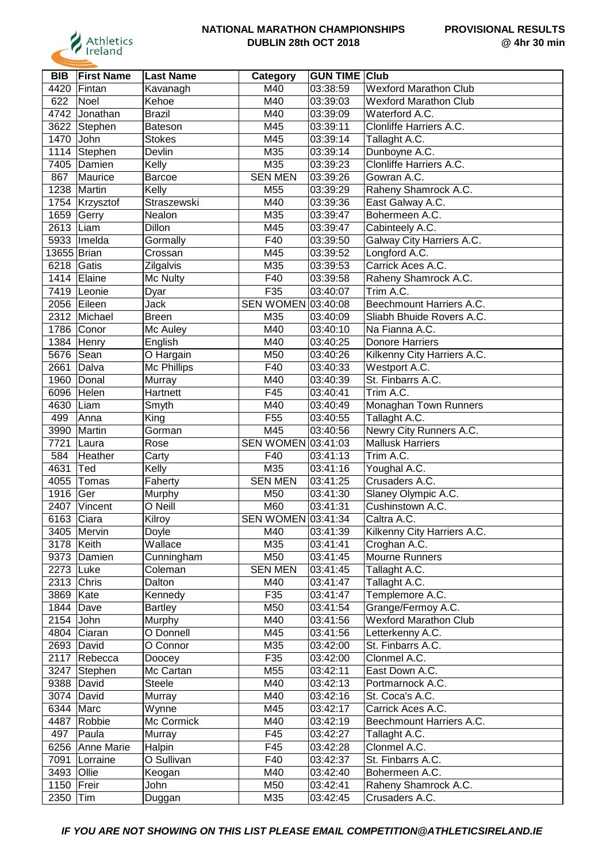

| <b>BIB</b>   | <b>First Name</b> | <b>Last Name</b>  | Category           | <b>GUN TIME Club</b> |                                       |
|--------------|-------------------|-------------------|--------------------|----------------------|---------------------------------------|
| 4420         | Fintan            | Kavanagh          | M40                | 03:38:59             | <b>Wexford Marathon Club</b>          |
| 622          | Noel              | Kehoe             | M40                | 03:39:03             | <b>Wexford Marathon Club</b>          |
| 4742         | Jonathan          | <b>Brazil</b>     | M40                | 03:39:09             | Waterford A.C.                        |
| 3622         | Stephen           | Bateson           | M45                | 03:39:11             | Clonliffe Harriers A.C.               |
| 1470         | John              | <b>Stokes</b>     | M45                | 03:39:14             | Tallaght A.C.                         |
| 1114         | Stephen           | Devlin            | M35                | 03:39:14             | Dunboyne A.C.                         |
| 7405         | Damien            | Kelly             | M35                | 03:39:23             | Clonliffe Harriers A.C.               |
| 867          | Maurice           | Barcoe            | <b>SEN MEN</b>     | 03:39:26             | Gowran A.C.                           |
| 1238         | Martin            | Kelly             | M55                | 03:39:29             | Raheny Shamrock A.C.                  |
|              | 1754 Krzysztof    | Straszewski       | M40                | 03:39:36             | East Galway A.C.                      |
| 1659 Gerry   |                   | Nealon            | M35                | 03:39:47             | Bohermeen A.C.                        |
| 2613 Liam    |                   | Dillon            | M45                | 03:39:47             | Cabinteely A.C.                       |
| 5933         | Imelda            | Gormally          | F40                | 03:39:50             | Galway City Harriers A.C.             |
| 13655 Brian  |                   | Crossan           | M45                | 03:39:52             | Longford A.C.                         |
| 6218         | Gatis             | Zilgalvis         | M35                | 03:39:53             | Carrick Aces A.C.                     |
|              | 1414 Elaine       | Mc Nulty          | F40                | 03:39:58             | Raheny Shamrock A.C.                  |
| 7419         | Leonie            | Dyar              | F35                | 03:40:07             | Trim A.C.                             |
|              | 2056 Eileen       | Jack              | SEN WOMEN 03:40:08 |                      | Beechmount Harriers A.C.              |
|              | 2312 Michael      | <b>Breen</b>      | M35                | 03:40:09             | Sliabh Bhuide Rovers A.C.             |
|              | 1786 Conor        | Mc Auley          | M40                | 03:40:10             | Na Fianna A.C.                        |
| 1384         | Henry             | English           | M40                | 03:40:25             | <b>Donore Harriers</b>                |
| 5676         | Sean              | O Hargain         | M50                | 03:40:26             | Kilkenny City Harriers A.C.           |
| 2661         | Dalva             | Mc Phillips       | F40                | 03:40:33             | Westport A.C.                         |
| 1960         | Donal             | Murray            | M40                | 03:40:39             | St. Finbarrs A.C.                     |
| 6096         | Helen             | Hartnett          | F45                | 03:40:41             | Trim A.C.                             |
| 4630         | Liam              | Smyth             | M40                | 03:40:49             | Monaghan Town Runners                 |
| 499          | Anna              | King              | F <sub>55</sub>    | 03:40:55             | Tallaght A.C.                         |
| 3990         | Martin            | Gorman            | M45                | 03:40:56             | Newry City Runners A.C.               |
| 7721         | Laura             | Rose              | SEN WOMEN 03:41:03 |                      | <b>Mallusk Harriers</b>               |
| 584          | Heather           | Carty             | F40                | 03:41:13             | Trim A.C.                             |
| 4631         | Ted               | Kelly             | M35                | 03:41:16             | Youghal A.C.                          |
| 4055         | Tomas             | Faherty           | <b>SEN MEN</b>     | 03:41:25             | Crusaders A.C.                        |
| 1916         | Ger               |                   | M50                | 03:41:30             | Slaney Olympic A.C.                   |
| 2407         | Vincent           | Murphy<br>O Neill | M60                | 03:41:31             | Cushinstown A.C.                      |
| 6163         | Ciara             |                   | SEN WOMEN 03:41:34 |                      | Caltra A.C.                           |
|              | 3405 Mervin       | Kilroy            | M40                |                      |                                       |
|              |                   | Doyle<br>Wallace  | M35                | 03:41:39<br>03:41:41 | Kilkenny City Harriers A.C.           |
| 3178   Keith |                   |                   | M50                |                      | Croghan A.C.<br><b>Mourne Runners</b> |
|              | 9373 Damien       | Cunningham        | <b>SEN MEN</b>     | 03:41:45             |                                       |
| 2273 Luke    |                   | Coleman           |                    | 03:41:45             | Tallaght A.C.                         |
| 2313 Chris   |                   | Dalton            | M40                | 03:41:47             | Tallaght A.C.                         |
| 3869         | Kate              | Kennedy           | F35                | 03:41:47             | Templemore A.C.                       |
| 1844         | $\vert$ Dave      | <b>Bartley</b>    | M50                | 03:41:54             | Grange/Fermoy A.C.                    |
| $2154$ John  |                   | Murphy            | M40                | 03:41:56             | <b>Wexford Marathon Club</b>          |
|              | 4804 Ciaran       | O Donnell         | M45                | 03:41:56             | Letterkenny A.C.                      |
|              | 2693 David        | O Connor          | M35                | 03:42:00             | St. Finbarrs A.C.                     |
| 2117         | Rebecca           | Doocey            | F35                | 03:42:00             | Clonmel A.C.                          |
| 3247         | Stephen           | Mc Cartan         | M55                | 03:42:11             | East Down A.C.                        |
| 9388         | David             | Steele            | M40                | 03:42:13             | Portmarnock A.C.                      |
| 3074         | David             | Murray            | M40                | 03:42:16             | St. Coca's A.C.                       |
| 6344 Marc    |                   | Wynne             | M45                | 03:42:17             | Carrick Aces A.C.                     |
| 4487         | Robbie            | Mc Cormick        | M40                | 03:42:19             | Beechmount Harriers A.C.              |
| 497          | Paula             | Murray            | F45                | 03:42:27             | Tallaght A.C.                         |
|              | 6256 Anne Marie   | Halpin            | F45                | 03:42:28             | Clonmel A.C.                          |
| 7091         | Lorraine          | O Sullivan        | F40                | 03:42:37             | St. Finbarrs A.C.                     |
| 3493 Ollie   |                   | Keogan            | M40                | 03:42:40             | Bohermeen A.C.                        |
| 1150         | Freir             | John              | M50                | 03:42:41             | Raheny Shamrock A.C.                  |
| 2350         | Tim               | Duggan            | M35                | 03:42:45             | Crusaders A.C.                        |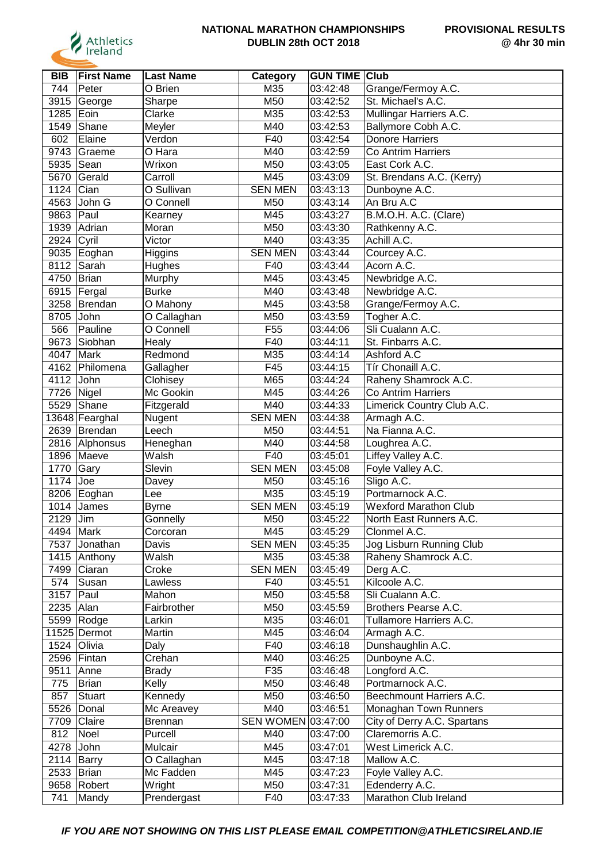

| <b>BIB</b>   | <b>First Name</b> | <b>Last Name</b> | Category           | <b>GUN TIME</b> | <b>Club</b>                  |
|--------------|-------------------|------------------|--------------------|-----------------|------------------------------|
| 744          | Peter             | O Brien          | M35                | 03:42:48        | Grange/Fermoy A.C.           |
| 3915         | George            | Sharpe           | M50                | 03:42:52        | St. Michael's A.C.           |
| 1285         | Eoin              | Clarke           | M35                | 03:42:53        | Mullingar Harriers A.C.      |
| 1549         | Shane             | Meyler           | M40                | 03:42:53        | Ballymore Cobh A.C.          |
| 602          | Elaine            | Verdon           | F40                | 03:42:54        | <b>Donore Harriers</b>       |
| 9743         | Graeme            | O Hara           | M40                | 03:42:59        | Co Antrim Harriers           |
| 5935         | Sean              | Wrixon           | M50                | 03:43:05        | East Cork A.C.               |
| 5670         | Gerald            | Carroll          | M45                | 03:43:09        | St. Brendans A.C. (Kerry)    |
| 1124         | Cian              | O Sullivan       | <b>SEN MEN</b>     | 03:43:13        | Dunboyne A.C.                |
| 4563         | John G            | O Connell        | M50                | 03:43:14        | An Bru A.C                   |
| 9863 Paul    |                   | Kearney          | M45                | 03:43:27        | B.M.O.H. A.C. (Clare)        |
| 1939         | Adrian            | Moran            | M50                | 03:43:30        | Rathkenny A.C.               |
| 2924         | Cyril             | Victor           | M40                | 03:43:35        | Achill A.C.                  |
| 9035         | Eoghan            | Higgins          | <b>SEN MEN</b>     | 03:43:44        | Courcey A.C.                 |
| 8112         | Sarah             | Hughes           | F40                | 03:43:44        | Acorn A.C.                   |
| 4750         | Brian             | Murphy           | M45                | 03:43:45        | Newbridge A.C.               |
| 6915         | Fergal            | <b>Burke</b>     | M40                | 03:43:48        | Newbridge A.C.               |
| 3258         | Brendan           | O Mahony         | M45                | 03:43:58        | Grange/Fermoy A.C.           |
| 8705         | John              | O Callaghan      | M50                | 03:43:59        | Togher A.C.                  |
| 566          | Pauline           | O Connell        | F <sub>55</sub>    | 03:44:06        | Sli Cualann A.C.             |
| 9673         | Siobhan           | Healy            | F40                | 03:44:11        | St. Finbarrs A.C.            |
| 4047         | Mark              | Redmond          | M35                | 03:44:14        | Ashford A.C                  |
| 4162         | Philomena         | Gallagher        | F45                | 03:44:15        | Tír Chonaill A.C.            |
| 4112         | John              | Clohisey         | M65                | 03:44:24        | Raheny Shamrock A.C.         |
| 7726         | Nigel             | Mc Gookin        | M45                | 03:44:26        | Co Antrim Harriers           |
| 5529         | Shane             | Fitzgerald       | M40                | 03:44:33        | Limerick Country Club A.C.   |
|              | 13648 Fearghal    | Nugent           | <b>SEN MEN</b>     | 03:44:38        | Armagh A.C.                  |
| 2639         | Brendan           | Leech            | M50                | 03:44:51        | Na Fianna A.C.               |
|              | 2816 Alphonsus    | Heneghan         | M40                | 03:44:58        | Loughrea A.C.                |
| 1896         | Maeve             | Walsh            | F40                | 03:45:01        | Liffey Valley A.C.           |
| 1770         | Gary              | Slevin           | <b>SEN MEN</b>     | 03:45:08        | Foyle Valley A.C.            |
| 1174         | Joe               | Davey            | M50                | 03:45:16        | Sligo A.C.                   |
| 8206         | Eoghan            | Lee              | M35                | 03:45:19        | Portmarnock A.C.             |
| 1014         | James             | <b>Byrne</b>     | <b>SEN MEN</b>     | 03:45:19        | <b>Wexford Marathon Club</b> |
| 2129         | Jim               | Gonnelly         | M50                | 03:45:22        | North East Runners A.C.      |
| 4494 Mark    |                   | Corcoran         | M45                | 03:45:29        | Clonmel A.C.                 |
| 7537         | Jonathan          | Davis            | <b>SEN MEN</b>     | 03:45:35        | Jog Lisburn Running Club     |
|              | 1415 Anthony      | <b>Walsh</b>     | M35                | 03:45:38        | Raheny Shamrock A.C.         |
| 7499         | Ciaran            | Croke            | <b>SEN MEN</b>     | 03:45:49        | Derg A.C.                    |
| 574          | Susan             | Lawless          | F40                | 03:45:51        | Kilcoole A.C.                |
| 3157         | $ $ Paul          | Mahon            | M50                | 03:45:58        | Sli Cualann A.C.             |
| 2235 Alan    |                   | Fairbrother      | M50                | 03:45:59        | Brothers Pearse A.C.         |
|              | 5599 Rodge        | Larkin           | M35                | 03:46:01        | Tullamore Harriers A.C.      |
|              | 11525 Dermot      | Martin           | M45                | 03:46:04        | Armagh A.C.                  |
|              | 1524 Olivia       | Daly             | F40                | 03:46:18        | Dunshaughlin A.C.            |
|              | 2596 Fintan       | Crehan           | M40                | 03:46:25        | Dunboyne A.C.                |
| 9511         | Anne              | <b>Brady</b>     | F35                | 03:46:48        | Longford A.C.                |
| 775          | Brian             | Kelly            | M50                | 03:46:48        | Portmarnock A.C.             |
| 857          | Stuart            | Kennedy          | M50                | 03:46:50        | Beechmount Harriers A.C.     |
|              | 5526 Donal        | Mc Areavey       | M40                | 03:46:51        | Monaghan Town Runners        |
|              | 7709 Claire       | Brennan          | SEN WOMEN 03:47:00 |                 | City of Derry A.C. Spartans  |
| 812          | Noel              | Purcell          | M40                | 03:47:00        | Claremorris A.C.             |
| 4278 John    |                   | Mulcair          | M45                | 03:47:01        | West Limerick A.C.           |
| 2114 Barry   |                   | O Callaghan      | M45                | 03:47:18        | Mallow A.C.                  |
| 2533   Brian |                   | Mc Fadden        | M45                | 03:47:23        | Foyle Valley A.C.            |
|              | 9658 Robert       | Wright           | M50                | 03:47:31        | Edenderry A.C.               |
| 741          | Mandy             | Prendergast      | F40                | 03:47:33        | Marathon Club Ireland        |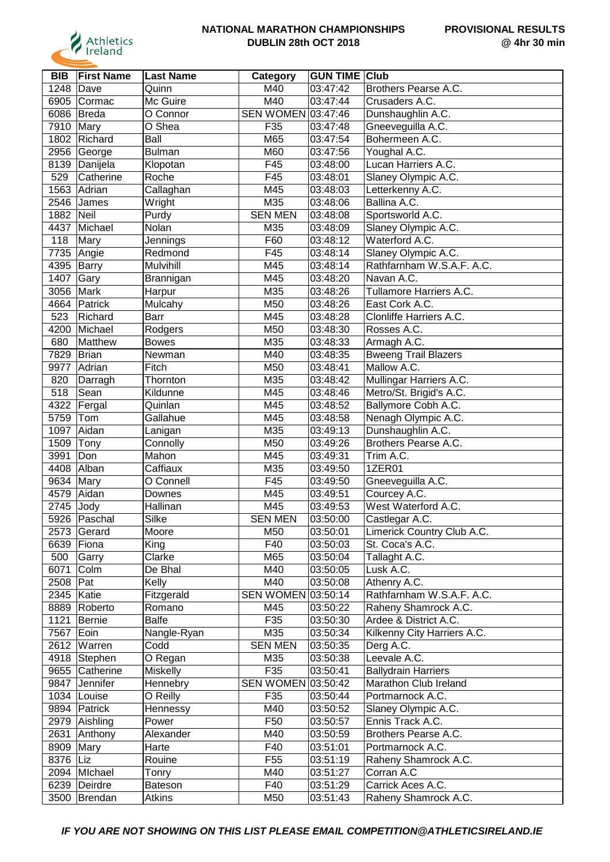

| <b>BIB</b> | <b>First Name</b> | <b>Last Name</b>    | Category                  | <b>GUN TIME Club</b> |                             |
|------------|-------------------|---------------------|---------------------------|----------------------|-----------------------------|
| 1248       | Dave              | Quinn               | M40                       | 03:47:42             | Brothers Pearse A.C.        |
| 6905       | Cormac            | Mc Guire            | M40                       | 03:47:44             | Crusaders A.C.              |
| 6086       | Breda             | O Connor            | SEN WOMEN 03:47:46        |                      | Dunshaughlin A.C.           |
| 7910       | Mary              | $\overline{O}$ Shea | F35                       | 03:47:48             | Gneeveguilla A.C.           |
| 1802       | Richard           | Ball                | M65                       | 03:47:54             | Bohermeen A.C.              |
| 2956       | George            | <b>Bulman</b>       | M60                       | 03:47:56             | Youghal A.C.                |
| 8139       | Danijela          | Klopotan            | F45                       | 03:48:00             | Lucan Harriers A.C.         |
| 529        | Catherine         | Roche               | F45                       | 03:48:01             | Slaney Olympic A.C.         |
| 1563       | Adrian            | Callaghan           | M45                       | 03:48:03             | Letterkenny A.C.            |
| 2546       |                   |                     | M35                       | 03:48:06             | Ballina A.C.                |
|            | James             | Wright              |                           |                      |                             |
| 1882       | Neil              | Purdy               | <b>SEN MEN</b>            | 03:48:08             | Sportsworld A.C.            |
| 4437       | Michael           | Nolan               | M35                       | 03:48:09             | Slaney Olympic A.C.         |
| 118        | Mary              | Jennings            | F60                       | 03:48:12             | Waterford A.C.              |
| 7735       | Angie             | Redmond             | F45                       | 03:48:14             | Slaney Olympic A.C.         |
| 4395       | Barry             | Mulvihill           | M45                       | 03:48:14             | Rathfarnham W.S.A.F. A.C.   |
| 1407       | Gary              | Brannigan           | M45                       | 03:48:20             | Navan A.C.                  |
| 3056       | Mark              | Harpur              | M35                       | 03:48:26             | Tullamore Harriers A.C.     |
| 4664       | Patrick           | Mulcahy             | M50                       | 03:48:26             | East Cork A.C.              |
| 523        | Richard           | Barr                | M45                       | 03:48:28             | Clonliffe Harriers A.C.     |
| 4200       | Michael           | Rodgers             | M50                       | 03:48:30             | Rosses A.C.                 |
| 680        | Matthew           | <b>Bowes</b>        | M35                       | 03:48:33             | Armagh A.C.                 |
| 7829       | Brian             | Newman              | M40                       | 03:48:35             | <b>Bweeng Trail Blazers</b> |
| 9977       | Adrian            | Fitch               | M50                       | 03:48:41             | Mallow A.C.                 |
| 820        | Darragh           | Thornton            | M35                       | 03:48:42             | Mullingar Harriers A.C.     |
| 518        | Sean              | Kildunne            | M45                       | 03:48:46             | Metro/St. Brigid's A.C.     |
| 4322       | Fergal            | Quinlan             | M45                       | 03:48:52             | Ballymore Cobh A.C.         |
| 5759       | Tom               | Gallahue            | M45                       | 03:48:58             | Nenagh Olympic A.C.         |
| 1097       | Aidan             | Lanigan             | M35                       | 03:49:13             | Dunshaughlin A.C.           |
| 1509       | Tony              | Connolly            | M50                       | 03:49:26             | Brothers Pearse A.C.        |
| 3991       | Don               | Mahon               | M45                       | 03:49:31             | Trim A.C.                   |
| 4408       | Alban             | Caffiaux            | M35                       | 03:49:50             | 1ZER01                      |
| 9634       | Mary              | O Connell           | F45                       | 03:49:50             | Gneeveguilla A.C.           |
| 4579       | Aidan             | Downes              | M45                       | 03:49:51             | Courcey A.C.                |
| 2745       | Jody              | Hallinan            | M45                       | 03:49:53             | West Waterford A.C.         |
| 5926       | Paschal           | Silke               | <b>SEN MEN</b>            | 03:50:00             | Castlegar A.C.              |
|            | 2573   Gerard     | Moore               | M50                       | 03:50:01             | Limerick Country Club A.C.  |
|            | 6639 Fiona        | King                | F40                       | 03:50:03             | St. Coca's A.C.             |
| 500        | Garry             | Clarke              | M65                       | 03:50:04             | Tallaght A.C.               |
| 6071       | Colm              | De Bhal             | M40                       |                      | Lusk A.C.                   |
|            |                   |                     |                           | 03:50:05             |                             |
| 2508       | Pat               | Kelly               | M40                       | 03:50:08             | Athenry A.C.                |
| 2345       | Katie             | Fitzgerald          | <b>SEN WOMEN 03:50:14</b> |                      | Rathfarnham W.S.A.F. A.C.   |
| 8889       | Roberto           | Romano              | M45                       | 03:50:22             | Raheny Shamrock A.C.        |
| 1121       | Bernie            | <b>Balfe</b>        | F35                       | 03:50:30             | Ardee & District A.C.       |
| 7567       | Eoin              | Nangle-Ryan         | M35                       | 03:50:34             | Kilkenny City Harriers A.C. |
| 2612       | Warren            | Codd                | <b>SEN MEN</b>            | 03:50:35             | Derg A.C.                   |
|            | 4918 Stephen      | O Regan             | M35                       | 03:50:38             | Leevale A.C.                |
|            | 9655 Catherine    | Miskelly            | F35                       | 03:50:41             | <b>Ballydrain Harriers</b>  |
| 9847       | Jennifer          | Hennebry            | SEN WOMEN 03:50:42        |                      | Marathon Club Ireland       |
|            | 1034 Louise       | O Reilly            | F35                       | 03:50:44             | Portmarnock A.C.            |
| 9894       | Patrick           | Hennessy            | M40                       | 03:50:52             | Slaney Olympic A.C.         |
| 2979       | Aishling          | Power               | F50                       | 03:50:57             | Ennis Track A.C.            |
| 2631       | Anthony           | Alexander           | M40                       | 03:50:59             | Brothers Pearse A.C.        |
| 8909       | Mary              | Harte               | F40                       | 03:51:01             | Portmarnock A.C.            |
| 8376 Liz   |                   | Rouine              | F <sub>55</sub>           | 03:51:19             | Raheny Shamrock A.C.        |
|            | 2094 Michael      | Tonry               | M40                       | 03:51:27             | Corran A.C                  |
|            | 6239 Deirdre      | Bateson             | F40                       | 03:51:29             | Carrick Aces A.C.           |
| 3500       | Brendan           | Atkins              | M50                       | 03:51:43             | Raheny Shamrock A.C.        |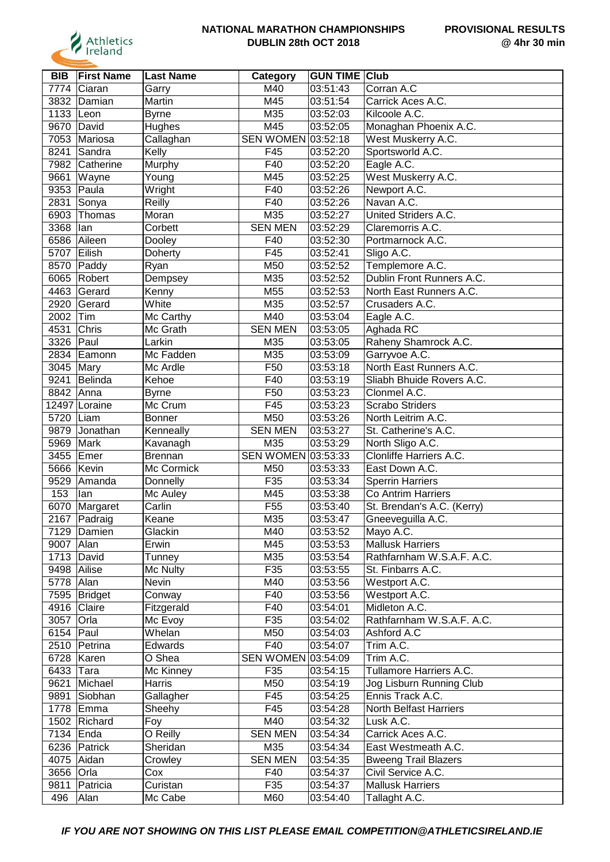

| <b>BIB</b>  | <b>First Name</b> | <b>Last Name</b> | Category           | <b>GUN TIME Club</b> |                             |
|-------------|-------------------|------------------|--------------------|----------------------|-----------------------------|
| 7774        | Ciaran            | Garry            | M40                | 03:51:43             | Corran A.C                  |
| 3832        | Damian            | Martin           | M45                | 03:51:54             | Carrick Aces A.C.           |
| 1133        | Leon              | <b>Byrne</b>     | M35                | 03:52:03             | Kilcoole A.C.               |
| 9670        | David             | Hughes           | M45                | 03:52:05             | Monaghan Phoenix A.C.       |
| 7053        | Mariosa           | Callaghan        | SEN WOMEN 03:52:18 |                      | West Muskerry A.C.          |
| 8241        | Sandra            | Kelly            | F45                | 03:52:20             | Sportsworld A.C.            |
| 7982        | Catherine         | Murphy           | F40                | 03:52:20             | Eagle A.C.                  |
| 9661        | Wayne             | Young            | M45                | 03:52:25             | West Muskerry A.C.          |
| 9353        | Paula             | Wright           | F40                | 03:52:26             | Newport A.C.                |
| 2831        | Sonya             | Reilly           | F40                | 03:52:26             | Navan A.C.                  |
| 6903        | Thomas            | Moran            | M35                | 03:52:27             | United Striders A.C.        |
| 3368        | <b>l</b> an       | Corbett          | <b>SEN MEN</b>     | 03:52:29             | Claremorris A.C.            |
| 6586        | Aileen            | Dooley           | F40                | 03:52:30             | Portmarnock A.C.            |
| 5707        | Eilish            | Doherty          | F45                | 03:52:41             | Sligo A.C.                  |
| 8570        | Paddy             | Ryan             | M50                | 03:52:52             | Templemore A.C.             |
| 6065        | Robert            | Dempsey          | M35                | 03:52:52             | Dublin Front Runners A.C.   |
| 4463        | Gerard            | Kenny            | M55                | 03:52:53             | North East Runners A.C.     |
| 2920        | Gerard            | White            | M35                | 03:52:57             | Crusaders A.C.              |
| 2002        | Tim               | Mc Carthy        | M40                | 03:53:04             | Eagle A.C.                  |
| 4531        | Chris             | Mc Grath         | <b>SEN MEN</b>     | 03:53:05             | Aghada RC                   |
| 3326        | Paul              | Larkin           | M35                | 03:53:05             | Raheny Shamrock A.C.        |
| 2834        | Eamonn            | Mc Fadden        | M35                | 03:53:09             | Garryvoe A.C.               |
| 3045        | Mary              | Mc Ardle         | F50                | 03:53:18             | North East Runners A.C.     |
| 9241        | Belinda           | Kehoe            | F40                | 03:53:19             | Sliabh Bhuide Rovers A.C.   |
| 8842        | Anna              | <b>Byrne</b>     | F50                | 03:53:23             | Clonmel A.C.                |
|             | 12497 Loraine     | Mc Crum          | F45                | 03:53:23             | <b>Scrabo Striders</b>      |
| 5720        | Liam              | <b>Bonner</b>    | M50                | 03:53:26             | North Leitrim A.C.          |
| 9879        | Jonathan          | Kenneally        | <b>SEN MEN</b>     | 03:53:27             | St. Catherine's A.C.        |
| 5969        | Mark              | Kavanagh         | M35                | 03:53:29             | North Sligo A.C.            |
| 3455        | Emer              | <b>Brennan</b>   | SEN WOMEN 03:53:33 |                      | Clonliffe Harriers A.C.     |
| 5666        | Kevin             | Mc Cormick       | M50                | 03:53:33             | East Down A.C.              |
| 9529        | Amanda            | Donnelly         | F35                | 03:53:34             | <b>Sperrin Harriers</b>     |
| 153         | lan               | Mc Auley         | M45                | 03:53:38             | Co Antrim Harriers          |
| 6070        | Margaret          | Carlin           | F <sub>55</sub>    | 03:53:40             | St. Brendan's A.C. (Kerry)  |
| 2167        | Padraig           | Keane            | M35                | 03:53:47             | Gneeveguilla A.C.           |
|             | 7129 Damien       | Glackin          | M40                | 03:53:52             | Mayo A.C.                   |
| 9007        | Alan              | Erwin            | M45                | 03:53:53             | <b>Mallusk Harriers</b>     |
|             | 1713 David        | Tunney           | M35                | 03:53:54             | Rathfarnham W.S.A.F. A.C.   |
| 9498 Ailise |                   | Mc Nulty         | F35                | 03:53:55             | St. Finbarrs A.C.           |
| 5778   Alan |                   | Nevin            | M40                | 03:53:56             | Westport A.C.               |
|             | 7595 Bridget      | Conway           | F40                | 03:53:56             | Westport A.C.               |
|             | 4916 Claire       | Fitzgerald       | F40                | 03:54:01             | Midleton A.C.               |
| 3057        | <b>Orla</b>       | Mc Evoy          | F35                | 03:54:02             | Rathfarnham W.S.A.F. A.C.   |
| 6154 Paul   |                   | Whelan           | M50                | 03:54:03             | Ashford A.C                 |
|             | 2510 Petrina      | Edwards          | F40                | 03:54:07             | Trim A.C.                   |
| 6728        | Karen             | O Shea           | SEN WOMEN 03:54:09 |                      | Trim A.C.                   |
| 6433        | Tara              | Mc Kinney        | F35                | 03:54:15             | Tullamore Harriers A.C.     |
| 9621        | Michael           | Harris           | M50                | 03:54:19             | Jog Lisburn Running Club    |
| 9891        | Siobhan           | Gallagher        | F45                | 03:54:25             | Ennis Track A.C.            |
|             | 1778 Emma         | Sheehy           | F45                | 03:54:28             | North Belfast Harriers      |
|             | 1502 Richard      | Foy              | M40                | 03:54:32             | Lusk A.C.                   |
| 7134 Enda   |                   | O Reilly         | <b>SEN MEN</b>     | 03:54:34             | Carrick Aces A.C.           |
|             | 6236 Patrick      | Sheridan         | M35                | 03:54:34             | East Westmeath A.C.         |
|             | 4075 Aidan        | Crowley          | <b>SEN MEN</b>     | 03:54:35             | <b>Bweeng Trail Blazers</b> |
| 3656 Orla   |                   | Cox              | F40                | 03:54:37             | Civil Service A.C.          |
| 9811        | Patricia          | Curistan         | F35                | 03:54:37             | <b>Mallusk Harriers</b>     |
| 496         | Alan              | Mc Cabe          | M60                | 03:54:40             | Tallaght A.C.               |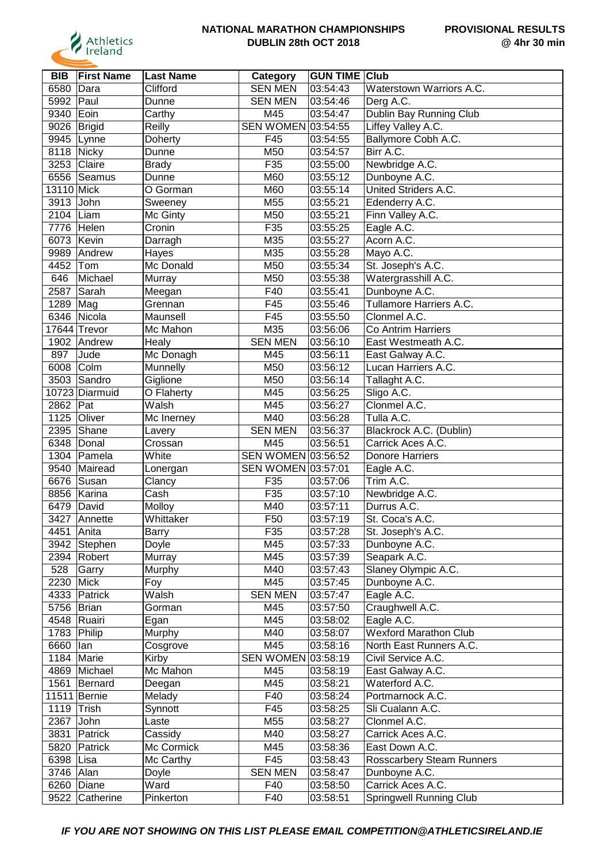

| <b>BIB</b>     | <b>First Name</b> | <b>Last Name</b> | Category           | <b>GUN TIME Club</b> |                                  |
|----------------|-------------------|------------------|--------------------|----------------------|----------------------------------|
| 6580           | Dara              | Clifford         | <b>SEN MEN</b>     | 03:54:43             | Waterstown Warriors A.C.         |
| 5992           | Paul              | Dunne            | <b>SEN MEN</b>     | 03:54:46             | Derg A.C.                        |
| 9340           | Eoin              | Carthy           | M45                | 03:54:47             | Dublin Bay Running Club          |
| 9026           | Brigid            | Reilly           | SEN WOMEN 03:54:55 |                      | Liffey Valley A.C.               |
| 9945           | Lynne             | Doherty          | F45                | 03:54:55             | Ballymore Cobh A.C.              |
| 8118           | Nicky             | Dunne            | M50                | 03:54:57             | Birr A.C.                        |
|                | 3253 Claire       | Brady            | F35                | 03:55:00             | Newbridge A.C.                   |
| 6556           | Seamus            | Dunne            | M60                | 03:55:12             | Dunboyne A.C.                    |
| 13110 Mick     |                   | O Gorman         | M60                | 03:55:14             | United Striders A.C.             |
| 3913           | John              | Sweeney          | M55                | 03:55:21             | Edenderry A.C.                   |
| 2104           | Liam              | Mc Ginty         | M50                | 03:55:21             | Finn Valley A.C.                 |
| 7776           | Helen             | Cronin           | F35                | 03:55:25             | Eagle A.C.                       |
| 6073           | Kevin             | Darragh          | M35                | 03:55:27             | Acorn A.C.                       |
| 9989           | Andrew            | Hayes            | M35                | 03:55:28             | Mayo A.C.                        |
| 4452           | Tom               | Mc Donald        | M50                | 03:55:34             | St. Joseph's A.C.                |
| 646            | Michael           | Murray           | M50                | 03:55:38             | Watergrasshill A.C.              |
| 2587           | Sarah             | Meegan           | F40                | 03:55:41             | Dunboyne A.C.                    |
| 1289           | Mag               | Grennan          | F45                | 03:55:46             | Tullamore Harriers A.C.          |
| 6346           | Nicola            | Maunsell         | F45                | 03:55:50             | Clonmel A.C.                     |
|                | 17644 Trevor      | Mc Mahon         | M35                | 03:56:06             | <b>Co Antrim Harriers</b>        |
| 1902           | Andrew            | Healy            | <b>SEN MEN</b>     | 03:56:10             | East Westmeath A.C.              |
| 897            | Jude              | Mc Donagh        | M45                | 03:56:11             | East Galway A.C.                 |
|                | Colm              |                  | M50                | 03:56:12             | Lucan Harriers A.C.              |
| 6008           |                   | Munnelly         |                    |                      |                                  |
| 3503           | Sandro            | Giglione         | M50                | 03:56:14             | Tallaght A.C.                    |
|                | 10723 Diarmuid    | O Flaherty       | M45                | 03:56:25             | Sligo A.C.                       |
| 2862 Pat       |                   | Walsh            | M45                | 03:56:27             | Clonmel A.C.                     |
| 1125           | Oliver            | Mc Inerney       | M40                | 03:56:28             | Tulla A.C.                       |
| 2395           | Shane             | Lavery           | <b>SEN MEN</b>     | 03:56:37             | Blackrock A.C. (Dublin)          |
| 6348           | Donal             | Crossan          | M45                | 03:56:51             | Carrick Aces A.C.                |
| 1304           | Pamela            | White            | SEN WOMEN 03:56:52 |                      | <b>Donore Harriers</b>           |
| 9540           | Mairead           | Lonergan         | SEN WOMEN 03:57:01 |                      | Eagle A.C.                       |
| 6676           | Susan             | Clancy           | F35                | 03:57:06             | Trim A.C.                        |
| 8856           | Karina            | Cash             | F35                | 03:57:10             | Newbridge A.C.                   |
| 6479           | David             | Molloy           | M40                | 03:57:11             | Durrus A.C.                      |
| 3427           | Annette           | Whittaker        | F50                | 03:57:19             | St. Coca's A.C.                  |
| 4451           | Anita             | <b>Barry</b>     | F35                | 03:57:28             | St. Joseph's A.C.                |
| 3942           | Stephen           | Doyle            | M45                | 03:57:33             | Dunboyne A.C.                    |
|                | 2394 Robert       | Murray           | M45                | 03:57:39             | Seapark A.C.                     |
| 528            | Garry             | Murphy           | M40                | 03:57:43             | Slaney Olympic A.C.              |
| 2230           | Mick              | Foy              | M45                | 03:57:45             | Dunboyne A.C.                    |
|                | 4333 Patrick      | Walsh            | <b>SEN MEN</b>     | 03:57:47             | Eagle A.C.                       |
| 5756 Brian     |                   | Gorman           | M45                | 03:57:50             | Craughwell A.C.                  |
|                | 4548 Ruairi       | Egan             | M45                | 03:58:02             | Eagle A.C.                       |
| 1783 Philip    |                   | Murphy           | M40                | 03:58:07             | <b>Wexford Marathon Club</b>     |
| 6660           | lan               | Cosgrove         | M45                | 03:58:16             | North East Runners A.C.          |
| 1184           | Marie             | Kirby            | SEN WOMEN 03:58:19 |                      | Civil Service A.C.               |
| 4869           | Michael           | Mc Mahon         | M45                | 03:58:19             | East Galway A.C.                 |
| 1561           | Bernard           | Deegan           | M45                | 03:58:21             | Waterford A.C.                   |
|                | 11511 Bernie      | Melady           | F40                | 03:58:24             | Portmarnock A.C.                 |
| 1119 $ $ Trish |                   | Synnott          | F45                | 03:58:25             | Sli Cualann A.C.                 |
| 2367           | John              | Laste            | M55                | 03:58:27             | Clonmel A.C.                     |
| 3831           | Patrick           | Cassidy          | M40                | 03:58:27             | Carrick Aces A.C.                |
| 5820           | Patrick           | Mc Cormick       | M45                | 03:58:36             | East Down A.C.                   |
| 6398           | Lisa              | Mc Carthy        | F45                | 03:58:43             | <b>Rosscarbery Steam Runners</b> |
| 3746   Alan    |                   | Doyle            | <b>SEN MEN</b>     | 03:58:47             | Dunboyne A.C.                    |
|                | 6260 Diane        | Ward             | F40                | 03:58:50             | Carrick Aces A.C.                |
| 9522           | Catherine         | Pinkerton        | F40                | 03:58:51             | Springwell Running Club          |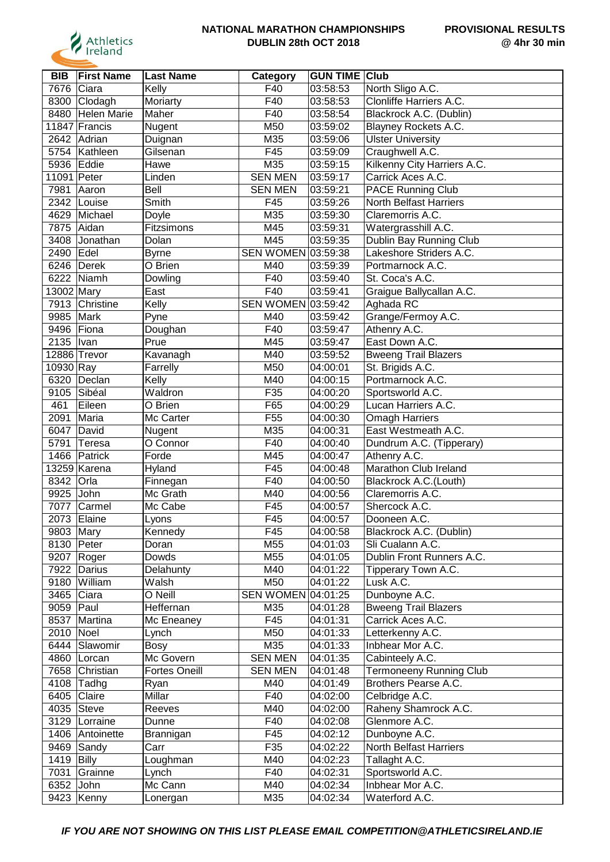

| <b>BIB</b>  | <b>First Name</b>  | <b>Last Name</b>     | Category           | <b>GUN TIME Club</b> |                                |
|-------------|--------------------|----------------------|--------------------|----------------------|--------------------------------|
| 7676        | Ciara              | Kelly                | F40                | 03:58:53             | North Sligo A.C.               |
| 8300        | Clodagh            | Moriarty             | F40                | 03:58:53             | Clonliffe Harriers A.C.        |
| 8480        | <b>Helen Marie</b> | Maher                | F40                | 03:58:54             | Blackrock A.C. (Dublin)        |
|             | 11847 Francis      | Nugent               | M50                | 03:59:02             | Blayney Rockets A.C.           |
| 2642        | Adrian             | Duignan              | M35                | 03:59:06             | <b>Ulster University</b>       |
|             | 5754 Kathleen      | Gilsenan             | F45                | 03:59:09             | Craughwell A.C.                |
| 5936        | Eddie              | Hawe                 | M35                | 03:59:15             | Kilkenny City Harriers A.C.    |
| 11091 Peter |                    | Linden               | <b>SEN MEN</b>     | 03:59:17             | Carrick Aces A.C.              |
| 7981        | Aaron              | Bell                 | <b>SEN MEN</b>     | 03:59:21             | <b>PACE Running Club</b>       |
| 2342        | Louise             | Smith                | F45                | 03:59:26             | <b>North Belfast Harriers</b>  |
| 4629        | Michael            | Doyle                | M35                | 03:59:30             | Claremorris A.C.               |
| 7875        | Aidan              | Fitzsimons           | M45                | 03:59:31             | Watergrasshill A.C.            |
| 3408        | Jonathan           | Dolan                | M45                | 03:59:35             | Dublin Bay Running Club        |
| 2490        | Edel               | <b>Byrne</b>         | SEN WOMEN 03:59:38 |                      | Lakeshore Striders A.C.        |
| 6246        | Derek              | O Brien              | M40                | 03:59:39             | Portmarnock A.C.               |
| 6222        | Niamh              | Dowling              | F40                | 03:59:40             | St. Coca's A.C.                |
| 13002 Mary  |                    | East                 | F40                | 03:59:41             | Graigue Ballycallan A.C.       |
| 7913        | Christine          | Kelly                | SEN WOMEN 03:59:42 |                      | Aghada RC                      |
| 9985        | Mark               | Pyne                 | M40                | 03:59:42             | Grange/Fermoy A.C.             |
| 9496 Fiona  |                    | Doughan              | F40                | 03:59:47             | Athenry A.C.                   |
| 2135        | Ivan               | Prue                 | M45                | 03:59:47             | East Down A.C.                 |
|             | 12886 Trevor       | Kavanagh             | M40                | 03:59:52             | <b>Bweeng Trail Blazers</b>    |
| 10930 Ray   |                    | Farrelly             | M50                | 04:00:01             | St. Brigids A.C.               |
| 6320        | Declan             | Kelly                | M40                | 04:00:15             | Portmarnock A.C.               |
| 9105        | Sibéal             | Waldron              | F35                | 04:00:20             | Sportsworld A.C.               |
| 461         | Eileen             | O Brien              | F65                | 04:00:29             | Lucan Harriers A.C.            |
| 2091        | Maria              | Mc Carter            | F <sub>55</sub>    | 04:00:30             | <b>Omagh Harriers</b>          |
| 6047        | David              | Nugent               | M35                | 04:00:31             | East Westmeath A.C.            |
| 5791        | Teresa             | O Connor             | F40                | 04:00:40             | Dundrum A.C. (Tipperary)       |
| 1466        | Patrick            | Forde                | M45                | 04:00:47             | Athenry A.C.                   |
|             | 13259 Karena       | Hyland               | F45                | 04:00:48             | Marathon Club Ireland          |
| 8342        | Orla               | Finnegan             | F40                | 04:00:50             | Blackrock A.C.(Louth)          |
| 9925        | John               | Mc Grath             | M40                | 04:00:56             | Claremorris A.C.               |
| 7077        | Carmel             | Mc Cabe              | F45                |                      | Shercock A.C.                  |
| 2073        | Elaine             |                      | F45                | 04:00:57             | Dooneen A.C.                   |
|             |                    | Lyons                |                    | 04:00:57             |                                |
| 9803 Mary   |                    | Kennedy              | F45                | 04:00:58             | Blackrock A.C. (Dublin)        |
| 8130 Peter  |                    | Doran<br>Dowds       | M55                | 04:01:03             | Sli Cualann A.C.               |
|             | 9207 Roger         |                      | M55                | 04:01:05             | Dublin Front Runners A.C.      |
| 7922        | Darius             | Delahunty            | M40                | 04:01:22             | Tipperary Town A.C.            |
| 9180        | William            | Walsh                | M50                | 04:01:22             | Lusk A.C.                      |
| 3465        | Ciara              | O Neill              | SEN WOMEN 04:01:25 |                      | Dunboyne A.C.                  |
| 9059        | Paul               | Heffernan            | M35                | 04:01:28             | <b>Bweeng Trail Blazers</b>    |
| 8537        | Martina            | Mc Eneaney           | F45                | 04:01:31             | Carrick Aces A.C.              |
| 2010        | Noel               | Lynch                | M50                | 04:01:33             | Letterkenny A.C.               |
| 6444        | Slawomir           | Bosy                 | M35                | 04:01:33             | Inbhear Mor A.C.               |
| 4860        | Lorcan             | Mc Govern            | <b>SEN MEN</b>     | 04:01:35             | Cabinteely A.C.                |
| 7658        | Christian          | <b>Fortes Oneill</b> | <b>SEN MEN</b>     | 04:01:48             | <b>Termoneeny Running Club</b> |
| 4108        | Tadhg              | Ryan                 | M40                | 04:01:49             | Brothers Pearse A.C.           |
| 6405        | Claire             | Millar               | F40                | 04:02:00             | Celbridge A.C.                 |
|             | 4035 Steve         | Reeves               | M40                | 04:02:00             | Raheny Shamrock A.C.           |
|             | 3129   Lorraine    | Dunne                | F40                | 04:02:08             | Glenmore A.C.                  |
|             | 1406 Antoinette    | Brannigan            | F45                | 04:02:12             | Dunboyne A.C.                  |
|             | 9469 Sandy         | Carr                 | F35                | 04:02:22             | North Belfast Harriers         |
| 1419        | Billy              | Loughman             | M40                | 04:02:23             | Tallaght A.C.                  |
| 7031        | Grainne            | Lynch                | F40                | 04:02:31             | Sportsworld A.C.               |
| 6352 John   |                    | Mc Cann              | M40                | 04:02:34             | Inbhear Mor A.C.               |
|             | 9423   Kenny       | Lonergan             | M35                | 04:02:34             | Waterford A.C.                 |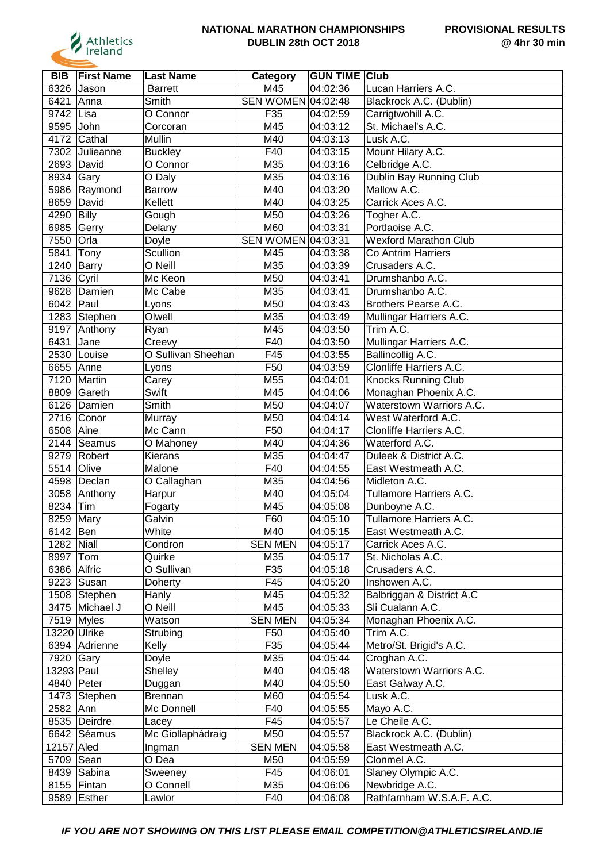

| <b>BIB</b>  | <b>First Name</b> | <b>Last Name</b>   | Category           | <b>GUN TIME</b> | <b>Club</b>                  |
|-------------|-------------------|--------------------|--------------------|-----------------|------------------------------|
| 6326        | Jason             | <b>Barrett</b>     | M45                | 04:02:36        | Lucan Harriers A.C.          |
| 6421        | Anna              | Smith              | SEN WOMEN 04:02:48 |                 | Blackrock A.C. (Dublin)      |
| 9742        | Lisa              | O Connor           | F35                | 04:02:59        | Carrigtwohill A.C.           |
| 9595        | John              | Corcoran           | M45                | 04:03:12        | St. Michael's A.C.           |
| 4172        | Cathal            | Mullin             | M40                | 04:03:13        | Lusk A.C.                    |
| 7302        | Julieanne         | <b>Buckley</b>     | F40                | 04:03:15        | Mount Hilary A.C.            |
| 2693        | David             | O Connor           | M35                | 04:03:16        | Celbridge A.C.               |
| 8934        | Gary              | O Daly             | M35                | 04:03:16        | Dublin Bay Running Club      |
| 5986        | Raymond           | <b>Barrow</b>      | M40                | 04:03:20        | Mallow A.C.                  |
| 8659        | David             | Kellett            | M40                | 04:03:25        | Carrick Aces A.C.            |
| 4290        | Billy             | Gough              | M50                | 04:03:26        | Togher A.C.                  |
| 6985        | Gerry             | Delany             | M60                | 04:03:31        | Portlaoise A.C.              |
| 7550        | Orla              | Doyle              | <b>SEN WOMEN</b>   | 04:03:31        | <b>Wexford Marathon Club</b> |
| 5841        | Tony              | Scullion           | M45                | 04:03:38        | Co Antrim Harriers           |
| 1240        | Barry             | O Neill            | M35                | 04:03:39        | Crusaders A.C.               |
| 7136        | Cyril             | Mc Keon            | M50                | 04:03:41        | Drumshanbo A.C.              |
| 9628        | Damien            | Mc Cabe            | M35                | 04:03:41        | Drumshanbo A.C.              |
| 6042        | Paul              | Lyons              | M50                | 04:03:43        | Brothers Pearse A.C.         |
|             | 1283 Stephen      | Olwell             | M35                | 04:03:49        | Mullingar Harriers A.C.      |
| 9197        | Anthony           | Ryan               | M45                | 04:03:50        | Trim A.C.                    |
| 6431        | Jane              | Creevy             | F40                | 04:03:50        | Mullingar Harriers A.C.      |
| 2530        | Louise            | O Sullivan Sheehan | F45                | 04:03:55        | Ballincollig A.C.            |
| 6655        | Anne              | Lyons              | F50                | 04:03:59        | Clonliffe Harriers A.C.      |
| 7120        | Martin            | Carey              | M55                | 04:04:01        | <b>Knocks Running Club</b>   |
| 8809        | Gareth            | Swift              | M45                | 04:04:06        | Monaghan Phoenix A.C.        |
| 6126        | Damien            | Smith              | M50                | 04:04:07        | Waterstown Warriors A.C.     |
|             | 2716 Conor        | Murray             | M50                | 04:04:14        | West Waterford A.C.          |
| 6508        | Aine              | Mc Cann            | F <sub>50</sub>    | 04:04:17        | Clonliffe Harriers A.C.      |
| 2144        | Seamus            | O Mahoney          | M40                | 04:04:36        | Waterford A.C.               |
| 9279        | Robert            | Kierans            | M35                | 04:04:47        | Duleek & District A.C.       |
| 5514        | Olive             | Malone             | F40                | 04:04:55        | East Westmeath A.C.          |
| 4598        | Declan            | O Callaghan        | M35                | 04:04:56        | Midleton A.C.                |
| 3058        | Anthony           | Harpur             | M40                | 04:05:04        | Tullamore Harriers A.C.      |
| 8234        | Tim               | Fogarty            | M45                | 04:05:08        | Dunboyne A.C.                |
| 8259        | Mary              | Galvin             | F60                | 04:05:10        | Tullamore Harriers A.C.      |
| 6142 Ben    |                   | White              | M40                | 04:05:15        | East Westmeath A.C.          |
| 1282        | Niall             | Condron            | <b>SEN MEN</b>     | 04:05:17        | Carrick Aces A.C.            |
| 8997        | Tom               | Quirke             | M35                | 04:05:17        | St. Nicholas A.C.            |
| 6386 Aifric |                   | O Sullivan         | F35                | 04:05:18        | Crusaders A.C.               |
|             | 9223 Susan        | Doherty            | F45                | 04:05:20        | Inshowen A.C.                |
|             | 1508 Stephen      | Hanly              | M45                | 04:05:32        | Balbriggan & District A.C    |
|             | 3475 Michael J    | O Neill            | M45                | 04:05:33        | Sli Cualann A.C.             |
|             | 7519 Myles        | Watson             | <b>SEN MEN</b>     | 04:05:34        | Monaghan Phoenix A.C.        |
|             | 13220 Ulrike      |                    | F50                | 04:05:40        | Trim A.C.                    |
|             | 6394 Adrienne     | Strubing<br>Kelly  | F35                | 04:05:44        | Metro/St. Brigid's A.C.      |
|             |                   |                    | M35                |                 | Croghan A.C.                 |
| 7920 Gary   |                   | Doyle              |                    | 04:05:44        |                              |
| 13293 Paul  |                   | Shelley            | M40                | 04:05:48        | Waterstown Warriors A.C.     |
|             | 4840 Peter        | Duggan             | M40                | 04:05:50        | East Galway A.C.             |
|             | 1473 Stephen      | <b>Brennan</b>     | M60                | 04:05:54        | Lusk A.C.                    |
| 2582 Ann    |                   | Mc Donnell         | F40                | 04:05:55        | Mayo A.C.                    |
|             | 8535 Deirdre      | Lacey              | F45                | 04:05:57        | Le Cheile A.C.               |
|             | 6642 Séamus       | Mc Giollaphádraig  | M50                | 04:05:57        | Blackrock A.C. (Dublin)      |
| 12157 Aled  |                   | Ingman             | <b>SEN MEN</b>     | 04:05:58        | East Westmeath A.C.          |
| 5709   Sean |                   | O Dea              | M50                | 04:05:59        | Clonmel A.C.                 |
|             | 8439 Sabina       | Sweeney            | F45                | 04:06:01        | Slaney Olympic A.C.          |
|             | 8155 Fintan       | O Connell          | M35                | 04:06:06        | Newbridge A.C.               |
|             | 9589 Esther       | Lawlor             | F40                | 04:06:08        | Rathfarnham W.S.A.F. A.C.    |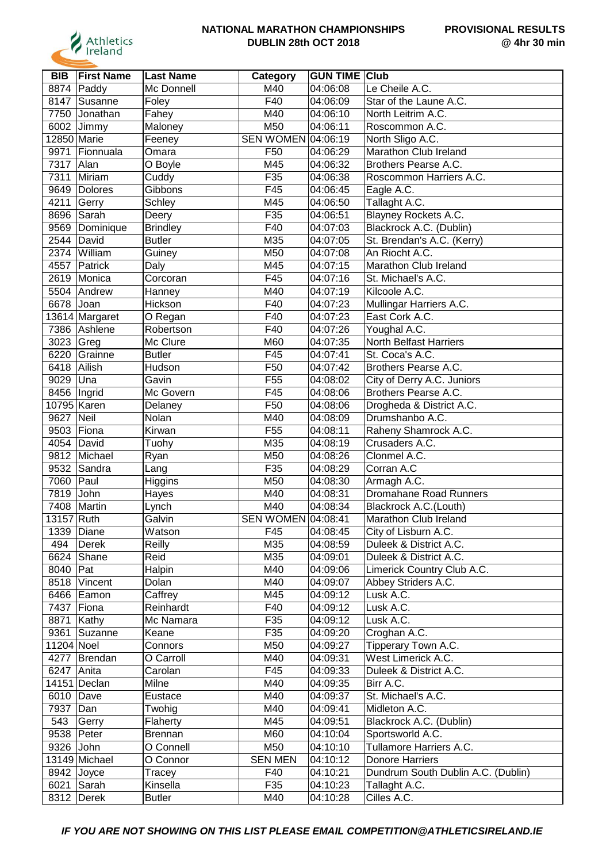

| <b>BIB</b>  | <b>First Name</b> | <b>Last Name</b> | Category           | <b>GUN TIME Club</b> |                                    |
|-------------|-------------------|------------------|--------------------|----------------------|------------------------------------|
| 8874        | Paddy             | Mc Donnell       | M40                | 04:06:08             | Le Cheile A.C.                     |
| 8147        | Susanne           | Foley            | F40                | 04:06:09             | Star of the Laune A.C.             |
| 7750        | Jonathan          | Fahey            | M40                | 04:06:10             | North Leitrim A.C.                 |
| 6002        | Jimmy             | Maloney          | M50                | 04:06:11             | Roscommon A.C.                     |
| 12850 Marie |                   | Feeney           | SEN WOMEN 04:06:19 |                      | North Sligo A.C.                   |
| 9971        | Fionnuala         | Omara            | F50                | 04:06:29             | Marathon Club Ireland              |
| 7317        | Alan              | O Boyle          | M45                | 04:06:32             | Brothers Pearse A.C.               |
| 7311        | Miriam            | Cuddy            | F35                | 04:06:38             | Roscommon Harriers A.C.            |
| 9649        | Dolores           | Gibbons          | $\overline{F45}$   | 04:06:45             | Eagle A.C.                         |
| 4211        | Gerry             | Schley           | M45                | 04:06:50             | Tallaght A.C.                      |
| 8696        | Sarah             | Deery            | F35                | 04:06:51             | Blayney Rockets A.C.               |
| 9569        | Dominique         | <b>Brindley</b>  | F40                | 04:07:03             | Blackrock A.C. (Dublin)            |
| 2544        | David             | <b>Butler</b>    | M35                | 04:07:05             | St. Brendan's A.C. (Kerry)         |
| 2374        | William           | Guiney           | M50                | 04:07:08             | An Riocht A.C.                     |
| 4557        | Patrick           | Daly             | M45                | 04:07:15             | Marathon Club Ireland              |
| 2619        | Monica            | Corcoran         | F45                | 04:07:16             | St. Michael's A.C.                 |
| 5504        | Andrew            | Hanney           | M40                | 04:07:19             | Kilcoole A.C.                      |
| 6678        | Joan              | Hickson          | F40                | 04:07:23             | Mullingar Harriers A.C.            |
|             | 13614 Margaret    | O Regan          | F40                | 04:07:23             | East Cork A.C.                     |
|             | 7386 Ashlene      | Robertson        | F40                | 04:07:26             | Youghal A.C.                       |
| 3023        | Greg              | Mc Clure         | M60                | 04:07:35             | North Belfast Harriers             |
| 6220        | Grainne           | <b>Butler</b>    | F45                | 04:07:41             | St. Coca's A.C.                    |
| 6418        | Ailish            | Hudson           | F50                | 04:07:42             | Brothers Pearse A.C.               |
| 9029        | Una               | Gavin            | F <sub>55</sub>    | 04:08:02             | City of Derry A.C. Juniors         |
| 8456        | Ingrid            | Mc Govern        | F45                | 04:08:06             | Brothers Pearse A.C.               |
| 10795 Karen |                   | Delaney          | F <sub>50</sub>    | 04:08:06             | Drogheda & District A.C.           |
| 9627        | Neil              | Nolan            | M40                | 04:08:09             | Drumshanbo A.C.                    |
| 9503        | Fiona             | Kirwan           | F <sub>55</sub>    | 04:08:11             | Raheny Shamrock A.C.               |
| 4054        | David             | Tuohy            | M35                | 04:08:19             | Crusaders A.C.                     |
| 9812        | Michael           | Ryan             | M50                | 04:08:26             | Clonmel A.C.                       |
| 9532        | Sandra            | Lang             | F35                | 04:08:29             | Corran A.C                         |
| 7060        | Paul              | Higgins          | M50                | 04:08:30             | Armagh A.C.                        |
| 7819        | John              | Hayes            | M40                | 04:08:31             | Dromahane Road Runners             |
| 7408        | Martin            | Lynch            | M40                | 04:08:34             | Blackrock A.C.(Louth)              |
| 13157 Ruth  |                   | Galvin           | SEN WOMEN 04:08:41 |                      | Marathon Club Ireland              |
|             | 1339 Diane        | Watson           | F45                | 04:08:45             | City of Lisburn A.C.               |
| 494         | Derek             | Reilly           | M35                | 04:08:59             | Duleek & District A.C.             |
|             | 6624 Shane        | Reid             | M35                | 04:09:01             | Duleek & District A.C.             |
| 8040        | Pat               | Halpin           | M40                | 04:09:06             | Limerick Country Club A.C.         |
|             | 8518 Vincent      | Dolan            | M40                | 04:09:07             | Abbey Striders A.C.                |
|             | 6466 Eamon        | Caffrey          | M45                | 04:09:12             | Lusk A.C.                          |
| 7437        | Fiona             | Reinhardt        | F40                | 04:09:12             | Lusk A.C.                          |
| 8871        | Kathy             | Mc Namara        | F35                | 04:09:12             | Lusk A.C.                          |
| 9361        | Suzanne           | Keane            | F35                | 04:09:20             | Croghan A.C.                       |
| 11204 Noel  |                   | Connors          | M50                | 04:09:27             | Tipperary Town A.C.                |
| 4277        | Brendan           | O Carroll        | M40                | 04:09:31             | West Limerick A.C.                 |
| 6247        | Anita             | Carolan          | F45                | 04:09:33             | Duleek & District A.C.             |
|             | $14151$ Declan    | Milne            | M40                | 04:09:35             | Birr A.C.                          |
| 6010        | Dave              | Eustace          | M40                | 04:09:37             | St. Michael's A.C.                 |
| 7937        | Dan               | Twohig           | M40                | 04:09:41             | Midleton A.C.                      |
| 543         | Gerry             | Flaherty         | M45                | 04:09:51             | Blackrock A.C. (Dublin)            |
| 9538 Peter  |                   | <b>Brennan</b>   | M60                | 04:10:04             | Sportsworld A.C.                   |
| 9326 John   |                   | O Connell        | M50                | 04:10:10             | Tullamore Harriers A.C.            |
|             | 13149 Michael     | O Connor         | <b>SEN MEN</b>     | 04:10:12             | <b>Donore Harriers</b>             |
|             | 8942 Joyce        | Tracey           | F40                | 04:10:21             | Dundrum South Dublin A.C. (Dublin) |
| 6021        | Sarah             | Kinsella         | F35                | 04:10:23             | Tallaght A.C.                      |
| 8312        | Derek             | <b>Butler</b>    | M40                | 04:10:28             | Cilles A.C.                        |
|             |                   |                  |                    |                      |                                    |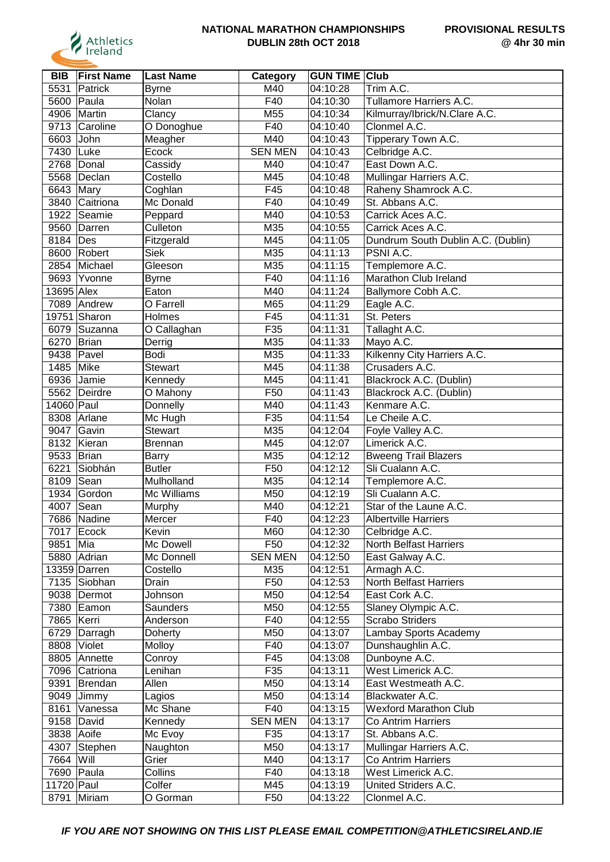

| 5531<br>Patrick<br>M40<br>04:10:28<br>Trim A.C.<br><b>Byrne</b><br>F40<br>Tullamore Harriers A.C.<br>5600<br>Nolan<br>Paula<br>04:10:30<br>M55<br>Kilmurray/Ibrick/N.Clare A.C.<br>4906<br>Martin<br>Clancy<br>04:10:34<br>Clonmel A.C.<br>9713 Caroline<br>O Donoghue<br>F40<br>04:10:40<br>Tipperary Town A.C.<br>6603<br>John<br>M40<br>04:10:43<br>Meagher<br><b>SEN MEN</b><br>Celbridge A.C.<br>7430<br>Luke<br>Ecock<br>04:10:43<br>East Down A.C.<br>2768<br>Cassidy<br>M40<br>04:10:47<br>Donal<br>Mullingar Harriers A.C.<br>5568<br>Costello<br>M45<br>04:10:48<br>Declan<br>Raheny Shamrock A.C.<br>6643 Mary<br>F45<br>04:10:48<br>Coghlan<br>St. Abbans A.C.<br>3840 Caitriona<br>F40<br>04:10:49<br>Mc Donald<br>1922<br>M40<br>Carrick Aces A.C.<br>Seamie<br>04:10:53<br>Peppard<br>M35<br>9560 Darren<br>Culleton<br>04:10:55<br>Carrick Aces A.C.<br>8184   Des<br>Fitzgerald<br>M45<br>04:11:05<br>Dundrum South Dublin A.C. (Dublin)<br>M35<br>PSNI A.C.<br>8600 Robert<br><b>Siek</b><br>04:11:13<br>2854<br>M35<br>Michael<br>Gleeson<br>04:11:15<br>Templemore A.C.<br>F40<br>Marathon Club Ireland<br>9693<br>04:11:16<br>Yvonne<br><b>Byrne</b><br>M40<br>13695 Alex<br>Eaton<br>04:11:24<br>Ballymore Cobh A.C.<br>7089<br>O Farrell<br>M65<br>04:11:29<br>Eagle A.C.<br>Andrew<br>19751 Sharon<br>Holmes<br>F45<br>St. Peters<br>04:11:31<br>F35<br>Tallaght A.C.<br>6079 Suzanna<br>O Callaghan<br>04:11:31<br>Mayo A.C.<br>6270 Brian<br>M35<br>04:11:33<br>Derrig<br>M35<br>Kilkenny City Harriers A.C.<br>9438<br><b>Bodi</b><br>04:11:33<br>Pavel<br>1485<br>Mike<br>Crusaders A.C.<br>M45<br>04:11:38<br><b>Stewart</b><br>6936<br>Blackrock A.C. (Dublin)<br>Jamie<br>M45<br>04:11:41<br>Kennedy<br>5562<br>F50<br>04:11:43<br>Blackrock A.C. (Dublin)<br>Deirdre<br>O Mahony<br>14060 Paul<br>M40<br>04:11:43<br>Kenmare A.C.<br>Donnelly<br>F35<br>04:11:54<br>8308<br>Le Cheile A.C.<br>Arlane<br>Mc Hugh<br>M35<br>9047<br>Gavin<br>04:12:04<br>Foyle Valley A.C.<br>Stewart<br>8132 Kieran<br>Limerick A.C.<br>M45<br>04:12:07<br>Brennan<br>9533 Brian<br>M35<br>04:12:12<br><b>Bweeng Trail Blazers</b><br><b>Barry</b><br>6221<br>Sli Cualann A.C.<br>Siobhán<br><b>Butler</b><br>F50<br>04:12:12<br>M35<br>8109<br>Mulholland<br>04:12:14<br>Templemore A.C.<br>Sean<br>Sli Cualann A.C.<br>1934<br>Mc Williams<br>M50<br>04:12:19<br>Gordon<br>4007<br>Sean<br>M40<br>04:12:21<br>Star of the Laune A.C.<br>Murphy<br>7686<br>Mercer<br>F40<br>04:12:23<br><b>Albertville Harriers</b><br>Nadine<br>7017  Ecock<br>Kevin<br>M60<br>04:12:30<br>Celbridge A.C.<br>F50<br>North Belfast Harriers<br>9851<br>Mia<br>Mc Dowell<br>04:12:32<br>Mc Donnell<br><b>SEN MEN</b><br>04:12:50<br>5880 Adrian<br>East Galway A.C.<br>13359 Darren<br>Costello<br>M35<br>04:12:51<br>Armagh A.C.<br>F50<br>7135 Siobhan<br>Drain<br>04:12:53<br>North Belfast Harriers<br>9038 Dermot<br>M50<br>04:12:54<br>East Cork A.C.<br>Johnson<br>M50<br>Slaney Olympic A.C.<br>7380 Eamon<br>04:12:55<br>Saunders<br><b>Scrabo Striders</b><br>F40<br>7865   Kerri<br>04:12:55<br>Anderson<br>M50<br>04:13:07<br>Lambay Sports Academy<br>6729 Darragh<br>Doherty<br>Violet<br>F40<br>04:13:07<br>Dunshaughlin A.C.<br>8808<br>Molloy<br>F45<br>Dunboyne A.C.<br>04:13:08<br>8805 Annette<br>Conroy<br>Lenihan<br>F35<br>04:13:11<br>West Limerick A.C.<br>7096 Catriona<br>Allen<br>M50<br>9391<br>Brendan<br>04:13:14<br>East Westmeath A.C.<br>M50<br>Blackwater A.C.<br>9049<br>04:13:14<br>Jimmy<br>Lagios<br>8161<br>Mc Shane<br>F40<br><b>Wexford Marathon Club</b><br>04:13:15<br>Vanessa<br>9158 David<br><b>SEN MEN</b><br>Kennedy<br>04:13:17<br>Co Antrim Harriers<br>3838 Aoife<br>St. Abbans A.C.<br>Mc Evoy<br>F35<br>04:13:17<br>Mullingar Harriers A.C.<br>4307<br>M50<br>Stephen<br>Naughton<br>04:13:17<br>7664 Will<br>Grier<br>M40<br>Co Antrim Harriers<br>04:13:17<br>7690 Paula<br>Collins<br>F40<br>04:13:18<br>West Limerick A.C.<br>11720 Paul<br>Colfer<br>M45<br>04:13:19<br>United Striders A.C.<br>8791<br>F50<br>Miriam<br>O Gorman<br>04:13:22<br>Clonmel A.C. | <b>BIB</b> | <b>First Name</b> | <b>Last Name</b> | Category | <b>GUN TIME Club</b> |  |
|-------------------------------------------------------------------------------------------------------------------------------------------------------------------------------------------------------------------------------------------------------------------------------------------------------------------------------------------------------------------------------------------------------------------------------------------------------------------------------------------------------------------------------------------------------------------------------------------------------------------------------------------------------------------------------------------------------------------------------------------------------------------------------------------------------------------------------------------------------------------------------------------------------------------------------------------------------------------------------------------------------------------------------------------------------------------------------------------------------------------------------------------------------------------------------------------------------------------------------------------------------------------------------------------------------------------------------------------------------------------------------------------------------------------------------------------------------------------------------------------------------------------------------------------------------------------------------------------------------------------------------------------------------------------------------------------------------------------------------------------------------------------------------------------------------------------------------------------------------------------------------------------------------------------------------------------------------------------------------------------------------------------------------------------------------------------------------------------------------------------------------------------------------------------------------------------------------------------------------------------------------------------------------------------------------------------------------------------------------------------------------------------------------------------------------------------------------------------------------------------------------------------------------------------------------------------------------------------------------------------------------------------------------------------------------------------------------------------------------------------------------------------------------------------------------------------------------------------------------------------------------------------------------------------------------------------------------------------------------------------------------------------------------------------------------------------------------------------------------------------------------------------------------------------------------------------------------------------------------------------------------------------------------------------------------------------------------------------------------------------------------------------------------------------------------------------------------------------------------------------------------------------------------------------------------------------------------------------------------------------------------------------------------------------------------------------------------------------------------------------------------------------------------------------------------------------------------------------------------------------------------------------------------------------------------------------------------------------------------------------------------------------------------------------------------------------------------------------------------------------------|------------|-------------------|------------------|----------|----------------------|--|
|                                                                                                                                                                                                                                                                                                                                                                                                                                                                                                                                                                                                                                                                                                                                                                                                                                                                                                                                                                                                                                                                                                                                                                                                                                                                                                                                                                                                                                                                                                                                                                                                                                                                                                                                                                                                                                                                                                                                                                                                                                                                                                                                                                                                                                                                                                                                                                                                                                                                                                                                                                                                                                                                                                                                                                                                                                                                                                                                                                                                                                                                                                                                                                                                                                                                                                                                                                                                                                                                                                                                                                                                                                                                                                                                                                                                                                                                                                                                                                                                                                                                                                                         |            |                   |                  |          |                      |  |
|                                                                                                                                                                                                                                                                                                                                                                                                                                                                                                                                                                                                                                                                                                                                                                                                                                                                                                                                                                                                                                                                                                                                                                                                                                                                                                                                                                                                                                                                                                                                                                                                                                                                                                                                                                                                                                                                                                                                                                                                                                                                                                                                                                                                                                                                                                                                                                                                                                                                                                                                                                                                                                                                                                                                                                                                                                                                                                                                                                                                                                                                                                                                                                                                                                                                                                                                                                                                                                                                                                                                                                                                                                                                                                                                                                                                                                                                                                                                                                                                                                                                                                                         |            |                   |                  |          |                      |  |
|                                                                                                                                                                                                                                                                                                                                                                                                                                                                                                                                                                                                                                                                                                                                                                                                                                                                                                                                                                                                                                                                                                                                                                                                                                                                                                                                                                                                                                                                                                                                                                                                                                                                                                                                                                                                                                                                                                                                                                                                                                                                                                                                                                                                                                                                                                                                                                                                                                                                                                                                                                                                                                                                                                                                                                                                                                                                                                                                                                                                                                                                                                                                                                                                                                                                                                                                                                                                                                                                                                                                                                                                                                                                                                                                                                                                                                                                                                                                                                                                                                                                                                                         |            |                   |                  |          |                      |  |
|                                                                                                                                                                                                                                                                                                                                                                                                                                                                                                                                                                                                                                                                                                                                                                                                                                                                                                                                                                                                                                                                                                                                                                                                                                                                                                                                                                                                                                                                                                                                                                                                                                                                                                                                                                                                                                                                                                                                                                                                                                                                                                                                                                                                                                                                                                                                                                                                                                                                                                                                                                                                                                                                                                                                                                                                                                                                                                                                                                                                                                                                                                                                                                                                                                                                                                                                                                                                                                                                                                                                                                                                                                                                                                                                                                                                                                                                                                                                                                                                                                                                                                                         |            |                   |                  |          |                      |  |
|                                                                                                                                                                                                                                                                                                                                                                                                                                                                                                                                                                                                                                                                                                                                                                                                                                                                                                                                                                                                                                                                                                                                                                                                                                                                                                                                                                                                                                                                                                                                                                                                                                                                                                                                                                                                                                                                                                                                                                                                                                                                                                                                                                                                                                                                                                                                                                                                                                                                                                                                                                                                                                                                                                                                                                                                                                                                                                                                                                                                                                                                                                                                                                                                                                                                                                                                                                                                                                                                                                                                                                                                                                                                                                                                                                                                                                                                                                                                                                                                                                                                                                                         |            |                   |                  |          |                      |  |
|                                                                                                                                                                                                                                                                                                                                                                                                                                                                                                                                                                                                                                                                                                                                                                                                                                                                                                                                                                                                                                                                                                                                                                                                                                                                                                                                                                                                                                                                                                                                                                                                                                                                                                                                                                                                                                                                                                                                                                                                                                                                                                                                                                                                                                                                                                                                                                                                                                                                                                                                                                                                                                                                                                                                                                                                                                                                                                                                                                                                                                                                                                                                                                                                                                                                                                                                                                                                                                                                                                                                                                                                                                                                                                                                                                                                                                                                                                                                                                                                                                                                                                                         |            |                   |                  |          |                      |  |
|                                                                                                                                                                                                                                                                                                                                                                                                                                                                                                                                                                                                                                                                                                                                                                                                                                                                                                                                                                                                                                                                                                                                                                                                                                                                                                                                                                                                                                                                                                                                                                                                                                                                                                                                                                                                                                                                                                                                                                                                                                                                                                                                                                                                                                                                                                                                                                                                                                                                                                                                                                                                                                                                                                                                                                                                                                                                                                                                                                                                                                                                                                                                                                                                                                                                                                                                                                                                                                                                                                                                                                                                                                                                                                                                                                                                                                                                                                                                                                                                                                                                                                                         |            |                   |                  |          |                      |  |
|                                                                                                                                                                                                                                                                                                                                                                                                                                                                                                                                                                                                                                                                                                                                                                                                                                                                                                                                                                                                                                                                                                                                                                                                                                                                                                                                                                                                                                                                                                                                                                                                                                                                                                                                                                                                                                                                                                                                                                                                                                                                                                                                                                                                                                                                                                                                                                                                                                                                                                                                                                                                                                                                                                                                                                                                                                                                                                                                                                                                                                                                                                                                                                                                                                                                                                                                                                                                                                                                                                                                                                                                                                                                                                                                                                                                                                                                                                                                                                                                                                                                                                                         |            |                   |                  |          |                      |  |
|                                                                                                                                                                                                                                                                                                                                                                                                                                                                                                                                                                                                                                                                                                                                                                                                                                                                                                                                                                                                                                                                                                                                                                                                                                                                                                                                                                                                                                                                                                                                                                                                                                                                                                                                                                                                                                                                                                                                                                                                                                                                                                                                                                                                                                                                                                                                                                                                                                                                                                                                                                                                                                                                                                                                                                                                                                                                                                                                                                                                                                                                                                                                                                                                                                                                                                                                                                                                                                                                                                                                                                                                                                                                                                                                                                                                                                                                                                                                                                                                                                                                                                                         |            |                   |                  |          |                      |  |
|                                                                                                                                                                                                                                                                                                                                                                                                                                                                                                                                                                                                                                                                                                                                                                                                                                                                                                                                                                                                                                                                                                                                                                                                                                                                                                                                                                                                                                                                                                                                                                                                                                                                                                                                                                                                                                                                                                                                                                                                                                                                                                                                                                                                                                                                                                                                                                                                                                                                                                                                                                                                                                                                                                                                                                                                                                                                                                                                                                                                                                                                                                                                                                                                                                                                                                                                                                                                                                                                                                                                                                                                                                                                                                                                                                                                                                                                                                                                                                                                                                                                                                                         |            |                   |                  |          |                      |  |
|                                                                                                                                                                                                                                                                                                                                                                                                                                                                                                                                                                                                                                                                                                                                                                                                                                                                                                                                                                                                                                                                                                                                                                                                                                                                                                                                                                                                                                                                                                                                                                                                                                                                                                                                                                                                                                                                                                                                                                                                                                                                                                                                                                                                                                                                                                                                                                                                                                                                                                                                                                                                                                                                                                                                                                                                                                                                                                                                                                                                                                                                                                                                                                                                                                                                                                                                                                                                                                                                                                                                                                                                                                                                                                                                                                                                                                                                                                                                                                                                                                                                                                                         |            |                   |                  |          |                      |  |
|                                                                                                                                                                                                                                                                                                                                                                                                                                                                                                                                                                                                                                                                                                                                                                                                                                                                                                                                                                                                                                                                                                                                                                                                                                                                                                                                                                                                                                                                                                                                                                                                                                                                                                                                                                                                                                                                                                                                                                                                                                                                                                                                                                                                                                                                                                                                                                                                                                                                                                                                                                                                                                                                                                                                                                                                                                                                                                                                                                                                                                                                                                                                                                                                                                                                                                                                                                                                                                                                                                                                                                                                                                                                                                                                                                                                                                                                                                                                                                                                                                                                                                                         |            |                   |                  |          |                      |  |
|                                                                                                                                                                                                                                                                                                                                                                                                                                                                                                                                                                                                                                                                                                                                                                                                                                                                                                                                                                                                                                                                                                                                                                                                                                                                                                                                                                                                                                                                                                                                                                                                                                                                                                                                                                                                                                                                                                                                                                                                                                                                                                                                                                                                                                                                                                                                                                                                                                                                                                                                                                                                                                                                                                                                                                                                                                                                                                                                                                                                                                                                                                                                                                                                                                                                                                                                                                                                                                                                                                                                                                                                                                                                                                                                                                                                                                                                                                                                                                                                                                                                                                                         |            |                   |                  |          |                      |  |
|                                                                                                                                                                                                                                                                                                                                                                                                                                                                                                                                                                                                                                                                                                                                                                                                                                                                                                                                                                                                                                                                                                                                                                                                                                                                                                                                                                                                                                                                                                                                                                                                                                                                                                                                                                                                                                                                                                                                                                                                                                                                                                                                                                                                                                                                                                                                                                                                                                                                                                                                                                                                                                                                                                                                                                                                                                                                                                                                                                                                                                                                                                                                                                                                                                                                                                                                                                                                                                                                                                                                                                                                                                                                                                                                                                                                                                                                                                                                                                                                                                                                                                                         |            |                   |                  |          |                      |  |
|                                                                                                                                                                                                                                                                                                                                                                                                                                                                                                                                                                                                                                                                                                                                                                                                                                                                                                                                                                                                                                                                                                                                                                                                                                                                                                                                                                                                                                                                                                                                                                                                                                                                                                                                                                                                                                                                                                                                                                                                                                                                                                                                                                                                                                                                                                                                                                                                                                                                                                                                                                                                                                                                                                                                                                                                                                                                                                                                                                                                                                                                                                                                                                                                                                                                                                                                                                                                                                                                                                                                                                                                                                                                                                                                                                                                                                                                                                                                                                                                                                                                                                                         |            |                   |                  |          |                      |  |
|                                                                                                                                                                                                                                                                                                                                                                                                                                                                                                                                                                                                                                                                                                                                                                                                                                                                                                                                                                                                                                                                                                                                                                                                                                                                                                                                                                                                                                                                                                                                                                                                                                                                                                                                                                                                                                                                                                                                                                                                                                                                                                                                                                                                                                                                                                                                                                                                                                                                                                                                                                                                                                                                                                                                                                                                                                                                                                                                                                                                                                                                                                                                                                                                                                                                                                                                                                                                                                                                                                                                                                                                                                                                                                                                                                                                                                                                                                                                                                                                                                                                                                                         |            |                   |                  |          |                      |  |
|                                                                                                                                                                                                                                                                                                                                                                                                                                                                                                                                                                                                                                                                                                                                                                                                                                                                                                                                                                                                                                                                                                                                                                                                                                                                                                                                                                                                                                                                                                                                                                                                                                                                                                                                                                                                                                                                                                                                                                                                                                                                                                                                                                                                                                                                                                                                                                                                                                                                                                                                                                                                                                                                                                                                                                                                                                                                                                                                                                                                                                                                                                                                                                                                                                                                                                                                                                                                                                                                                                                                                                                                                                                                                                                                                                                                                                                                                                                                                                                                                                                                                                                         |            |                   |                  |          |                      |  |
|                                                                                                                                                                                                                                                                                                                                                                                                                                                                                                                                                                                                                                                                                                                                                                                                                                                                                                                                                                                                                                                                                                                                                                                                                                                                                                                                                                                                                                                                                                                                                                                                                                                                                                                                                                                                                                                                                                                                                                                                                                                                                                                                                                                                                                                                                                                                                                                                                                                                                                                                                                                                                                                                                                                                                                                                                                                                                                                                                                                                                                                                                                                                                                                                                                                                                                                                                                                                                                                                                                                                                                                                                                                                                                                                                                                                                                                                                                                                                                                                                                                                                                                         |            |                   |                  |          |                      |  |
|                                                                                                                                                                                                                                                                                                                                                                                                                                                                                                                                                                                                                                                                                                                                                                                                                                                                                                                                                                                                                                                                                                                                                                                                                                                                                                                                                                                                                                                                                                                                                                                                                                                                                                                                                                                                                                                                                                                                                                                                                                                                                                                                                                                                                                                                                                                                                                                                                                                                                                                                                                                                                                                                                                                                                                                                                                                                                                                                                                                                                                                                                                                                                                                                                                                                                                                                                                                                                                                                                                                                                                                                                                                                                                                                                                                                                                                                                                                                                                                                                                                                                                                         |            |                   |                  |          |                      |  |
|                                                                                                                                                                                                                                                                                                                                                                                                                                                                                                                                                                                                                                                                                                                                                                                                                                                                                                                                                                                                                                                                                                                                                                                                                                                                                                                                                                                                                                                                                                                                                                                                                                                                                                                                                                                                                                                                                                                                                                                                                                                                                                                                                                                                                                                                                                                                                                                                                                                                                                                                                                                                                                                                                                                                                                                                                                                                                                                                                                                                                                                                                                                                                                                                                                                                                                                                                                                                                                                                                                                                                                                                                                                                                                                                                                                                                                                                                                                                                                                                                                                                                                                         |            |                   |                  |          |                      |  |
|                                                                                                                                                                                                                                                                                                                                                                                                                                                                                                                                                                                                                                                                                                                                                                                                                                                                                                                                                                                                                                                                                                                                                                                                                                                                                                                                                                                                                                                                                                                                                                                                                                                                                                                                                                                                                                                                                                                                                                                                                                                                                                                                                                                                                                                                                                                                                                                                                                                                                                                                                                                                                                                                                                                                                                                                                                                                                                                                                                                                                                                                                                                                                                                                                                                                                                                                                                                                                                                                                                                                                                                                                                                                                                                                                                                                                                                                                                                                                                                                                                                                                                                         |            |                   |                  |          |                      |  |
|                                                                                                                                                                                                                                                                                                                                                                                                                                                                                                                                                                                                                                                                                                                                                                                                                                                                                                                                                                                                                                                                                                                                                                                                                                                                                                                                                                                                                                                                                                                                                                                                                                                                                                                                                                                                                                                                                                                                                                                                                                                                                                                                                                                                                                                                                                                                                                                                                                                                                                                                                                                                                                                                                                                                                                                                                                                                                                                                                                                                                                                                                                                                                                                                                                                                                                                                                                                                                                                                                                                                                                                                                                                                                                                                                                                                                                                                                                                                                                                                                                                                                                                         |            |                   |                  |          |                      |  |
|                                                                                                                                                                                                                                                                                                                                                                                                                                                                                                                                                                                                                                                                                                                                                                                                                                                                                                                                                                                                                                                                                                                                                                                                                                                                                                                                                                                                                                                                                                                                                                                                                                                                                                                                                                                                                                                                                                                                                                                                                                                                                                                                                                                                                                                                                                                                                                                                                                                                                                                                                                                                                                                                                                                                                                                                                                                                                                                                                                                                                                                                                                                                                                                                                                                                                                                                                                                                                                                                                                                                                                                                                                                                                                                                                                                                                                                                                                                                                                                                                                                                                                                         |            |                   |                  |          |                      |  |
|                                                                                                                                                                                                                                                                                                                                                                                                                                                                                                                                                                                                                                                                                                                                                                                                                                                                                                                                                                                                                                                                                                                                                                                                                                                                                                                                                                                                                                                                                                                                                                                                                                                                                                                                                                                                                                                                                                                                                                                                                                                                                                                                                                                                                                                                                                                                                                                                                                                                                                                                                                                                                                                                                                                                                                                                                                                                                                                                                                                                                                                                                                                                                                                                                                                                                                                                                                                                                                                                                                                                                                                                                                                                                                                                                                                                                                                                                                                                                                                                                                                                                                                         |            |                   |                  |          |                      |  |
|                                                                                                                                                                                                                                                                                                                                                                                                                                                                                                                                                                                                                                                                                                                                                                                                                                                                                                                                                                                                                                                                                                                                                                                                                                                                                                                                                                                                                                                                                                                                                                                                                                                                                                                                                                                                                                                                                                                                                                                                                                                                                                                                                                                                                                                                                                                                                                                                                                                                                                                                                                                                                                                                                                                                                                                                                                                                                                                                                                                                                                                                                                                                                                                                                                                                                                                                                                                                                                                                                                                                                                                                                                                                                                                                                                                                                                                                                                                                                                                                                                                                                                                         |            |                   |                  |          |                      |  |
|                                                                                                                                                                                                                                                                                                                                                                                                                                                                                                                                                                                                                                                                                                                                                                                                                                                                                                                                                                                                                                                                                                                                                                                                                                                                                                                                                                                                                                                                                                                                                                                                                                                                                                                                                                                                                                                                                                                                                                                                                                                                                                                                                                                                                                                                                                                                                                                                                                                                                                                                                                                                                                                                                                                                                                                                                                                                                                                                                                                                                                                                                                                                                                                                                                                                                                                                                                                                                                                                                                                                                                                                                                                                                                                                                                                                                                                                                                                                                                                                                                                                                                                         |            |                   |                  |          |                      |  |
|                                                                                                                                                                                                                                                                                                                                                                                                                                                                                                                                                                                                                                                                                                                                                                                                                                                                                                                                                                                                                                                                                                                                                                                                                                                                                                                                                                                                                                                                                                                                                                                                                                                                                                                                                                                                                                                                                                                                                                                                                                                                                                                                                                                                                                                                                                                                                                                                                                                                                                                                                                                                                                                                                                                                                                                                                                                                                                                                                                                                                                                                                                                                                                                                                                                                                                                                                                                                                                                                                                                                                                                                                                                                                                                                                                                                                                                                                                                                                                                                                                                                                                                         |            |                   |                  |          |                      |  |
|                                                                                                                                                                                                                                                                                                                                                                                                                                                                                                                                                                                                                                                                                                                                                                                                                                                                                                                                                                                                                                                                                                                                                                                                                                                                                                                                                                                                                                                                                                                                                                                                                                                                                                                                                                                                                                                                                                                                                                                                                                                                                                                                                                                                                                                                                                                                                                                                                                                                                                                                                                                                                                                                                                                                                                                                                                                                                                                                                                                                                                                                                                                                                                                                                                                                                                                                                                                                                                                                                                                                                                                                                                                                                                                                                                                                                                                                                                                                                                                                                                                                                                                         |            |                   |                  |          |                      |  |
|                                                                                                                                                                                                                                                                                                                                                                                                                                                                                                                                                                                                                                                                                                                                                                                                                                                                                                                                                                                                                                                                                                                                                                                                                                                                                                                                                                                                                                                                                                                                                                                                                                                                                                                                                                                                                                                                                                                                                                                                                                                                                                                                                                                                                                                                                                                                                                                                                                                                                                                                                                                                                                                                                                                                                                                                                                                                                                                                                                                                                                                                                                                                                                                                                                                                                                                                                                                                                                                                                                                                                                                                                                                                                                                                                                                                                                                                                                                                                                                                                                                                                                                         |            |                   |                  |          |                      |  |
|                                                                                                                                                                                                                                                                                                                                                                                                                                                                                                                                                                                                                                                                                                                                                                                                                                                                                                                                                                                                                                                                                                                                                                                                                                                                                                                                                                                                                                                                                                                                                                                                                                                                                                                                                                                                                                                                                                                                                                                                                                                                                                                                                                                                                                                                                                                                                                                                                                                                                                                                                                                                                                                                                                                                                                                                                                                                                                                                                                                                                                                                                                                                                                                                                                                                                                                                                                                                                                                                                                                                                                                                                                                                                                                                                                                                                                                                                                                                                                                                                                                                                                                         |            |                   |                  |          |                      |  |
|                                                                                                                                                                                                                                                                                                                                                                                                                                                                                                                                                                                                                                                                                                                                                                                                                                                                                                                                                                                                                                                                                                                                                                                                                                                                                                                                                                                                                                                                                                                                                                                                                                                                                                                                                                                                                                                                                                                                                                                                                                                                                                                                                                                                                                                                                                                                                                                                                                                                                                                                                                                                                                                                                                                                                                                                                                                                                                                                                                                                                                                                                                                                                                                                                                                                                                                                                                                                                                                                                                                                                                                                                                                                                                                                                                                                                                                                                                                                                                                                                                                                                                                         |            |                   |                  |          |                      |  |
|                                                                                                                                                                                                                                                                                                                                                                                                                                                                                                                                                                                                                                                                                                                                                                                                                                                                                                                                                                                                                                                                                                                                                                                                                                                                                                                                                                                                                                                                                                                                                                                                                                                                                                                                                                                                                                                                                                                                                                                                                                                                                                                                                                                                                                                                                                                                                                                                                                                                                                                                                                                                                                                                                                                                                                                                                                                                                                                                                                                                                                                                                                                                                                                                                                                                                                                                                                                                                                                                                                                                                                                                                                                                                                                                                                                                                                                                                                                                                                                                                                                                                                                         |            |                   |                  |          |                      |  |
|                                                                                                                                                                                                                                                                                                                                                                                                                                                                                                                                                                                                                                                                                                                                                                                                                                                                                                                                                                                                                                                                                                                                                                                                                                                                                                                                                                                                                                                                                                                                                                                                                                                                                                                                                                                                                                                                                                                                                                                                                                                                                                                                                                                                                                                                                                                                                                                                                                                                                                                                                                                                                                                                                                                                                                                                                                                                                                                                                                                                                                                                                                                                                                                                                                                                                                                                                                                                                                                                                                                                                                                                                                                                                                                                                                                                                                                                                                                                                                                                                                                                                                                         |            |                   |                  |          |                      |  |
|                                                                                                                                                                                                                                                                                                                                                                                                                                                                                                                                                                                                                                                                                                                                                                                                                                                                                                                                                                                                                                                                                                                                                                                                                                                                                                                                                                                                                                                                                                                                                                                                                                                                                                                                                                                                                                                                                                                                                                                                                                                                                                                                                                                                                                                                                                                                                                                                                                                                                                                                                                                                                                                                                                                                                                                                                                                                                                                                                                                                                                                                                                                                                                                                                                                                                                                                                                                                                                                                                                                                                                                                                                                                                                                                                                                                                                                                                                                                                                                                                                                                                                                         |            |                   |                  |          |                      |  |
|                                                                                                                                                                                                                                                                                                                                                                                                                                                                                                                                                                                                                                                                                                                                                                                                                                                                                                                                                                                                                                                                                                                                                                                                                                                                                                                                                                                                                                                                                                                                                                                                                                                                                                                                                                                                                                                                                                                                                                                                                                                                                                                                                                                                                                                                                                                                                                                                                                                                                                                                                                                                                                                                                                                                                                                                                                                                                                                                                                                                                                                                                                                                                                                                                                                                                                                                                                                                                                                                                                                                                                                                                                                                                                                                                                                                                                                                                                                                                                                                                                                                                                                         |            |                   |                  |          |                      |  |
|                                                                                                                                                                                                                                                                                                                                                                                                                                                                                                                                                                                                                                                                                                                                                                                                                                                                                                                                                                                                                                                                                                                                                                                                                                                                                                                                                                                                                                                                                                                                                                                                                                                                                                                                                                                                                                                                                                                                                                                                                                                                                                                                                                                                                                                                                                                                                                                                                                                                                                                                                                                                                                                                                                                                                                                                                                                                                                                                                                                                                                                                                                                                                                                                                                                                                                                                                                                                                                                                                                                                                                                                                                                                                                                                                                                                                                                                                                                                                                                                                                                                                                                         |            |                   |                  |          |                      |  |
|                                                                                                                                                                                                                                                                                                                                                                                                                                                                                                                                                                                                                                                                                                                                                                                                                                                                                                                                                                                                                                                                                                                                                                                                                                                                                                                                                                                                                                                                                                                                                                                                                                                                                                                                                                                                                                                                                                                                                                                                                                                                                                                                                                                                                                                                                                                                                                                                                                                                                                                                                                                                                                                                                                                                                                                                                                                                                                                                                                                                                                                                                                                                                                                                                                                                                                                                                                                                                                                                                                                                                                                                                                                                                                                                                                                                                                                                                                                                                                                                                                                                                                                         |            |                   |                  |          |                      |  |
|                                                                                                                                                                                                                                                                                                                                                                                                                                                                                                                                                                                                                                                                                                                                                                                                                                                                                                                                                                                                                                                                                                                                                                                                                                                                                                                                                                                                                                                                                                                                                                                                                                                                                                                                                                                                                                                                                                                                                                                                                                                                                                                                                                                                                                                                                                                                                                                                                                                                                                                                                                                                                                                                                                                                                                                                                                                                                                                                                                                                                                                                                                                                                                                                                                                                                                                                                                                                                                                                                                                                                                                                                                                                                                                                                                                                                                                                                                                                                                                                                                                                                                                         |            |                   |                  |          |                      |  |
|                                                                                                                                                                                                                                                                                                                                                                                                                                                                                                                                                                                                                                                                                                                                                                                                                                                                                                                                                                                                                                                                                                                                                                                                                                                                                                                                                                                                                                                                                                                                                                                                                                                                                                                                                                                                                                                                                                                                                                                                                                                                                                                                                                                                                                                                                                                                                                                                                                                                                                                                                                                                                                                                                                                                                                                                                                                                                                                                                                                                                                                                                                                                                                                                                                                                                                                                                                                                                                                                                                                                                                                                                                                                                                                                                                                                                                                                                                                                                                                                                                                                                                                         |            |                   |                  |          |                      |  |
|                                                                                                                                                                                                                                                                                                                                                                                                                                                                                                                                                                                                                                                                                                                                                                                                                                                                                                                                                                                                                                                                                                                                                                                                                                                                                                                                                                                                                                                                                                                                                                                                                                                                                                                                                                                                                                                                                                                                                                                                                                                                                                                                                                                                                                                                                                                                                                                                                                                                                                                                                                                                                                                                                                                                                                                                                                                                                                                                                                                                                                                                                                                                                                                                                                                                                                                                                                                                                                                                                                                                                                                                                                                                                                                                                                                                                                                                                                                                                                                                                                                                                                                         |            |                   |                  |          |                      |  |
|                                                                                                                                                                                                                                                                                                                                                                                                                                                                                                                                                                                                                                                                                                                                                                                                                                                                                                                                                                                                                                                                                                                                                                                                                                                                                                                                                                                                                                                                                                                                                                                                                                                                                                                                                                                                                                                                                                                                                                                                                                                                                                                                                                                                                                                                                                                                                                                                                                                                                                                                                                                                                                                                                                                                                                                                                                                                                                                                                                                                                                                                                                                                                                                                                                                                                                                                                                                                                                                                                                                                                                                                                                                                                                                                                                                                                                                                                                                                                                                                                                                                                                                         |            |                   |                  |          |                      |  |
|                                                                                                                                                                                                                                                                                                                                                                                                                                                                                                                                                                                                                                                                                                                                                                                                                                                                                                                                                                                                                                                                                                                                                                                                                                                                                                                                                                                                                                                                                                                                                                                                                                                                                                                                                                                                                                                                                                                                                                                                                                                                                                                                                                                                                                                                                                                                                                                                                                                                                                                                                                                                                                                                                                                                                                                                                                                                                                                                                                                                                                                                                                                                                                                                                                                                                                                                                                                                                                                                                                                                                                                                                                                                                                                                                                                                                                                                                                                                                                                                                                                                                                                         |            |                   |                  |          |                      |  |
|                                                                                                                                                                                                                                                                                                                                                                                                                                                                                                                                                                                                                                                                                                                                                                                                                                                                                                                                                                                                                                                                                                                                                                                                                                                                                                                                                                                                                                                                                                                                                                                                                                                                                                                                                                                                                                                                                                                                                                                                                                                                                                                                                                                                                                                                                                                                                                                                                                                                                                                                                                                                                                                                                                                                                                                                                                                                                                                                                                                                                                                                                                                                                                                                                                                                                                                                                                                                                                                                                                                                                                                                                                                                                                                                                                                                                                                                                                                                                                                                                                                                                                                         |            |                   |                  |          |                      |  |
|                                                                                                                                                                                                                                                                                                                                                                                                                                                                                                                                                                                                                                                                                                                                                                                                                                                                                                                                                                                                                                                                                                                                                                                                                                                                                                                                                                                                                                                                                                                                                                                                                                                                                                                                                                                                                                                                                                                                                                                                                                                                                                                                                                                                                                                                                                                                                                                                                                                                                                                                                                                                                                                                                                                                                                                                                                                                                                                                                                                                                                                                                                                                                                                                                                                                                                                                                                                                                                                                                                                                                                                                                                                                                                                                                                                                                                                                                                                                                                                                                                                                                                                         |            |                   |                  |          |                      |  |
|                                                                                                                                                                                                                                                                                                                                                                                                                                                                                                                                                                                                                                                                                                                                                                                                                                                                                                                                                                                                                                                                                                                                                                                                                                                                                                                                                                                                                                                                                                                                                                                                                                                                                                                                                                                                                                                                                                                                                                                                                                                                                                                                                                                                                                                                                                                                                                                                                                                                                                                                                                                                                                                                                                                                                                                                                                                                                                                                                                                                                                                                                                                                                                                                                                                                                                                                                                                                                                                                                                                                                                                                                                                                                                                                                                                                                                                                                                                                                                                                                                                                                                                         |            |                   |                  |          |                      |  |
|                                                                                                                                                                                                                                                                                                                                                                                                                                                                                                                                                                                                                                                                                                                                                                                                                                                                                                                                                                                                                                                                                                                                                                                                                                                                                                                                                                                                                                                                                                                                                                                                                                                                                                                                                                                                                                                                                                                                                                                                                                                                                                                                                                                                                                                                                                                                                                                                                                                                                                                                                                                                                                                                                                                                                                                                                                                                                                                                                                                                                                                                                                                                                                                                                                                                                                                                                                                                                                                                                                                                                                                                                                                                                                                                                                                                                                                                                                                                                                                                                                                                                                                         |            |                   |                  |          |                      |  |
|                                                                                                                                                                                                                                                                                                                                                                                                                                                                                                                                                                                                                                                                                                                                                                                                                                                                                                                                                                                                                                                                                                                                                                                                                                                                                                                                                                                                                                                                                                                                                                                                                                                                                                                                                                                                                                                                                                                                                                                                                                                                                                                                                                                                                                                                                                                                                                                                                                                                                                                                                                                                                                                                                                                                                                                                                                                                                                                                                                                                                                                                                                                                                                                                                                                                                                                                                                                                                                                                                                                                                                                                                                                                                                                                                                                                                                                                                                                                                                                                                                                                                                                         |            |                   |                  |          |                      |  |
|                                                                                                                                                                                                                                                                                                                                                                                                                                                                                                                                                                                                                                                                                                                                                                                                                                                                                                                                                                                                                                                                                                                                                                                                                                                                                                                                                                                                                                                                                                                                                                                                                                                                                                                                                                                                                                                                                                                                                                                                                                                                                                                                                                                                                                                                                                                                                                                                                                                                                                                                                                                                                                                                                                                                                                                                                                                                                                                                                                                                                                                                                                                                                                                                                                                                                                                                                                                                                                                                                                                                                                                                                                                                                                                                                                                                                                                                                                                                                                                                                                                                                                                         |            |                   |                  |          |                      |  |
|                                                                                                                                                                                                                                                                                                                                                                                                                                                                                                                                                                                                                                                                                                                                                                                                                                                                                                                                                                                                                                                                                                                                                                                                                                                                                                                                                                                                                                                                                                                                                                                                                                                                                                                                                                                                                                                                                                                                                                                                                                                                                                                                                                                                                                                                                                                                                                                                                                                                                                                                                                                                                                                                                                                                                                                                                                                                                                                                                                                                                                                                                                                                                                                                                                                                                                                                                                                                                                                                                                                                                                                                                                                                                                                                                                                                                                                                                                                                                                                                                                                                                                                         |            |                   |                  |          |                      |  |
|                                                                                                                                                                                                                                                                                                                                                                                                                                                                                                                                                                                                                                                                                                                                                                                                                                                                                                                                                                                                                                                                                                                                                                                                                                                                                                                                                                                                                                                                                                                                                                                                                                                                                                                                                                                                                                                                                                                                                                                                                                                                                                                                                                                                                                                                                                                                                                                                                                                                                                                                                                                                                                                                                                                                                                                                                                                                                                                                                                                                                                                                                                                                                                                                                                                                                                                                                                                                                                                                                                                                                                                                                                                                                                                                                                                                                                                                                                                                                                                                                                                                                                                         |            |                   |                  |          |                      |  |
|                                                                                                                                                                                                                                                                                                                                                                                                                                                                                                                                                                                                                                                                                                                                                                                                                                                                                                                                                                                                                                                                                                                                                                                                                                                                                                                                                                                                                                                                                                                                                                                                                                                                                                                                                                                                                                                                                                                                                                                                                                                                                                                                                                                                                                                                                                                                                                                                                                                                                                                                                                                                                                                                                                                                                                                                                                                                                                                                                                                                                                                                                                                                                                                                                                                                                                                                                                                                                                                                                                                                                                                                                                                                                                                                                                                                                                                                                                                                                                                                                                                                                                                         |            |                   |                  |          |                      |  |
|                                                                                                                                                                                                                                                                                                                                                                                                                                                                                                                                                                                                                                                                                                                                                                                                                                                                                                                                                                                                                                                                                                                                                                                                                                                                                                                                                                                                                                                                                                                                                                                                                                                                                                                                                                                                                                                                                                                                                                                                                                                                                                                                                                                                                                                                                                                                                                                                                                                                                                                                                                                                                                                                                                                                                                                                                                                                                                                                                                                                                                                                                                                                                                                                                                                                                                                                                                                                                                                                                                                                                                                                                                                                                                                                                                                                                                                                                                                                                                                                                                                                                                                         |            |                   |                  |          |                      |  |
|                                                                                                                                                                                                                                                                                                                                                                                                                                                                                                                                                                                                                                                                                                                                                                                                                                                                                                                                                                                                                                                                                                                                                                                                                                                                                                                                                                                                                                                                                                                                                                                                                                                                                                                                                                                                                                                                                                                                                                                                                                                                                                                                                                                                                                                                                                                                                                                                                                                                                                                                                                                                                                                                                                                                                                                                                                                                                                                                                                                                                                                                                                                                                                                                                                                                                                                                                                                                                                                                                                                                                                                                                                                                                                                                                                                                                                                                                                                                                                                                                                                                                                                         |            |                   |                  |          |                      |  |
|                                                                                                                                                                                                                                                                                                                                                                                                                                                                                                                                                                                                                                                                                                                                                                                                                                                                                                                                                                                                                                                                                                                                                                                                                                                                                                                                                                                                                                                                                                                                                                                                                                                                                                                                                                                                                                                                                                                                                                                                                                                                                                                                                                                                                                                                                                                                                                                                                                                                                                                                                                                                                                                                                                                                                                                                                                                                                                                                                                                                                                                                                                                                                                                                                                                                                                                                                                                                                                                                                                                                                                                                                                                                                                                                                                                                                                                                                                                                                                                                                                                                                                                         |            |                   |                  |          |                      |  |
|                                                                                                                                                                                                                                                                                                                                                                                                                                                                                                                                                                                                                                                                                                                                                                                                                                                                                                                                                                                                                                                                                                                                                                                                                                                                                                                                                                                                                                                                                                                                                                                                                                                                                                                                                                                                                                                                                                                                                                                                                                                                                                                                                                                                                                                                                                                                                                                                                                                                                                                                                                                                                                                                                                                                                                                                                                                                                                                                                                                                                                                                                                                                                                                                                                                                                                                                                                                                                                                                                                                                                                                                                                                                                                                                                                                                                                                                                                                                                                                                                                                                                                                         |            |                   |                  |          |                      |  |
|                                                                                                                                                                                                                                                                                                                                                                                                                                                                                                                                                                                                                                                                                                                                                                                                                                                                                                                                                                                                                                                                                                                                                                                                                                                                                                                                                                                                                                                                                                                                                                                                                                                                                                                                                                                                                                                                                                                                                                                                                                                                                                                                                                                                                                                                                                                                                                                                                                                                                                                                                                                                                                                                                                                                                                                                                                                                                                                                                                                                                                                                                                                                                                                                                                                                                                                                                                                                                                                                                                                                                                                                                                                                                                                                                                                                                                                                                                                                                                                                                                                                                                                         |            |                   |                  |          |                      |  |
|                                                                                                                                                                                                                                                                                                                                                                                                                                                                                                                                                                                                                                                                                                                                                                                                                                                                                                                                                                                                                                                                                                                                                                                                                                                                                                                                                                                                                                                                                                                                                                                                                                                                                                                                                                                                                                                                                                                                                                                                                                                                                                                                                                                                                                                                                                                                                                                                                                                                                                                                                                                                                                                                                                                                                                                                                                                                                                                                                                                                                                                                                                                                                                                                                                                                                                                                                                                                                                                                                                                                                                                                                                                                                                                                                                                                                                                                                                                                                                                                                                                                                                                         |            |                   |                  |          |                      |  |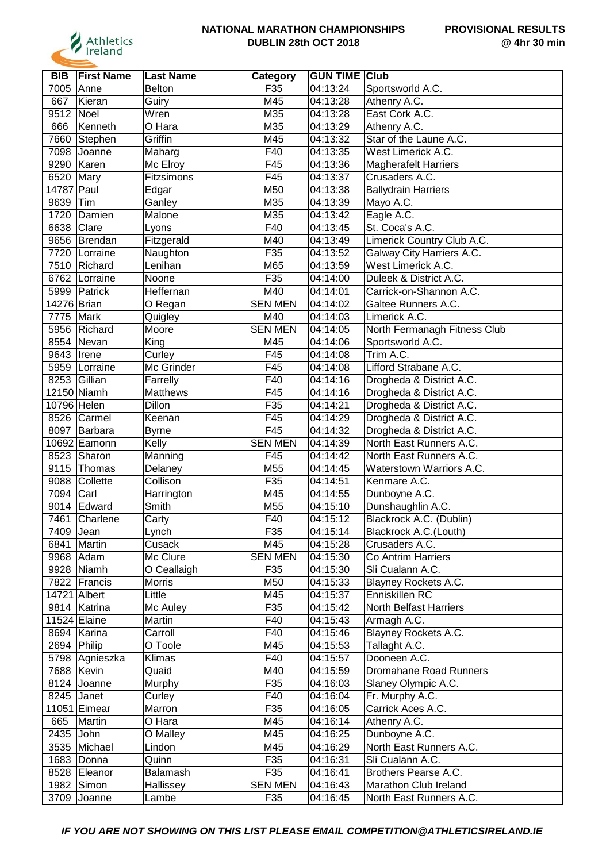

| <b>BIB</b>   | <b>First Name</b>         | Last Name     | Category       | <b>GUN TIME Club</b>   |                              |
|--------------|---------------------------|---------------|----------------|------------------------|------------------------------|
| 7005         | <b>Anne</b>               | <b>Belton</b> | F35            | 04:13:24               | Sportsworld A.C.             |
| 667          | Kieran                    | Guiry         | M45            | 04:13:28               | Athenry A.C.                 |
| 9512 Noel    |                           | Wren          | M35            | 04:13:28               | East Cork A.C.               |
| 666          | Kenneth                   | O Hara        | M35            | 04:13:29               | Athenry A.C.                 |
|              | 7660 Stephen              | Griffin       | M45            | 04:13:32               | Star of the Laune A.C.       |
|              | 7098 Joanne               | Maharg        | F40            | 04:13:35               | West Limerick A.C.           |
|              | 9290   Karen              | Mc Elroy      | F45            | 04:13:36               | <b>Magherafelt Harriers</b>  |
| 6520 Mary    |                           | Fitzsimons    | F45            | 04:13:37               | Crusaders A.C.               |
| 14787 Paul   |                           | Edgar         | M50            | 04:13:38               | <b>Ballydrain Harriers</b>   |
| 9639 Tim     |                           | Ganley        | M35            | 04:13:39               | Mayo A.C.                    |
|              | 1720 Damien               | Malone        | M35            | 04:13:42               |                              |
|              |                           |               |                |                        | Eagle A.C.                   |
| 6638 Clare   |                           | Lyons         | F40            | 04:13:45               | St. Coca's A.C.              |
|              | 9656 Brendan              | Fitzgerald    | M40            | 04:13:49               | Limerick Country Club A.C.   |
|              | 7720   Lorraine           | Naughton      | F35            | 04:13:52               | Galway City Harriers A.C.    |
|              | 7510 Richard              | Lenihan       | M65            | 04:13:59               | West Limerick A.C.           |
|              | 6762 Lorraine             | Noone         | F35            | 04:14:00               | Duleek & District A.C.       |
|              | 5999 Patrick              | Heffernan     | M40            | 04:14:01               | Carrick-on-Shannon A.C.      |
| 14276 Brian  |                           | O Regan       | <b>SEN MEN</b> | 04:14:02               | Galtee Runners A.C.          |
| 7775 Mark    |                           | Quigley       | M40            | 04:14:03               | Limerick A.C.                |
|              | 5956 Richard              | Moore         | <b>SEN MEN</b> | 04:14:05               | North Fermanagh Fitness Club |
|              | 8554 Nevan                | King          | M45            | 04:14:06               | Sportsworld A.C.             |
| 9643   Irene |                           | Curley        | F45            | 04:14:08               | Trim A.C.                    |
|              | 5959 Lorraine             | Mc Grinder    | F45            | 04:14:08               | Lifford Strabane A.C.        |
|              | 8253 Gillian              | Farrelly      | F40            | 04:14:16               | Drogheda & District A.C.     |
|              | 12150 Niamh               | Matthews      | F45            | 04:14:16               | Drogheda & District A.C.     |
| 10796 Helen  |                           | Dillon        | F35            | 04:14:21               | Drogheda & District A.C.     |
|              | 8526 Carmel               | Keenan        | F45            | 04:14:29               | Drogheda & District A.C.     |
|              | 8097 Barbara              | <b>Byrne</b>  | F45            | 04:14:32               | Drogheda & District A.C.     |
|              | 10692 Eamonn              | Kelly         | <b>SEN MEN</b> | 04:14:39               | North East Runners A.C.      |
|              | 8523 Sharon               | Manning       | F45            | 04:14:42               | North East Runners A.C.      |
|              | 9115 Thomas               | Delaney       | M55            | 04:14:45               | Waterstown Warriors A.C.     |
|              | 9088 Collette             | Collison      | F35            | 04:14:51               | Kenmare A.C.                 |
| 7094         | Carl                      | Harrington    | M45            | 04:14:55               | Dunboyne A.C.                |
|              | 9014 Edward               | Smith         | M55            | 04:15:10               | Dunshaughlin A.C.            |
| 7461         | Charlene                  | Carty         | F40            | 04:15:12               | Blackrock A.C. (Dublin)      |
| 7409   Jean  |                           | Lynch         | F35            | 04:15:14               | Blackrock A.C.(Louth)        |
|              | 6841   Martin             | Cusack        | M45            | 04:15:28               | Crusaders A.C.               |
|              | 9968 Adam                 | Mc Clure      | <b>SEN MEN</b> | 04:15:30               | Co Antrim Harriers           |
|              | 9928 Niamh                | O Ceallaigh   | F35            | 04:15:30               | Sli Cualann A.C.             |
|              | 7822 Francis              | Morris        | M50            | $\overline{0}$ 4:15:33 | Blayney Rockets A.C.         |
|              | 14721 Albert              | Little        | M45            | 04:15:37               | Enniskillen RC               |
|              | 9814 Katrina              | Mc Auley      | F35            | 04:15:42               | North Belfast Harriers       |
|              | 11524 Elaine              | Martin        | F40            | 04:15:43               | Armagh A.C.                  |
|              | 8694 Karina               | Carroll       | F40            | 04:15:46               | Blayney Rockets A.C.         |
| 2694 Philip  |                           | O Toole       | M45            | 04:15:53               | Tallaght A.C.                |
|              | 5798 Agnieszka            | Klimas        | F40            | 04:15:57               | Dooneen A.C.                 |
|              | 7688 Kevin                | Quaid         | M40            | 04:15:59               | Dromahane Road Runners       |
|              | 8124 Joanne               | Murphy        | F35            | 04:16:03               | Slaney Olympic A.C.          |
|              | 8245 Janet                | Curley        | F40            | 04:16:04               | Fr. Murphy A.C.              |
|              | 11051 Eimear              | Marron        | F35            | 04:16:05               | Carrick Aces A.C.            |
| 665          | Martin                    | O Hara        | M45            | 04:16:14               | Athenry A.C.                 |
| 2435 John    |                           | O Malley      | M45            | 04:16:25               | Dunboyne A.C.                |
|              | 3535 Michael              | Lindon        | M45            | 04:16:29               | North East Runners A.C.      |
|              | 1683 Donna                | Quinn         | F35            | 04:16:31               | Sli Cualann A.C.             |
|              | 8528 Eleanor              | Balamash      | F35            | 04:16:41               | Brothers Pearse A.C.         |
|              |                           |               | <b>SEN MEN</b> | 04:16:43               | Marathon Club Ireland        |
|              | 1982 Simon<br>3709 Joanne | Hallissey     | F35            | 04:16:45               | North East Runners A.C.      |
|              |                           | Lambe         |                |                        |                              |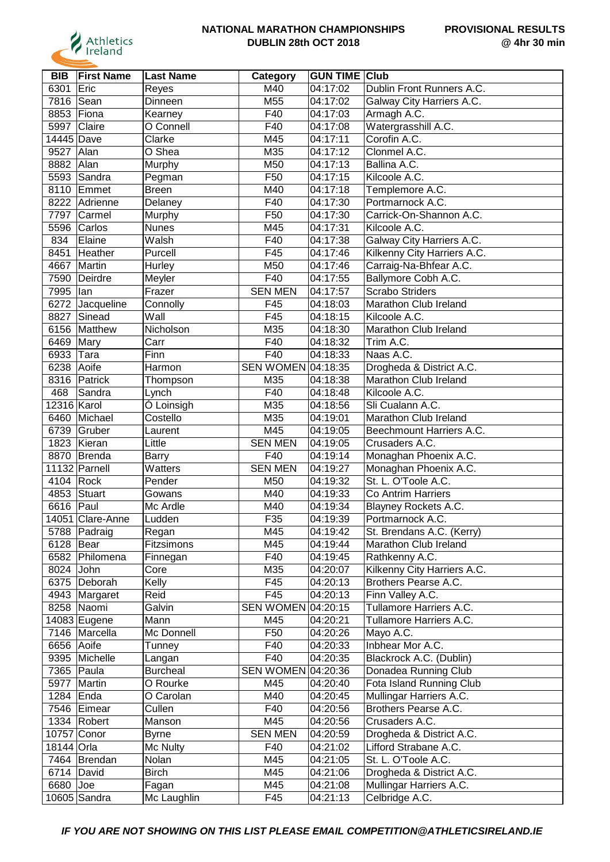

| <b>BIB</b>   | <b>First Name</b> | <b>Last Name</b> | Category                  | <b>GUN TIME Club</b> |                             |
|--------------|-------------------|------------------|---------------------------|----------------------|-----------------------------|
| 6301         | Eric              | Reyes            | M40                       | 04:17:02             | Dublin Front Runners A.C.   |
| 7816         | Sean              | Dinneen          | M55                       | 04:17:02             | Galway City Harriers A.C.   |
| 8853         | Fiona             | Kearney          | F40                       | 04:17:03             | Armagh A.C.                 |
| 5997         | Claire            | O Connell        | F40                       | 04:17:08             | Watergrasshill A.C.         |
| 14445 Dave   |                   | Clarke           | M45                       | 04:17:11             | Corofin A.C.                |
| 9527         | Alan              | O Shea           | M35                       | 04:17:12             | Clonmel A.C.                |
| 8882 Alan    |                   | Murphy           | M50                       | 04:17:13             | Ballina A.C.                |
|              | 5593 Sandra       | Pegman           | F50                       | 04:17:15             | Kilcoole A.C.               |
|              | 8110 Emmet        | <b>Breen</b>     | M40                       | 04:17:18             | Templemore A.C.             |
|              | 8222 Adrienne     | Delaney          | F40                       | 04:17:30             | Portmarnock A.C.            |
| 7797         | <b>TCarmel</b>    | Murphy           | F50                       | 04:17:30             | Carrick-On-Shannon A.C.     |
| 5596         | Carlos            | <b>Nunes</b>     | M45                       | 04:17:31             | Kilcoole A.C.               |
| 834          | Elaine            | Walsh            | F40                       | 04:17:38             |                             |
|              |                   |                  |                           |                      | Galway City Harriers A.C.   |
| 8451         | Heather           | Purcell          | F45                       | 04:17:46             | Kilkenny City Harriers A.C. |
| 4667         | Martin            | Hurley           | M50                       | 04:17:46             | Carraig-Na-Bhfear A.C.      |
| 7590         | Deirdre           | Meyler           | F40                       | 04:17:55             | Ballymore Cobh A.C.         |
| 7995         | lan               | Frazer           | <b>SEN MEN</b>            | 04:17:57             | <b>Scrabo Striders</b>      |
| 6272         | Jacqueline        | Connolly         | F45                       | 04:18:03             | Marathon Club Ireland       |
| 8827         | Sinead            | Wall             | F45                       | 04:18:15             | Kilcoole A.C.               |
| 6156         | Matthew           | Nicholson        | M35                       | 04:18:30             | Marathon Club Ireland       |
| 6469         | Mary              | Carr             | F40                       | 04:18:32             | Trim A.C.                   |
| 6933         | $ T$ ara          | Finn             | F40                       | 04:18:33             | Naas A.C.                   |
| 6238         | Aoife             | Harmon           | <b>SEN WOMEN 04:18:35</b> |                      | Drogheda & District A.C.    |
|              | 8316 Patrick      | Thompson         | M35                       | 04:18:38             | Marathon Club Ireland       |
| 468          | Sandra            | Lynch            | F40                       | 04:18:48             | Kilcoole A.C.               |
| 12316 Karol  |                   | Ó Loinsigh       | M35                       | 04:18:56             | Sli Cualann A.C.            |
| 6460         | Michael           | Costello         | M35                       | 04:19:01             | Marathon Club Ireland       |
| 6739         | Gruber            | Laurent          | M45                       | 04:19:05             | Beechmount Harriers A.C.    |
|              | 1823 Kieran       | Little           | <b>SEN MEN</b>            | 04:19:05             | Crusaders A.C.              |
|              | 8870 Brenda       | Barry            | F40                       | 04:19:14             | Monaghan Phoenix A.C.       |
|              | 11132 Parnell     | Watters          | <b>SEN MEN</b>            | 04:19:27             | Monaghan Phoenix A.C.       |
| 4104 Rock    |                   | Pender           | M50                       | 04:19:32             | St. L. O'Toole A.C.         |
| 4853         | Stuart            | Gowans           | M40                       | 04:19:33             | Co Antrim Harriers          |
| 6616         | Paul              | Mc Ardle         | M40                       | 04:19:34             | Blayney Rockets A.C.        |
|              | 14051 Clare-Anne  | Ludden           | F35                       | 04:19:39             | Portmarnock A.C.            |
|              | 5788 Padraig      | Regan            | M45                       | 04:19:42             | St. Brendans A.C. (Kerry)   |
| 6128   Bear  |                   | Fitzsimons       | M45                       | 04:19:44             | Marathon Club Ireland       |
|              | 6582 Philomena    | Finnegan         | F40                       | 04:19:45             | Rathkenny A.C.              |
| 8024 John    |                   | Core             | M35                       | 04:20:07             | Kilkenny City Harriers A.C. |
|              | 6375 Deborah      | Kelly            | F45                       | 04:20:13             | Brothers Pearse A.C.        |
|              | 4943 Margaret     | Reid             | F45                       | 04:20:13             | Finn Valley A.C.            |
|              | 8258 Naomi        | Galvin           | SEN WOMEN 04:20:15        |                      | Tullamore Harriers A.C.     |
|              | 14083 Eugene      | Mann             | M45                       | 04:20:21             | Tullamore Harriers A.C.     |
|              | 7146 Marcella     | Mc Donnell       | F <sub>50</sub>           | 04:20:26             | Mayo A.C.                   |
| 6656 Aoife   |                   | Tunney           | F40                       | 04:20:33             | Inbhear Mor A.C.            |
|              | 9395 Michelle     | Langan           | F40                       | 04:20:35             | Blackrock A.C. (Dublin)     |
|              | 7365 Paula        | <b>Burcheal</b>  | SEN WOMEN 04:20:36        |                      | Donadea Running Club        |
| 5977         | Martin            | O Rourke         | M45                       | 04:20:40             | Fota Island Running Club    |
| 1284         | Enda              | O Carolan        | M40                       | 04:20:45             | Mullingar Harriers A.C.     |
|              | 7546 Eimear       | Cullen           | F40                       | 04:20:56             | Brothers Pearse A.C.        |
|              | 1334 Robert       | Manson           | M45                       | 04:20:56             | Crusaders A.C.              |
|              | 10757 Conor       | Byrne            | <b>SEN MEN</b>            | 04:20:59             | Drogheda & District A.C.    |
| 18144 Orla   |                   | Mc Nulty         | F40                       | 04:21:02             | Lifford Strabane A.C.       |
|              | 7464   Brendan    | Nolan            | M45                       | 04:21:05             | St. L. O'Toole A.C.         |
| $6714$ David |                   | Birch            | M45                       | 04:21:06             | Drogheda & District A.C.    |
| 6680 Joe     |                   | Fagan            | M45                       | 04:21:08             | Mullingar Harriers A.C.     |
|              |                   |                  |                           |                      |                             |
|              | $10605$ Sandra    | Mc Laughlin      | F45                       | 04:21:13             | Celbridge A.C.              |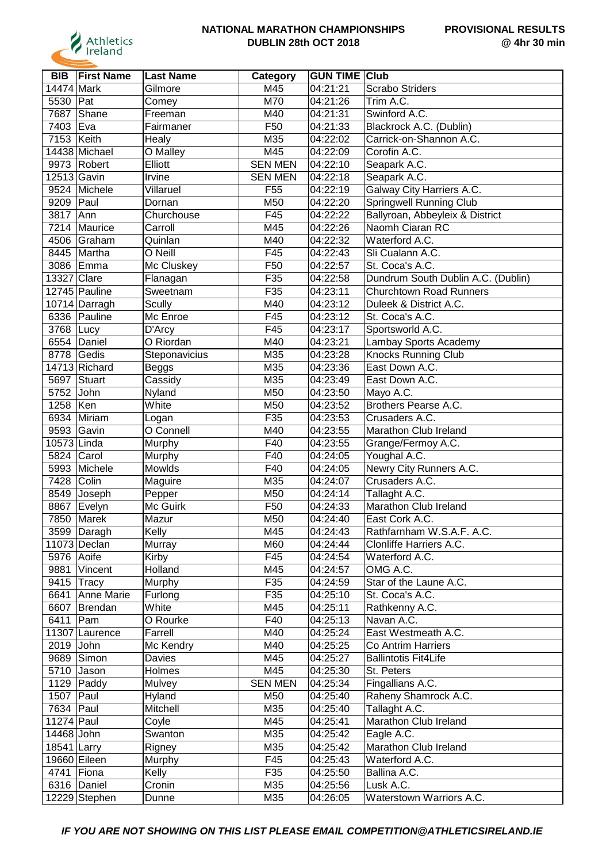

| <b>BIB</b>   | <b>First Name</b>  | <b>Last Name</b>   | Category        | <b>GUN TIME Club</b>   |                                        |
|--------------|--------------------|--------------------|-----------------|------------------------|----------------------------------------|
| 14474 Mark   |                    | Gilmore            | M45             | 04:21:21               | <b>Scrabo Striders</b>                 |
| 5530         | Pat                | Comey              | M70             | 04:21:26               | Trim A.C.                              |
| 7687         | Shane              | Freeman            | M40             | 04:21:31               | Swinford A.C.                          |
| 7403 Eva     |                    | Fairmaner          | F50             | 04:21:33               | Blackrock A.C. (Dublin)                |
| 7153         | Keith              | Healy              | M35             | 04:22:02               | Carrick-on-Shannon A.C.                |
|              | 14438 Michael      | O Malley           | M45             | 04:22:09               | Corofin A.C.                           |
|              | 9973 Robert        | Elliott            | <b>SEN MEN</b>  | 04:22:10               | Seapark A.C.                           |
| 12513 Gavin  |                    | Irvine             | <b>SEN MEN</b>  | 04:22:18               | Seapark A.C.                           |
|              | 9524 Michele       | Villaruel          | F <sub>55</sub> | 04:22:19               | Galway City Harriers A.C.              |
| 9209 Paul    |                    | Dornan             | M50             | 04:22:20               | <b>Springwell Running Club</b>         |
| 3817         | Ann                | Churchouse         | F45             | 04:22:22               | Ballyroan, Abbeyleix & District        |
| 7214         | Maurice            | Carroll            | M45             | 04:22:26               | Naomh Ciaran RC                        |
|              | 4506 Graham        | Quinlan            | M40             | 04:22:32               | Waterford A.C.                         |
|              | 8445 Martha        | O Neill            | F45             | 04:22:43               | Sli Cualann A.C.                       |
| 3086         | Emma               | Mc Cluskey         | F50             | 04:22:57               | St. Coca's A.C.                        |
| 13327 Clare  |                    | Flanagan           | F35             | 04:22:58               | Dundrum South Dublin A.C. (Dublin)     |
|              | 12745 Pauline      | Sweetnam           | F35             | 04:23:11               | <b>Churchtown Road Runners</b>         |
|              | 10714 Darragh      | Scully             | M40             | 04:23:12               | Duleek & District A.C.                 |
|              | 6336 Pauline       | Mc Enroe           | F45             | 04:23:12               | St. Coca's A.C.                        |
| 3768 Lucy    |                    | D'Arcy             | F45             | 04:23:17               | Sportsworld A.C.                       |
|              | 6554 Daniel        | O Riordan          | M40             | 04:23:21               | Lambay Sports Academy                  |
| 8778         | Gedis              | Steponavicius      | M35             | 04:23:28               | <b>Knocks Running Club</b>             |
|              | 14713 Richard      | Beggs              | M35             | 04:23:36               | East Down A.C.                         |
| 5697         | Stuart             | Cassidy            | M35             | 04:23:49               | East Down A.C.                         |
| 5752 John    |                    | Nyland             | M50             | 04:23:50               | Mayo A.C.                              |
| 1258         | Ken                | White              | M50             | 04:23:52               | Brothers Pearse A.C.                   |
|              | 6934 Miriam        |                    | F35             | 04:23:53               | Crusaders A.C.                         |
| 9593         | Gavin              | Logan<br>O Connell | M40             | 04:23:55               | Marathon Club Ireland                  |
| 10573 Linda  |                    | Murphy             | F40             | 04:23:55               | Grange/Fermoy A.C.                     |
| 5824         | Carol              |                    | F40             | 04:24:05               | Youghal A.C.                           |
| 5993         | Michele            | Murphy<br>Mowlds   | F40             | 04:24:05               | Newry City Runners A.C.                |
| 7428         | Colin              |                    | M35             | 04:24:07               | Crusaders A.C.                         |
| 8549         |                    | Maguire            | M50             | 04:24:14               |                                        |
|              | Joseph             | Pepper             | F50             | 04:24:33               | Tallaght A.C.<br>Marathon Club Ireland |
| 8867<br>7850 | Evelyn             | Mc Guirk           |                 |                        | East Cork A.C.                         |
|              | Marek              | Mazur              | M50             | 04:24:40               |                                        |
|              | 3599 Daragh        | Kelly              | M45             | 04:24:43<br>04:24:44   | Rathfarnham W.S.A.F. A.C.              |
|              | 11073 Declan       | Murray             | M60             |                        | Clonliffe Harriers A.C.                |
| 5976 Aoife   |                    | Kirby              | F45             | 04:24:54               | Waterford A.C.                         |
|              | 9881 Vincent       | Holland            | M45             | $\overline{0}$ 4:24:57 | OMG A.C.                               |
|              | 9415 Tracy         | Murphy             | F35             | 04:24:59               | Star of the Laune A.C.                 |
| 6641         | Anne Marie         | Furlong            | F35             | 04:25:10               | St. Coca's A.C.                        |
|              | 6607 Brendan       | White              | M45             | 04:25:11               | Rathkenny A.C.                         |
| 6411         | Pam                | O Rourke           | F40             | 04:25:13               | Navan A.C.                             |
|              | 11307 Laurence     | Farrell            | M40             | 04:25:24               | East Westmeath A.C.                    |
| 2019 John    |                    | Mc Kendry          | M40             | 04:25:25               | Co Antrim Harriers                     |
|              | 9689 Simon         | Davies             | M45             | 04:25:27               | <b>Ballintotis Fit4Life</b>            |
|              | 5710 Jason         | Holmes             | M45             | 04:25:30               | St. Peters                             |
|              | 1129 $\vert$ Paddy | Mulvey             | <b>SEN MEN</b>  | 04:25:34               | Fingallians A.C.                       |
| 1507 Paul    |                    | Hyland             | M50             | 04:25:40               | Raheny Shamrock A.C.                   |
| 7634 Paul    |                    | Mitchell           | M35             | 04:25:40               | Tallaght A.C.                          |
| 11274 Paul   |                    | Coyle              | M45             | 04:25:41               | Marathon Club Ireland                  |
| 14468 John   |                    | Swanton            | M35             | 04:25:42               | Eagle A.C.                             |
| 18541 Larry  |                    | Rigney             | M35             | 04:25:42               | Marathon Club Ireland                  |
|              | 19660 Eileen       | Murphy             | F45             | 04:25:43               | Waterford A.C.                         |
| 4741 Fiona   |                    | Kelly              | F35             | 04:25:50               | Ballina A.C.                           |
|              | 6316 Daniel        | Cronin             | M35             | 04:25:56               | Lusk A.C.                              |
|              | 12229 Stephen      | Dunne              | M35             | 04:26:05               | Waterstown Warriors A.C.               |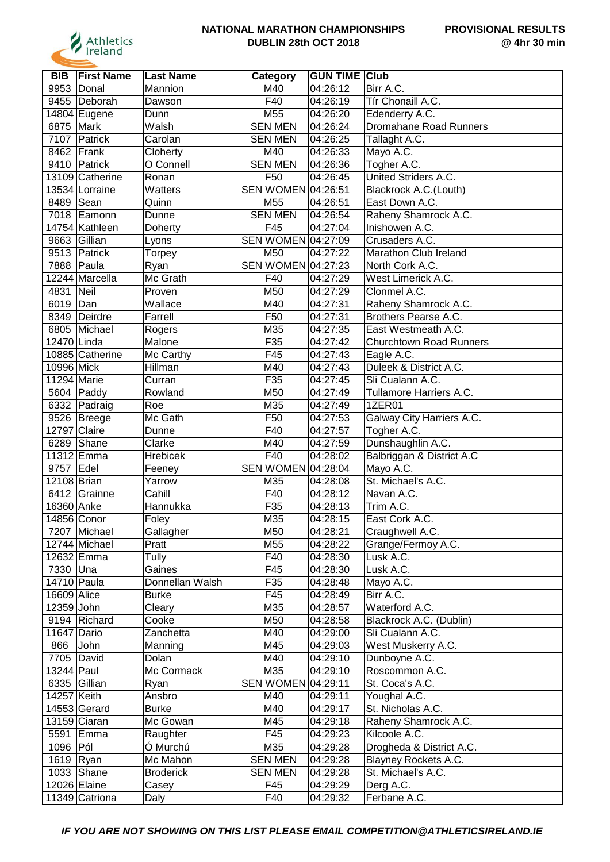

| <b>BIB</b>   | <b>First Name</b> | <b>Last Name</b> | Category           | <b>GUN TIME Club</b> |                                |
|--------------|-------------------|------------------|--------------------|----------------------|--------------------------------|
| 9953         | Donal             | Mannion          | M40                | 04:26:12             | Birr A.C.                      |
|              | 9455 Deborah      | Dawson           | F40                | 04:26:19             | Tír Chonaill A.C.              |
|              | 14804 Eugene      | Dunn             | M55                | 04:26:20             | Edenderry A.C.                 |
| 6875         | Mark              | Walsh            | <b>SEN MEN</b>     | 04:26:24             | Dromahane Road Runners         |
| 7107         | Patrick           | Carolan          | <b>SEN MEN</b>     | 04:26:25             | Tallaght A.C.                  |
|              | 8462 Frank        | Cloherty         | M40                | 04:26:33             | Mayo A.C.                      |
|              | 9410 Patrick      | O Connell        | <b>SEN MEN</b>     | 04:26:36             | Togher A.C.                    |
|              | 13109 Catherine   | Ronan            | F50                | 04:26:45             | United Striders A.C.           |
|              | 13534 Lorraine    | Watters          | SEN WOMEN 04:26:51 |                      | Blackrock A.C.(Louth)          |
| 8489 Sean    |                   | Quinn            | M55                | 04:26:51             | East Down A.C.                 |
|              | 7018 Eamonn       | Dunne            | <b>SEN MEN</b>     | 04:26:54             | Raheny Shamrock A.C.           |
|              | 14754 Kathleen    | Doherty          | F45                | 04:27:04             | Inishowen A.C.                 |
|              | 9663 Gillian      | Lyons            | SEN WOMEN 04:27:09 |                      | Crusaders A.C.                 |
|              | 9513 Patrick      | Torpey           | M50                | 04:27:22             | Marathon Club Ireland          |
|              | 7888 Paula        | Ryan             | SEN WOMEN 04:27:23 |                      | North Cork A.C.                |
|              | 12244 Marcella    | Mc Grath         | F40                | 04:27:29             | West Limerick A.C.             |
| 4831         | Neil              | Proven           | M50                | 04:27:29             | Clonmel A.C.                   |
| 6019 Dan     |                   | Wallace          | M40                | 04:27:31             | Raheny Shamrock A.C.           |
|              | 8349 Deirdre      | Farrell          | F <sub>50</sub>    | 04:27:31             | Brothers Pearse A.C.           |
|              | 6805 Michael      | Rogers           | M35                | 04:27:35             | East Westmeath A.C.            |
| 12470 Linda  |                   | Malone           | F35                | 04:27:42             | <b>Churchtown Road Runners</b> |
|              | 10885 Catherine   | Mc Carthy        | F45                | 04:27:43             | Eagle A.C.                     |
| 10996 Mick   |                   | Hillman          | M40                | 04:27:43             | Duleek & District A.C.         |
| 11294 Marie  |                   | Curran           | F35                | 04:27:45             | Sli Cualann A.C.               |
|              | 5604 Paddy        | Rowland          | M50                | 04:27:49             | Tullamore Harriers A.C.        |
|              | 6332 Padraig      | Roe              | M35                | 04:27:49             | <b>1ZER01</b>                  |
|              | 9526 Breege       | Mc Gath          | F50                | 04:27:53             | Galway City Harriers A.C.      |
| 12797 Claire |                   | Dunne            | F40                | 04:27:57             | Togher A.C.                    |
| 6289         | Shane             | Clarke           | M40                | 04:27:59             | Dunshaughlin A.C.              |
|              | 11312 Emma        | Hrebicek         | F40                | 04:28:02             | Balbriggan & District A.C      |
| 9757         | Edel              | Feeney           | SEN WOMEN 04:28:04 |                      | Mayo A.C.                      |
| 12108 Brian  |                   | Yarrow           | M35                | 04:28:08             | St. Michael's A.C.             |
|              | 6412 Grainne      | Cahill           | F40                | 04:28:12             | Navan A.C.                     |
| 16360 Anke   |                   | Hannukka         | F35                | 04:28:13             | Trim A.C.                      |
|              | 14856 Conor       | Foley            | M35                | 04:28:15             | East Cork A.C.                 |
|              | 7207 Michael      | Gallagher        | M50                | 04:28:21             | Craughwell A.C.                |
|              | 12744 Michael     | Pratt            | M55                | 04:28:22             | Grange/Fermoy A.C.             |
|              | 12632 Emma        | Tully            | F40                | 04:28:30             | Lusk A.C.                      |
| 7330 Una     |                   | Gaines           | F45                | 04:28:30             | Lusk A.C.                      |
| 14710 Paula  |                   | Donnellan Walsh  | F35                | 04:28:48             | Mayo A.C.                      |
| 16609 Alice  |                   | <b>Burke</b>     | F45                | 04:28:49             | Birr A.C.                      |
| 12359 John   |                   | Cleary           | M35                | 04:28:57             | Waterford A.C.                 |
|              | 9194 Richard      | Cooke            | M50                | 04:28:58             | Blackrock A.C. (Dublin)        |
| 11647 Dario  |                   | Zanchetta        | M40                | 04:29:00             | Sli Cualann A.C.               |
| 866          | John              | Manning          | M45                | 04:29:03             | West Muskerry A.C.             |
|              | 7705 David        | Dolan            | M40                | 04:29:10             | Dunboyne A.C.                  |
| 13244 Paul   |                   | Mc Cormack       | M35                | 04:29:10             | Roscommon A.C.                 |
|              | 6335 Gillian      | Ryan             | <b>SEN WOMEN</b>   | 04:29:11             | St. Coca's A.C.                |
| 14257 Keith  |                   | Ansbro           | M40                | 04:29:11             | Youghal A.C.                   |
|              | $14553$ Gerard    | <b>Burke</b>     | M40                | 04:29:17             | St. Nicholas A.C.              |
|              | 13159 Ciaran      | Mc Gowan         | M45                | 04:29:18             | Raheny Shamrock A.C.           |
|              | 5591 Emma         | Raughter         | F45                | 04:29:23             | Kilcoole A.C.                  |
| 1096 Pól     |                   | Ó Murchú         | M35                | 04:29:28             | Drogheda & District A.C.       |
| 1619 Ryan    |                   | Mc Mahon         | <b>SEN MEN</b>     | 04:29:28             | Blayney Rockets A.C.           |
|              | 1033 Shane        | <b>Broderick</b> | <b>SEN MEN</b>     | 04:29:28             | St. Michael's A.C.             |
|              | 12026 Elaine      | Casey            | F45                | 04:29:29             | Derg A.C.                      |
|              | 11349 Catriona    | Daly             | F40                | 04:29:32             | Ferbane A.C.                   |
|              |                   |                  |                    |                      |                                |